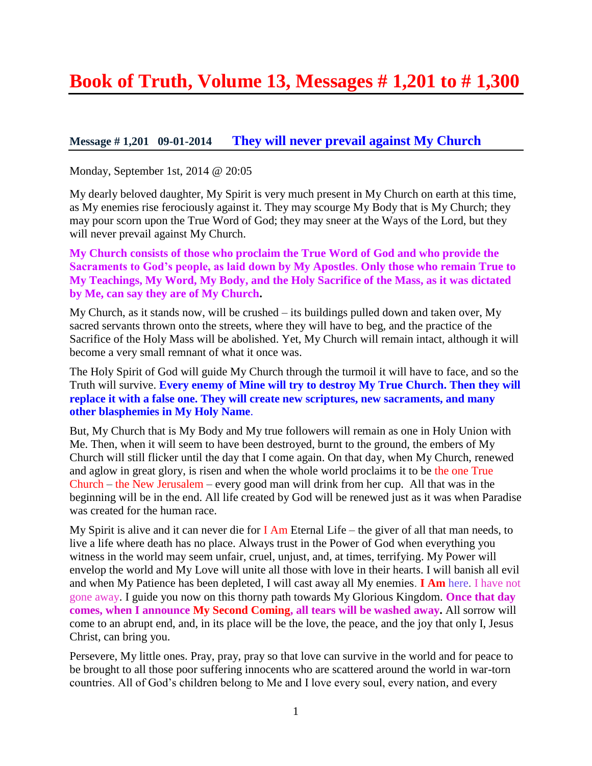# **Book of Truth, Volume 13, Messages # 1,201 to # 1,300**

# **Message # 1,201 09-01-2014 They [will never prevail against My Church](http://www.thewarningsecondcoming.com/they-will-never-prevail-against-my-church/)**

Monday, September 1st, 2014 @ 20:05

My dearly beloved daughter, My Spirit is very much present in My Church on earth at this time, as My enemies rise ferociously against it. They may scourge My Body that is My Church; they may pour scorn upon the True Word of God; they may sneer at the Ways of the Lord, but they will never prevail against My Church.

**My Church consists of those who proclaim the True Word of God and who provide the Sacraments to God's people, as laid down by My Apostles**. **Only those who remain True to My Teachings, My Word, My Body, and the Holy Sacrifice of the Mass, as it was dictated by Me, can say they are of My Church.**

My Church, as it stands now, will be crushed – its buildings pulled down and taken over, My sacred servants thrown onto the streets, where they will have to beg, and the practice of the Sacrifice of the Holy Mass will be abolished. Yet, My Church will remain intact, although it will become a very small remnant of what it once was.

The Holy Spirit of God will guide My Church through the turmoil it will have to face, and so the Truth will survive. **Every enemy of Mine will try to destroy My True Church. Then they will replace it with a false one. They will create new scriptures, new sacraments, and many other blasphemies in My Holy Name**.

But, My Church that is My Body and My true followers will remain as one in Holy Union with Me. Then, when it will seem to have been destroyed, burnt to the ground, the embers of My Church will still flicker until the day that I come again. On that day, when My Church, renewed and aglow in great glory, is risen and when the whole world proclaims it to be the one True Church – the New Jerusalem – every good man will drink from her cup. All that was in the beginning will be in the end. All life created by God will be renewed just as it was when Paradise was created for the human race.

My Spirit is alive and it can never die for  $I$  Am Eternal Life – the giver of all that man needs, to live a life where death has no place. Always trust in the Power of God when everything you witness in the world may seem unfair, cruel, unjust, and, at times, terrifying. My Power will envelop the world and My Love will unite all those with love in their hearts. I will banish all evil and when My Patience has been depleted, I will cast away all My enemies. **I Am** here. I have not gone away. I guide you now on this thorny path towards My Glorious Kingdom. **Once that day comes, when I announce My Second Coming, all tears will be washed away.** All sorrow will come to an abrupt end, and, in its place will be the love, the peace, and the joy that only I, Jesus Christ, can bring you.

Persevere, My little ones. Pray, pray, pray so that love can survive in the world and for peace to be brought to all those poor suffering innocents who are scattered around the world in war-torn countries. All of God's children belong to Me and I love every soul, every nation, and every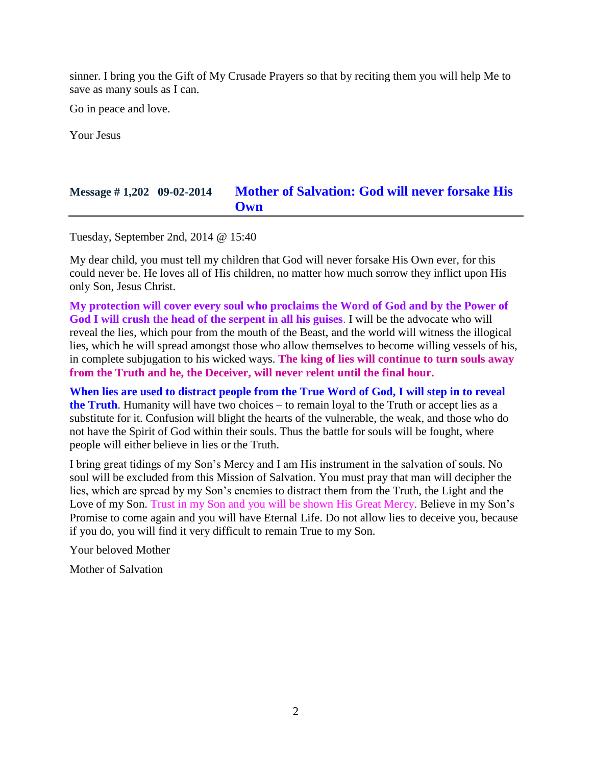sinner. I bring you the Gift of My Crusade Prayers so that by reciting them you will help Me to save as many souls as I can.

Go in peace and love.

Your Jesus

# **Message # 1,202 09-02-2014 [Mother of Salvation: God will never forsake His](http://www.thewarningsecondcoming.com/mother-of-salvation-god-will-never-forsake-his-own/)  [Own](http://www.thewarningsecondcoming.com/mother-of-salvation-god-will-never-forsake-his-own/)**

Tuesday, September 2nd, 2014 @ 15:40

My dear child, you must tell my children that God will never forsake His Own ever, for this could never be. He loves all of His children, no matter how much sorrow they inflict upon His only Son, Jesus Christ.

**My protection will cover every soul who proclaims the Word of God and by the Power of God I will crush the head of the serpent in all his guises**. I will be the advocate who will reveal the lies, which pour from the mouth of the Beast, and the world will witness the illogical lies, which he will spread amongst those who allow themselves to become willing vessels of his, in complete subjugation to his wicked ways. **The king of lies will continue to turn souls away from the Truth and he, the Deceiver, will never relent until the final hour.**

**When lies are used to distract people from the True Word of God, I will step in to reveal the Truth**. Humanity will have two choices – to remain loyal to the Truth or accept lies as a substitute for it. Confusion will blight the hearts of the vulnerable, the weak, and those who do not have the Spirit of God within their souls. Thus the battle for souls will be fought, where people will either believe in lies or the Truth.

I bring great tidings of my Son's Mercy and I am His instrument in the salvation of souls. No soul will be excluded from this Mission of Salvation. You must pray that man will decipher the lies, which are spread by my Son's enemies to distract them from the Truth, the Light and the Love of my Son. Trust in my Son and you will be shown His Great Mercy. Believe in my Son's Promise to come again and you will have Eternal Life. Do not allow lies to deceive you, because if you do, you will find it very difficult to remain True to my Son.

Your beloved Mother

Mother of Salvation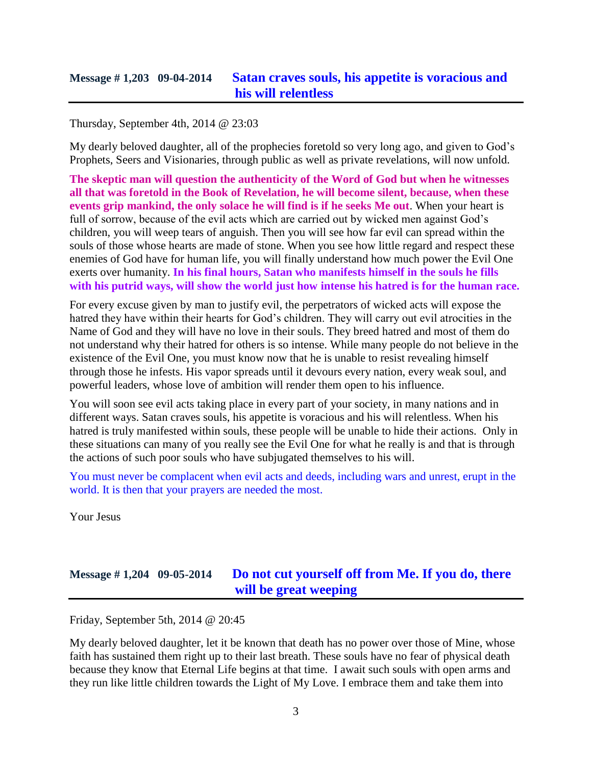### **Message # 1,203 09-04-2014 [Satan craves souls, his appetite is voracious and](http://www.thewarningsecondcoming.com/satan-craves-souls-his-appetite-is-voracious-and-his-will-relentless/)  [his will relentless](http://www.thewarningsecondcoming.com/satan-craves-souls-his-appetite-is-voracious-and-his-will-relentless/)**

#### Thursday, September 4th, 2014 @ 23:03

My dearly beloved daughter, all of the prophecies foretold so very long ago, and given to God's Prophets, Seers and Visionaries, through public as well as private revelations, will now unfold.

**The skeptic man will question the authenticity of the Word of God but when he witnesses all that was foretold in the Book of Revelation, he will become silent, because, when these events grip mankind, the only solace he will find is if he seeks Me out**. When your heart is full of sorrow, because of the evil acts which are carried out by wicked men against God's children, you will weep tears of anguish. Then you will see how far evil can spread within the souls of those whose hearts are made of stone. When you see how little regard and respect these enemies of God have for human life, you will finally understand how much power the Evil One exerts over humanity. **In his final hours, Satan who manifests himself in the souls he fills with his putrid ways, will show the world just how intense his hatred is for the human race.**

For every excuse given by man to justify evil, the perpetrators of wicked acts will expose the hatred they have within their hearts for God's children. They will carry out evil atrocities in the Name of God and they will have no love in their souls. They breed hatred and most of them do not understand why their hatred for others is so intense. While many people do not believe in the existence of the Evil One, you must know now that he is unable to resist revealing himself through those he infests. His vapor spreads until it devours every nation, every weak soul, and powerful leaders, whose love of ambition will render them open to his influence.

You will soon see evil acts taking place in every part of your society, in many nations and in different ways. Satan craves souls, his appetite is voracious and his will relentless. When his hatred is truly manifested within souls, these people will be unable to hide their actions. Only in these situations can many of you really see the Evil One for what he really is and that is through the actions of such poor souls who have subjugated themselves to his will.

You must never be complacent when evil acts and deeds, including wars and unrest, erupt in the world. It is then that your prayers are needed the most.

Your Jesus

# **Message # 1,204 09-05-2014 [Do not cut yourself off from Me. If you do, there](http://www.thewarningsecondcoming.com/do-not-cut-yourself-off-from-me-if-you-do-there-will-be-great-weeping/) [will be great weeping](http://www.thewarningsecondcoming.com/do-not-cut-yourself-off-from-me-if-you-do-there-will-be-great-weeping/)**

Friday, September 5th, 2014 @ 20:45

My dearly beloved daughter, let it be known that death has no power over those of Mine, whose faith has sustained them right up to their last breath. These souls have no fear of physical death because they know that Eternal Life begins at that time. I await such souls with open arms and they run like little children towards the Light of My Love. I embrace them and take them into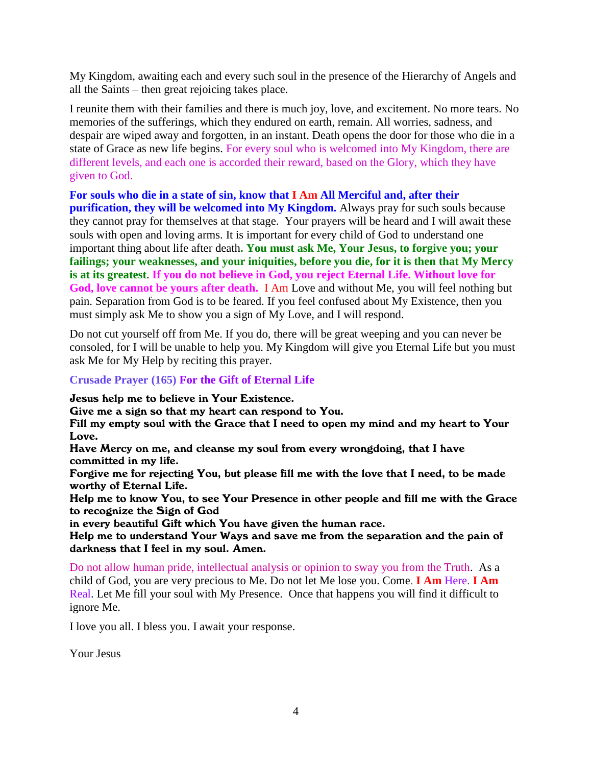My Kingdom, awaiting each and every such soul in the presence of the Hierarchy of Angels and all the Saints – then great rejoicing takes place.

I reunite them with their families and there is much joy, love, and excitement. No more tears. No memories of the sufferings, which they endured on earth, remain. All worries, sadness, and despair are wiped away and forgotten, in an instant. Death opens the door for those who die in a state of Grace as new life begins. For every soul who is welcomed into My Kingdom, there are different levels, and each one is accorded their reward, based on the Glory, which they have given to God.

**For souls who die in a state of sin, know that I Am All Merciful and, after their purification, they will be welcomed into My Kingdom.** Always pray for such souls because they cannot pray for themselves at that stage. Your prayers will be heard and I will await these souls with open and loving arms. It is important for every child of God to understand one important thing about life after death**. You must ask Me, Your Jesus, to forgive you; your failings; your weaknesses, and your iniquities, before you die, for it is then that My Mercy is at its greatest**. **If you do not believe in God, you reject Eternal Life. Without love for God, love cannot be yours after death.** I Am Love and without Me, you will feel nothing but

pain. Separation from God is to be feared. If you feel confused about My Existence, then you must simply ask Me to show you a sign of My Love, and I will respond.

Do not cut yourself off from Me. If you do, there will be great weeping and you can never be consoled, for I will be unable to help you. My Kingdom will give you Eternal Life but you must ask Me for My Help by reciting this prayer.

#### **Crusade Prayer (165) For the Gift of Eternal Life**

Jesus help me to believe in Your Existence.

Give me a sign so that my heart can respond to You.

Fill my empty soul with the Grace that I need to open my mind and my heart to Your Love.

Have Mercy on me, and cleanse my soul from every wrongdoing, that I have committed in my life.

Forgive me for rejecting You, but please fill me with the love that I need, to be made worthy of Eternal Life.

Help me to know You, to see Your Presence in other people and fill me with the Grace to recognize the Sign of God

in every beautiful Gift which You have given the human race.

Help me to understand Your Ways and save me from the separation and the pain of darkness that I feel in my soul. Amen.

Do not allow human pride, intellectual analysis or opinion to sway you from the Truth. As a child of God, you are very precious to Me. Do not let Me lose you. Come. **I Am** Here. **I Am**  Real. Let Me fill your soul with My Presence. Once that happens you will find it difficult to ignore Me.

I love you all. I bless you. I await your response.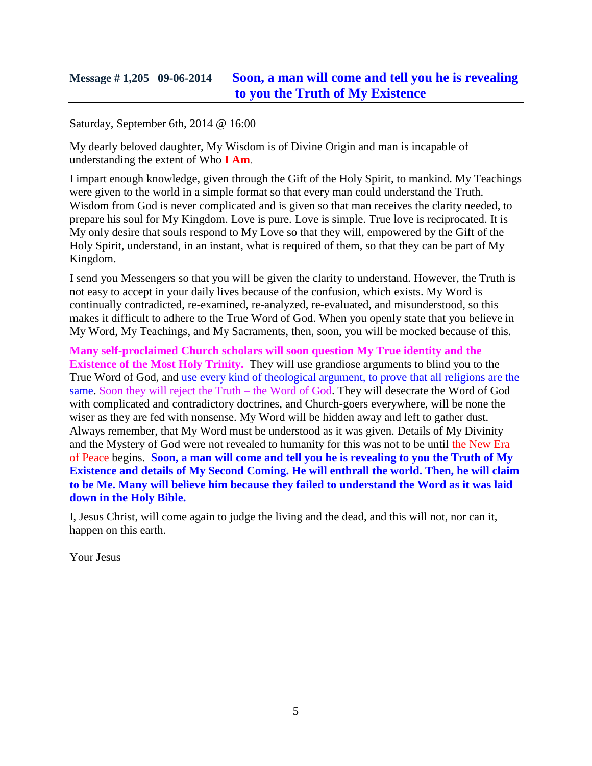# **Message # 1,205 09-06-2014 [Soon, a man will come and tell you he is revealing](http://www.thewarningsecondcoming.com/soon-a-man-will-come-and-tell-you-he-is-revealing-to-you-the-truth-of-my-existence/)  [to you the Truth of My Existence](http://www.thewarningsecondcoming.com/soon-a-man-will-come-and-tell-you-he-is-revealing-to-you-the-truth-of-my-existence/)**

Saturday, September 6th, 2014 @ 16:00

My dearly beloved daughter, My Wisdom is of Divine Origin and man is incapable of understanding the extent of Who **I Am**.

I impart enough knowledge, given through the Gift of the Holy Spirit, to mankind. My Teachings were given to the world in a simple format so that every man could understand the Truth. Wisdom from God is never complicated and is given so that man receives the clarity needed, to prepare his soul for My Kingdom. Love is pure. Love is simple. True love is reciprocated. It is My only desire that souls respond to My Love so that they will, empowered by the Gift of the Holy Spirit, understand, in an instant, what is required of them, so that they can be part of My Kingdom.

I send you Messengers so that you will be given the clarity to understand. However, the Truth is not easy to accept in your daily lives because of the confusion, which exists. My Word is continually contradicted, re-examined, re-analyzed, re-evaluated, and misunderstood, so this makes it difficult to adhere to the True Word of God. When you openly state that you believe in My Word, My Teachings, and My Sacraments, then, soon, you will be mocked because of this.

**Many self-proclaimed Church scholars will soon question My True identity and the Existence of the Most Holy Trinity.** They will use grandiose arguments to blind you to the True Word of God, and use every kind of theological argument, to prove that all religions are the same. Soon they will reject the Truth – the Word of God. They will desecrate the Word of God with complicated and contradictory doctrines, and Church-goers everywhere, will be none the wiser as they are fed with nonsense. My Word will be hidden away and left to gather dust. Always remember, that My Word must be understood as it was given. Details of My Divinity and the Mystery of God were not revealed to humanity for this was not to be until the New Era of Peace begins. **Soon, a man will come and tell you he is revealing to you the Truth of My Existence and details of My Second Coming. He will enthrall the world. Then, he will claim to be Me. Many will believe him because they failed to understand the Word as it was laid down in the Holy Bible.**

I, Jesus Christ, will come again to judge the living and the dead, and this will not, nor can it, happen on this earth.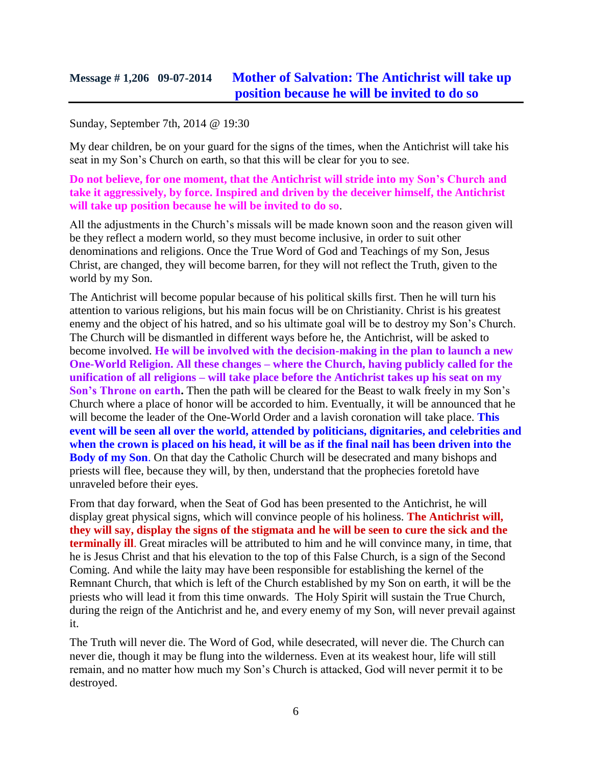#### Sunday, September 7th, 2014 @ 19:30

My dear children, be on your guard for the signs of the times, when the Antichrist will take his seat in my Son's Church on earth, so that this will be clear for you to see.

**Do not believe, for one moment, that the Antichrist will stride into my Son's Church and take it aggressively, by force. Inspired and driven by the deceiver himself, the Antichrist will take up position because he will be invited to do so**.

All the adjustments in the Church's missals will be made known soon and the reason given will be they reflect a modern world, so they must become inclusive, in order to suit other denominations and religions. Once the True Word of God and Teachings of my Son, Jesus Christ, are changed, they will become barren, for they will not reflect the Truth, given to the world by my Son.

The Antichrist will become popular because of his political skills first. Then he will turn his attention to various religions, but his main focus will be on Christianity. Christ is his greatest enemy and the object of his hatred, and so his ultimate goal will be to destroy my Son's Church. The Church will be dismantled in different ways before he, the Antichrist, will be asked to become involved. **He will be involved with the decision-making in the plan to launch a new One-World Religion. All these changes – where the Church, having publicly called for the unification of all religions – will take place before the Antichrist takes up his seat on my Son's Throne on earth.** Then the path will be cleared for the Beast to walk freely in my Son's Church where a place of honor will be accorded to him. Eventually, it will be announced that he will become the leader of the One-World Order and a lavish coronation will take place. **This event will be seen all over the world, attended by politicians, dignitaries, and celebrities and when the crown is placed on his head, it will be as if the final nail has been driven into the Body of my Son**. On that day the Catholic Church will be desecrated and many bishops and priests will flee, because they will, by then, understand that the prophecies foretold have unraveled before their eyes.

From that day forward, when the Seat of God has been presented to the Antichrist, he will display great physical signs, which will convince people of his holiness. **The Antichrist will, they will say, display the signs of the stigmata and he will be seen to cure the sick and the terminally ill**. Great miracles will be attributed to him and he will convince many, in time, that he is Jesus Christ and that his elevation to the top of this False Church, is a sign of the Second Coming. And while the laity may have been responsible for establishing the kernel of the Remnant Church, that which is left of the Church established by my Son on earth, it will be the priests who will lead it from this time onwards. The Holy Spirit will sustain the True Church, during the reign of the Antichrist and he, and every enemy of my Son, will never prevail against it.

The Truth will never die. The Word of God, while desecrated, will never die. The Church can never die, though it may be flung into the wilderness. Even at its weakest hour, life will still remain, and no matter how much my Son's Church is attacked, God will never permit it to be destroyed.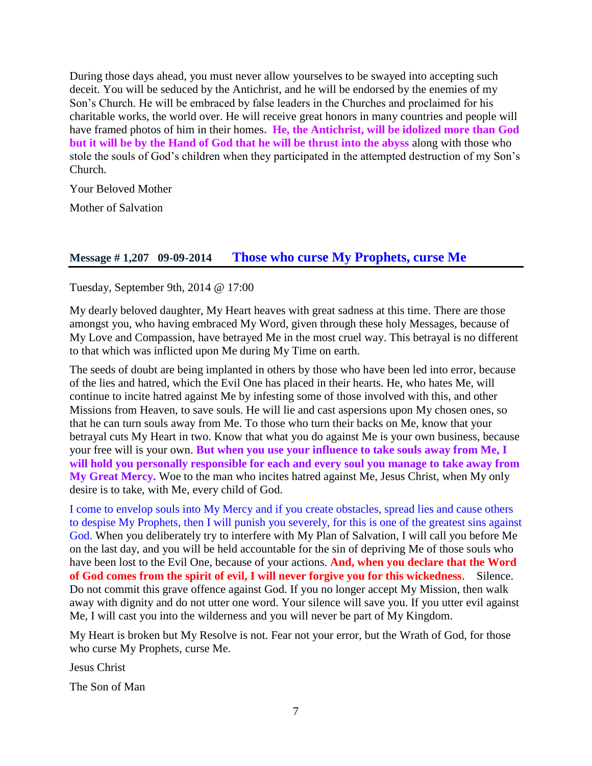During those days ahead, you must never allow yourselves to be swayed into accepting such deceit. You will be seduced by the Antichrist, and he will be endorsed by the enemies of my Son's Church. He will be embraced by false leaders in the Churches and proclaimed for his charitable works, the world over. He will receive great honors in many countries and people will have framed photos of him in their homes**. He, the Antichrist, will be idolized more than God but it will be by the Hand of God that he will be thrust into the abyss** along with those who stole the souls of God's children when they participated in the attempted destruction of my Son's Church.

Your Beloved Mother

Mother of Salvation

#### **Message # 1,207 09-09-2014 [Those who curse My Prophets, curse Me](http://www.thewarningsecondcoming.com/those-who-curse-my-prophets-curse-me/)**

Tuesday, September 9th, 2014 @ 17:00

My dearly beloved daughter, My Heart heaves with great sadness at this time. There are those amongst you, who having embraced My Word, given through these holy Messages, because of My Love and Compassion, have betrayed Me in the most cruel way. This betrayal is no different to that which was inflicted upon Me during My Time on earth.

The seeds of doubt are being implanted in others by those who have been led into error, because of the lies and hatred, which the Evil One has placed in their hearts. He, who hates Me, will continue to incite hatred against Me by infesting some of those involved with this, and other Missions from Heaven, to save souls. He will lie and cast aspersions upon My chosen ones, so that he can turn souls away from Me. To those who turn their backs on Me, know that your betrayal cuts My Heart in two. Know that what you do against Me is your own business, because your free will is your own. **But when you use your influence to take souls away from Me, I will hold you personally responsible for each and every soul you manage to take away from My Great Mercy.** Woe to the man who incites hatred against Me, Jesus Christ, when My only desire is to take, with Me, every child of God.

I come to envelop souls into My Mercy and if you create obstacles, spread lies and cause others to despise My Prophets, then I will punish you severely, for this is one of the greatest sins against God. When you deliberately try to interfere with My Plan of Salvation, I will call you before Me on the last day, and you will be held accountable for the sin of depriving Me of those souls who have been lost to the Evil One, because of your actions. **And, when you declare that the Word of God comes from the spirit of evil, I will never forgive you for this wickedness**. Silence. Do not commit this grave offence against God. If you no longer accept My Mission, then walk away with dignity and do not utter one word. Your silence will save you. If you utter evil against Me, I will cast you into the wilderness and you will never be part of My Kingdom.

My Heart is broken but My Resolve is not. Fear not your error, but the Wrath of God, for those who curse My Prophets, curse Me.

Jesus Christ

The Son of Man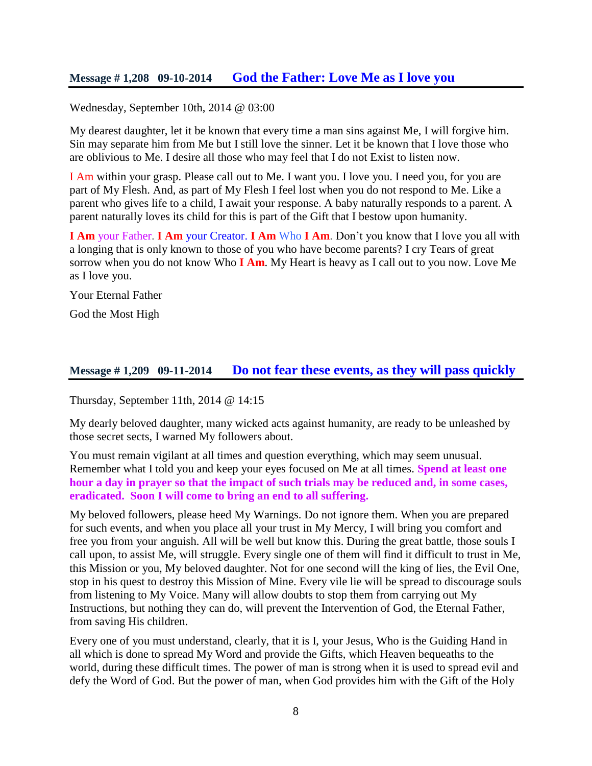Wednesday, September 10th, 2014 @ 03:00

My dearest daughter, let it be known that every time a man sins against Me, I will forgive him. Sin may separate him from Me but I still love the sinner. Let it be known that I love those who are oblivious to Me. I desire all those who may feel that I do not Exist to listen now.

I Am within your grasp. Please call out to Me. I want you. I love you. I need you, for you are part of My Flesh. And, as part of My Flesh I feel lost when you do not respond to Me. Like a parent who gives life to a child, I await your response. A baby naturally responds to a parent. A parent naturally loves its child for this is part of the Gift that I bestow upon humanity.

**I Am** your Father. **I Am** your Creator. **I Am** Who **I Am**. Don't you know that I love you all with a longing that is only known to those of you who have become parents? I cry Tears of great sorrow when you do not know Who **I Am**. My Heart is heavy as I call out to you now. Love Me as I love you.

Your Eternal Father

God the Most High

### **Message # 1,209 09-11-2014 [Do not fear these events, as they will pass quickly](http://www.thewarningsecondcoming.com/do-not-fear-these-events-as-they-will-pass-quickly/)**

Thursday, September 11th, 2014 @ 14:15

My dearly beloved daughter, many wicked acts against humanity, are ready to be unleashed by those secret sects, I warned My followers about.

You must remain vigilant at all times and question everything, which may seem unusual. Remember what I told you and keep your eyes focused on Me at all times. **Spend at least one hour a day in prayer so that the impact of such trials may be reduced and, in some cases, eradicated. Soon I will come to bring an end to all suffering.**

My beloved followers, please heed My Warnings. Do not ignore them. When you are prepared for such events, and when you place all your trust in My Mercy, I will bring you comfort and free you from your anguish. All will be well but know this. During the great battle, those souls I call upon, to assist Me, will struggle. Every single one of them will find it difficult to trust in Me, this Mission or you, My beloved daughter. Not for one second will the king of lies, the Evil One, stop in his quest to destroy this Mission of Mine. Every vile lie will be spread to discourage souls from listening to My Voice. Many will allow doubts to stop them from carrying out My Instructions, but nothing they can do, will prevent the Intervention of God, the Eternal Father, from saving His children.

Every one of you must understand, clearly, that it is I, your Jesus, Who is the Guiding Hand in all which is done to spread My Word and provide the Gifts, which Heaven bequeaths to the world, during these difficult times. The power of man is strong when it is used to spread evil and defy the Word of God. But the power of man, when God provides him with the Gift of the Holy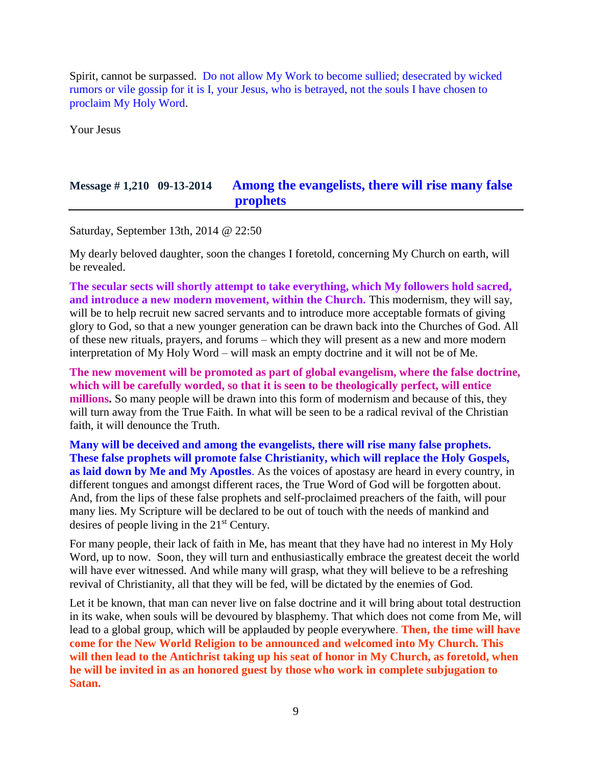Spirit, cannot be surpassed. Do not allow My Work to become sullied; desecrated by wicked rumors or vile gossip for it is I, your Jesus, who is betrayed, not the souls I have chosen to proclaim My Holy Word.

Your Jesus

# **Message # 1,210 09-13-2014 [Among the evangelists, there will rise many false](http://www.thewarningsecondcoming.com/among-the-evangelists-there-will-rise-many-false-prophets/)  [prophets](http://www.thewarningsecondcoming.com/among-the-evangelists-there-will-rise-many-false-prophets/)**

Saturday, September 13th, 2014 @ 22:50

My dearly beloved daughter, soon the changes I foretold, concerning My Church on earth, will be revealed.

**The secular sects will shortly attempt to take everything, which My followers hold sacred, and introduce a new modern movement, within the Church.** This modernism, they will say, will be to help recruit new sacred servants and to introduce more acceptable formats of giving glory to God, so that a new younger generation can be drawn back into the Churches of God. All of these new rituals, prayers, and forums – which they will present as a new and more modern interpretation of My Holy Word – will mask an empty doctrine and it will not be of Me.

**The new movement will be promoted as part of global evangelism, where the false doctrine, which will be carefully worded, so that it is seen to be theologically perfect, will entice millions.** So many people will be drawn into this form of modernism and because of this, they will turn away from the True Faith. In what will be seen to be a radical revival of the Christian faith, it will denounce the Truth.

**Many will be deceived and among the evangelists, there will rise many false prophets. These false prophets will promote false Christianity, which will replace the Holy Gospels, as laid down by Me and My Apostles**. As the voices of apostasy are heard in every country, in different tongues and amongst different races, the True Word of God will be forgotten about. And, from the lips of these false prophets and self-proclaimed preachers of the faith, will pour many lies. My Scripture will be declared to be out of touch with the needs of mankind and desires of people living in the 21<sup>st</sup> Century.

For many people, their lack of faith in Me, has meant that they have had no interest in My Holy Word, up to now. Soon, they will turn and enthusiastically embrace the greatest deceit the world will have ever witnessed. And while many will grasp, what they will believe to be a refreshing revival of Christianity, all that they will be fed, will be dictated by the enemies of God.

Let it be known, that man can never live on false doctrine and it will bring about total destruction in its wake, when souls will be devoured by blasphemy. That which does not come from Me, will lead to a global group, which will be applauded by people everywhere. **Then, the time will have come for the New World Religion to be announced and welcomed into My Church. This will then lead to the Antichrist taking up his seat of honor in My Church, as foretold, when he will be invited in as an honored guest by those who work in complete subjugation to Satan.**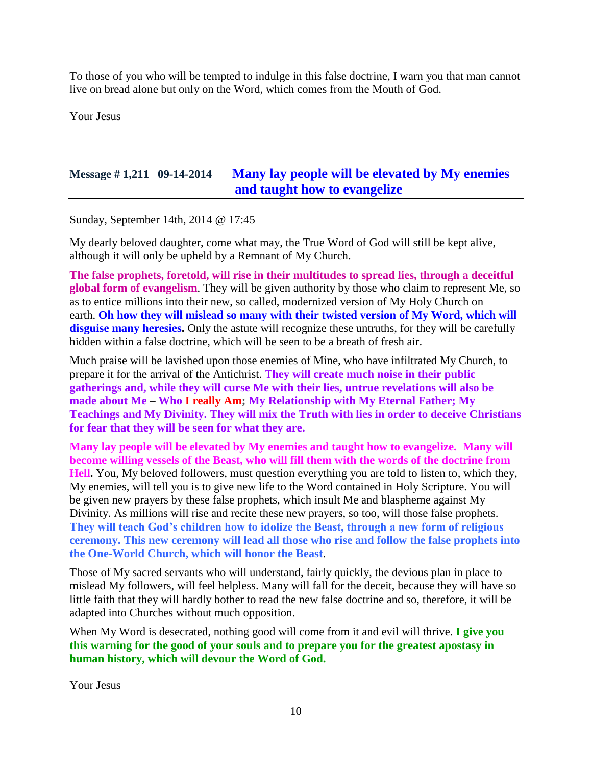To those of you who will be tempted to indulge in this false doctrine, I warn you that man cannot live on bread alone but only on the Word, which comes from the Mouth of God.

Your Jesus

# **Message # 1,211 09-14-2014 [Many lay people will be elevated by My enemies](http://www.thewarningsecondcoming.com/many-lay-people-will-be-elevated-by-my-enemies-and-taught-how-to-evangelise/)  [and taught how to evangelize](http://www.thewarningsecondcoming.com/many-lay-people-will-be-elevated-by-my-enemies-and-taught-how-to-evangelise/)**

Sunday, September 14th, 2014 @ 17:45

My dearly beloved daughter, come what may, the True Word of God will still be kept alive, although it will only be upheld by a Remnant of My Church.

**The false prophets, foretold, will rise in their multitudes to spread lies, through a deceitful global form of evangelism**. They will be given authority by those who claim to represent Me, so as to entice millions into their new, so called, modernized version of My Holy Church on earth. **Oh how they will mislead so many with their twisted version of My Word, which will**  disguise many here sies. Only the asture will recognize these untruths, for they will be carefully hidden within a false doctrine, which will be seen to be a breath of fresh air.

Much praise will be lavished upon those enemies of Mine, who have infiltrated My Church, to prepare it for the arrival of the Antichrist. T**hey will create much noise in their public gatherings and, while they will curse Me with their lies, untrue revelations will also be made about Me – Who I really Am; My Relationship with My Eternal Father; My Teachings and My Divinity. They will mix the Truth with lies in order to deceive Christians for fear that they will be seen for what they are.**

**Many lay people will be elevated by My enemies and taught how to evangelize. Many will become willing vessels of the Beast, who will fill them with the words of the doctrine from Hell.** You, My beloved followers, must question everything you are told to listen to, which they, My enemies, will tell you is to give new life to the Word contained in Holy Scripture. You will be given new prayers by these false prophets, which insult Me and blaspheme against My Divinity. As millions will rise and recite these new prayers, so too, will those false prophets. **They will teach God's children how to idolize the Beast, through a new form of religious ceremony. This new ceremony will lead all those who rise and follow the false prophets into the One-World Church, which will honor the Beast**.

Those of My sacred servants who will understand, fairly quickly, the devious plan in place to mislead My followers, will feel helpless. Many will fall for the deceit, because they will have so little faith that they will hardly bother to read the new false doctrine and so, therefore, it will be adapted into Churches without much opposition.

When My Word is desecrated, nothing good will come from it and evil will thrive. **I give you this warning for the good of your souls and to prepare you for the greatest apostasy in human history, which will devour the Word of God.**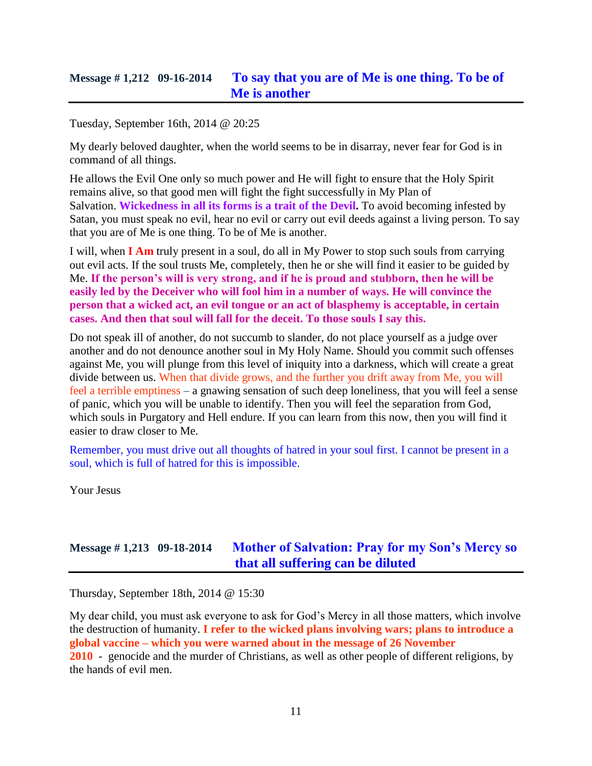### **Message # 1,212 09-16-2014 [To say that you are of Me is one thing. To be of](http://www.thewarningsecondcoming.com/to-say-that-you-are-of-me-is-one-thing-to-be-of-me-is-another/)  [Me is another](http://www.thewarningsecondcoming.com/to-say-that-you-are-of-me-is-one-thing-to-be-of-me-is-another/)**

Tuesday, September 16th, 2014 @ 20:25

My dearly beloved daughter, when the world seems to be in disarray, never fear for God is in command of all things.

He allows the Evil One only so much power and He will fight to ensure that the Holy Spirit remains alive, so that good men will fight the fight successfully in My Plan of Salvation. **Wickedness in all its forms is a trait of the Devil.** To avoid becoming infested by Satan, you must speak no evil, hear no evil or carry out evil deeds against a living person. To say that you are of Me is one thing. To be of Me is another.

I will, when **I Am** truly present in a soul, do all in My Power to stop such souls from carrying out evil acts. If the soul trusts Me, completely, then he or she will find it easier to be guided by Me. **If the person's will is very strong, and if he is proud and stubborn, then he will be easily led by the Deceiver who will fool him in a number of ways. He will convince the person that a wicked act, an evil tongue or an act of blasphemy is acceptable, in certain cases. And then that soul will fall for the deceit. To those souls I say this.**

Do not speak ill of another, do not succumb to slander, do not place yourself as a judge over another and do not denounce another soul in My Holy Name. Should you commit such offenses against Me, you will plunge from this level of iniquity into a darkness, which will create a great divide between us. When that divide grows, and the further you drift away from Me, you will feel a terrible emptiness – a gnawing sensation of such deep loneliness, that you will feel a sense of panic, which you will be unable to identify. Then you will feel the separation from God, which souls in Purgatory and Hell endure. If you can learn from this now, then you will find it easier to draw closer to Me.

Remember, you must drive out all thoughts of hatred in your soul first. I cannot be present in a soul, which is full of hatred for this is impossible.

Your Jesus

# **Message # 1,213 09-18-2014 [Mother of Salvation: Pray for my Son's Mercy so](http://www.thewarningsecondcoming.com/mother-of-salvation-pray-for-my-sons-mercy-so-that-all-suffering-can-be-diluted/)  [that all suffering can be diluted](http://www.thewarningsecondcoming.com/mother-of-salvation-pray-for-my-sons-mercy-so-that-all-suffering-can-be-diluted/)**

Thursday, September 18th, 2014 @ 15:30

My dear child, you must ask everyone to ask for God's Mercy in all those matters, which involve the destruction of humanity. **I refer to the wicked plans involving wars; plans to introduce a global vaccine – which you were warned about in the message of 26 November 2010** - genocide and the murder of Christians, as well as other people of different religions, by the hands of evil men.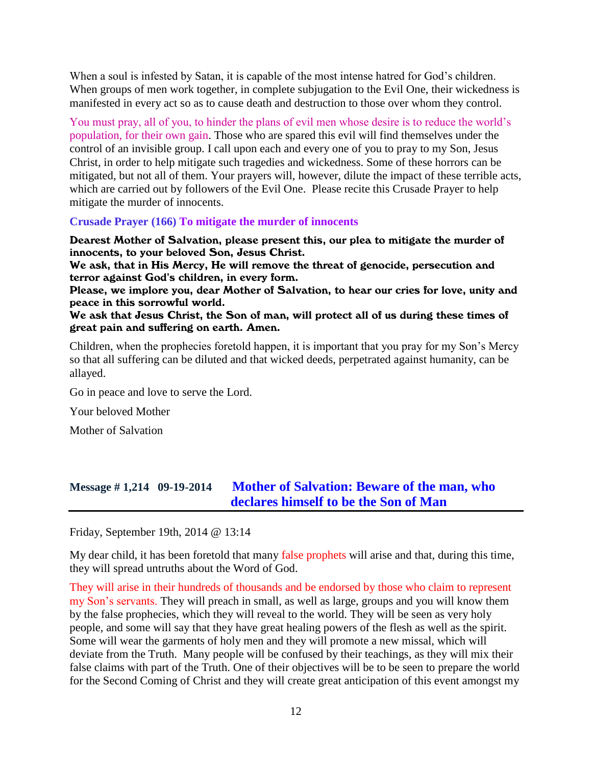When a soul is infested by Satan, it is capable of the most intense hatred for God's children. When groups of men work together, in complete subjugation to the Evil One, their wickedness is manifested in every act so as to cause death and destruction to those over whom they control.

You must pray, all of you, to hinder the plans of evil men whose desire is to reduce the world's population, for their own gain. Those who are spared this evil will find themselves under the control of an invisible group. I call upon each and every one of you to pray to my Son, Jesus Christ, in order to help mitigate such tragedies and wickedness. Some of these horrors can be mitigated, but not all of them. Your prayers will, however, dilute the impact of these terrible acts, which are carried out by followers of the Evil One. Please recite this Crusade Prayer to help mitigate the murder of innocents.

#### **Crusade Prayer (166) To mitigate the murder of innocents**

Dearest Mother of Salvation, please present this, our plea to mitigate the murder of innocents, to your beloved Son, Jesus Christ.

We ask, that in His Mercy, He will remove the threat of genocide, persecution and terror against God's children, in every form.

Please, we implore you, dear Mother of Salvation, to hear our cries for love, unity and peace in this sorrowful world.

We ask that Jesus Christ, the Son of man, will protect all of us during these times of great pain and suffering on earth. Amen.

Children, when the prophecies foretold happen, it is important that you pray for my Son's Mercy so that all suffering can be diluted and that wicked deeds, perpetrated against humanity, can be allayed.

Go in peace and love to serve the Lord.

Your beloved Mother

Mother of Salvation

# **Message # 1,214 09-19-2014 [Mother of Salvation: Beware of the man, who](http://www.thewarningsecondcoming.com/mother-of-salvation-beware-of-the-man-who-declares-himself-to-be-the-son-of-man/)  [declares himself to be the Son of Man](http://www.thewarningsecondcoming.com/mother-of-salvation-beware-of-the-man-who-declares-himself-to-be-the-son-of-man/)**

Friday, September 19th, 2014 @ 13:14

My dear child, it has been foretold that many false prophets will arise and that, during this time, they will spread untruths about the Word of God.

They will arise in their hundreds of thousands and be endorsed by those who claim to represent my Son's servants. They will preach in small, as well as large, groups and you will know them by the false prophecies, which they will reveal to the world. They will be seen as very holy people, and some will say that they have great healing powers of the flesh as well as the spirit. Some will wear the garments of holy men and they will promote a new missal, which will deviate from the Truth. Many people will be confused by their teachings, as they will mix their false claims with part of the Truth. One of their objectives will be to be seen to prepare the world for the Second Coming of Christ and they will create great anticipation of this event amongst my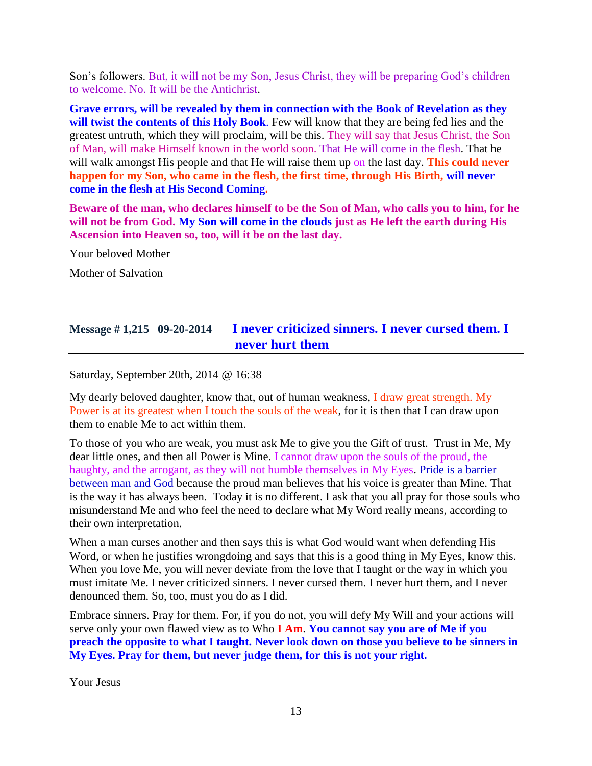Son's followers. But, it will not be my Son, Jesus Christ, they will be preparing God's children to welcome. No. It will be the Antichrist.

**Grave errors, will be revealed by them in connection with the Book of Revelation as they will twist the contents of this Holy Book**. Few will know that they are being fed lies and the greatest untruth, which they will proclaim, will be this. They will say that Jesus Christ, the Son of Man, will make Himself known in the world soon. That He will come in the flesh. That he will walk amongst His people and that He will raise them up on the last day. **This could never happen for my Son, who came in the flesh, the first time, through His Birth, will never come in the flesh at His Second Coming.**

**Beware of the man, who declares himself to be the Son of Man, who calls you to him, for he will not be from God. My Son will come in the clouds just as He left the earth during His Ascension into Heaven so, too, will it be on the last day.**

Your beloved Mother

Mother of Salvation

# **Message # 1,215 09-20-2014 [I never criticized sinners. I never cursed them. I](http://www.thewarningsecondcoming.com/i-never-criticized-sinners-i-never-cursed-them-i-never-hurt-them/)  [never hurt them](http://www.thewarningsecondcoming.com/i-never-criticized-sinners-i-never-cursed-them-i-never-hurt-them/)**

Saturday, September 20th, 2014 @ 16:38

My dearly beloved daughter, know that, out of human weakness, I draw great strength. My Power is at its greatest when I touch the souls of the weak, for it is then that I can draw upon them to enable Me to act within them.

To those of you who are weak, you must ask Me to give you the Gift of trust. Trust in Me, My dear little ones, and then all Power is Mine. I cannot draw upon the souls of the proud, the haughty, and the arrogant, as they will not humble themselves in My Eyes. Pride is a barrier between man and God because the proud man believes that his voice is greater than Mine. That is the way it has always been. Today it is no different. I ask that you all pray for those souls who misunderstand Me and who feel the need to declare what My Word really means, according to their own interpretation.

When a man curses another and then says this is what God would want when defending His Word, or when he justifies wrongdoing and says that this is a good thing in My Eyes, know this. When you love Me, you will never deviate from the love that I taught or the way in which you must imitate Me. I never criticized sinners. I never cursed them. I never hurt them, and I never denounced them. So, too, must you do as I did.

Embrace sinners. Pray for them. For, if you do not, you will defy My Will and your actions will serve only your own flawed view as to Who **I Am**. **You cannot say you are of Me if you preach the opposite to what I taught. Never look down on those you believe to be sinners in My Eyes. Pray for them, but never judge them, for this is not your right.**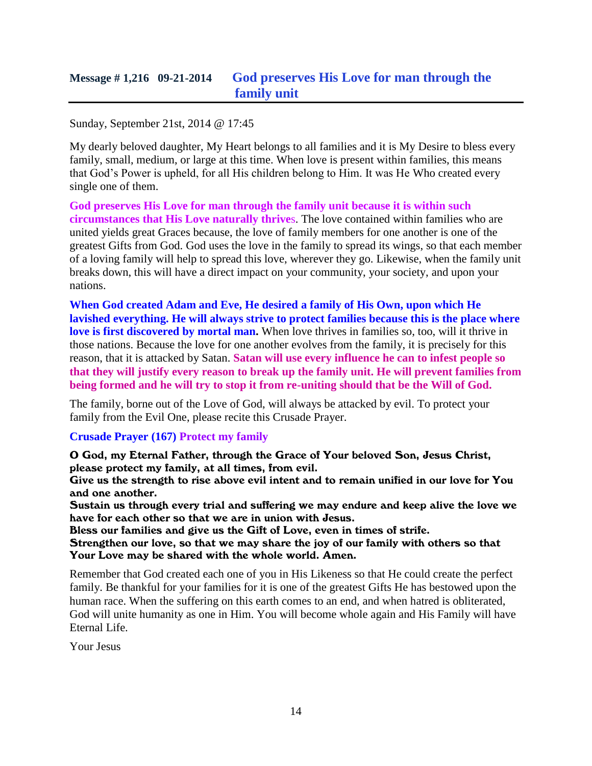Sunday, September 21st, 2014 @ 17:45

My dearly beloved daughter, My Heart belongs to all families and it is My Desire to bless every family, small, medium, or large at this time. When love is present within families, this means that God's Power is upheld, for all His children belong to Him. It was He Who created every single one of them.

**God preserves His Love for man through the family unit because it is within such circumstances that His Love naturally thrive**s. The love contained within families who are united yields great Graces because, the love of family members for one another is one of the greatest Gifts from God. God uses the love in the family to spread its wings, so that each member of a loving family will help to spread this love, wherever they go. Likewise, when the family unit breaks down, this will have a direct impact on your community, your society, and upon your nations.

**When God created Adam and Eve, He desired a family of His Own, upon which He lavished everything. He will always strive to protect families because this is the place where love is first discovered by mortal man.** When love thrives in families so, too, will it thrive in those nations. Because the love for one another evolves from the family, it is precisely for this reason, that it is attacked by Satan. **Satan will use every influence he can to infest people so that they will justify every reason to break up the family unit. He will prevent families from being formed and he will try to stop it from re-uniting should that be the Will of God.**

The family, borne out of the Love of God, will always be attacked by evil. To protect your family from the Evil One, please recite this Crusade Prayer.

#### **Crusade Prayer (167) Protect my family**

O God, my Eternal Father, through the Grace of Your beloved Son, Jesus Christ, please protect my family, at all times, from evil.

Give us the strength to rise above evil intent and to remain unified in our love for You and one another.

Sustain us through every trial and suffering we may endure and keep alive the love we have for each other so that we are in union with Jesus.

Bless our families and give us the Gift of Love, even in times of strife.

Strengthen our love, so that we may share the joy of our family with others so that Your Love may be shared with the whole world. Amen.

Remember that God created each one of you in His Likeness so that He could create the perfect family. Be thankful for your families for it is one of the greatest Gifts He has bestowed upon the human race. When the suffering on this earth comes to an end, and when hatred is obliterated, God will unite humanity as one in Him. You will become whole again and His Family will have Eternal Life.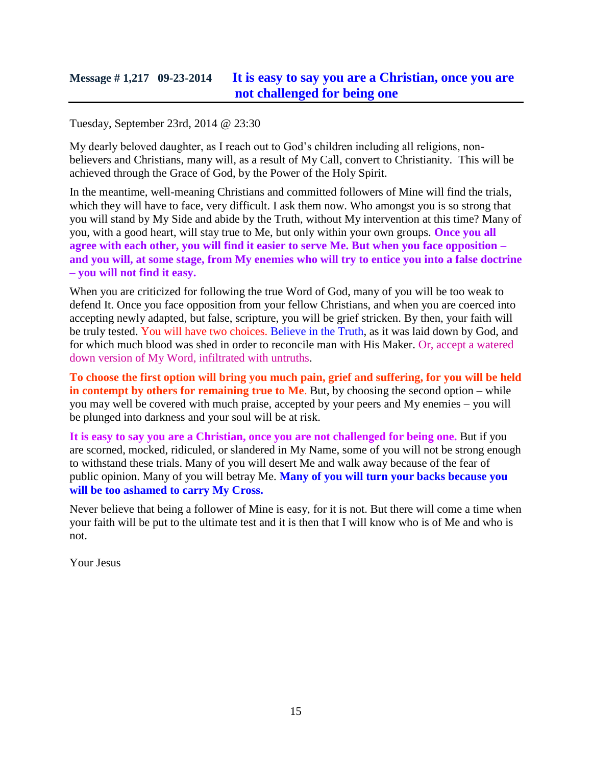### **Message # 1,217 09-23-2014 [It is easy to say you are a Christian, once you are](http://www.thewarningsecondcoming.com/it-is-easy-to-say-you-are-a-christian-once-you-are-not-challenged-for-being-one/)  [not challenged for being one](http://www.thewarningsecondcoming.com/it-is-easy-to-say-you-are-a-christian-once-you-are-not-challenged-for-being-one/)**

Tuesday, September 23rd, 2014 @ 23:30

My dearly beloved daughter, as I reach out to God's children including all religions, nonbelievers and Christians, many will, as a result of My Call, convert to Christianity. This will be achieved through the Grace of God, by the Power of the Holy Spirit.

In the meantime, well-meaning Christians and committed followers of Mine will find the trials, which they will have to face, very difficult. I ask them now. Who amongst you is so strong that you will stand by My Side and abide by the Truth, without My intervention at this time? Many of you, with a good heart, will stay true to Me, but only within your own groups. **Once you all agree with each other, you will find it easier to serve Me. But when you face opposition – and you will, at some stage, from My enemies who will try to entice you into a false doctrine – you will not find it easy.**

When you are criticized for following the true Word of God, many of you will be too weak to defend It. Once you face opposition from your fellow Christians, and when you are coerced into accepting newly adapted, but false, scripture, you will be grief stricken. By then, your faith will be truly tested. You will have two choices. Believe in the Truth, as it was laid down by God, and for which much blood was shed in order to reconcile man with His Maker. Or, accept a watered down version of My Word, infiltrated with untruths.

**To choose the first option will bring you much pain, grief and suffering, for you will be held in contempt by others for remaining true to Me**. But, by choosing the second option – while you may well be covered with much praise, accepted by your peers and My enemies – you will be plunged into darkness and your soul will be at risk.

**It is easy to say you are a Christian, once you are not challenged for being one.** But if you are scorned, mocked, ridiculed, or slandered in My Name, some of you will not be strong enough to withstand these trials. Many of you will desert Me and walk away because of the fear of public opinion. Many of you will betray Me. **Many of you will turn your backs because you will be too ashamed to carry My Cross.**

Never believe that being a follower of Mine is easy, for it is not. But there will come a time when your faith will be put to the ultimate test and it is then that I will know who is of Me and who is not.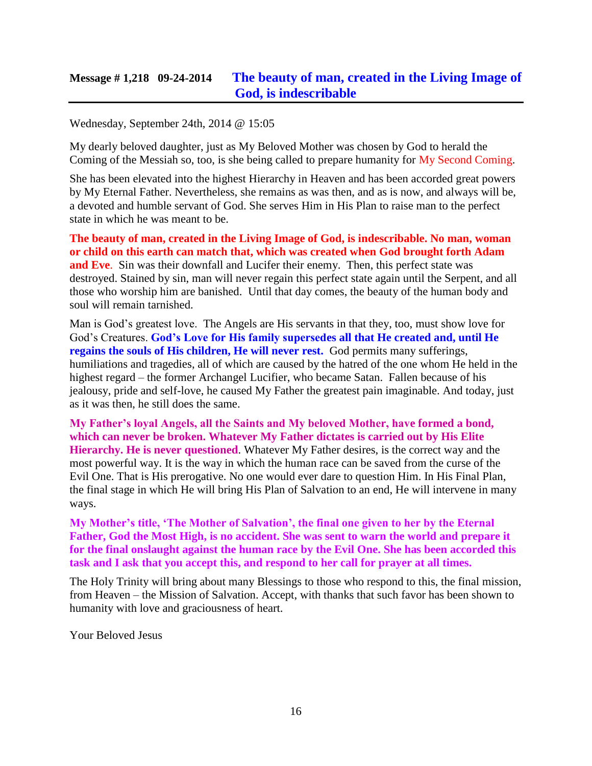# **Message # 1,218 09-24-2014 [The beauty of man, created in the Living Image of](http://www.thewarningsecondcoming.com/the-beauty-of-man-created-in-the-living-image-of-god-is-indescribable/)  [God, is indescribable](http://www.thewarningsecondcoming.com/the-beauty-of-man-created-in-the-living-image-of-god-is-indescribable/)**

#### Wednesday, September 24th, 2014 @ 15:05

My dearly beloved daughter, just as My Beloved Mother was chosen by God to herald the Coming of the Messiah so, too, is she being called to prepare humanity for My Second Coming.

She has been elevated into the highest Hierarchy in Heaven and has been accorded great powers by My Eternal Father. Nevertheless, she remains as was then, and as is now, and always will be, a devoted and humble servant of God. She serves Him in His Plan to raise man to the perfect state in which he was meant to be.

**The beauty of man, created in the Living Image of God, is indescribable. No man, woman or child on this earth can match that, which was created when God brought forth Adam and Eve.** Sin was their downfall and Lucifer their enemy. Then, this perfect state was destroyed. Stained by sin, man will never regain this perfect state again until the Serpent, and all those who worship him are banished. Until that day comes, the beauty of the human body and soul will remain tarnished.

Man is God's greatest love. The Angels are His servants in that they, too, must show love for God's Creatures. **God's Love for His family supersedes all that He created and, until He regains the souls of His children, He will never rest.** God permits many sufferings, humiliations and tragedies, all of which are caused by the hatred of the one whom He held in the highest regard – the former Archangel Lucifier, who became Satan. Fallen because of his jealousy, pride and self-love, he caused My Father the greatest pain imaginable. And today, just as it was then, he still does the same.

**My Father's loyal Angels, all the Saints and My beloved Mother, have formed a bond, which can never be broken. Whatever My Father dictates is carried out by His Elite Hierarchy. He is never questioned**. Whatever My Father desires, is the correct way and the most powerful way. It is the way in which the human race can be saved from the curse of the Evil One. That is His prerogative. No one would ever dare to question Him. In His Final Plan, the final stage in which He will bring His Plan of Salvation to an end, He will intervene in many ways.

**My Mother's title, 'The Mother of Salvation', the final one given to her by the Eternal Father, God the Most High, is no accident. She was sent to warn the world and prepare it for the final onslaught against the human race by the Evil One. She has been accorded this task and I ask that you accept this, and respond to her call for prayer at all times.**

The Holy Trinity will bring about many Blessings to those who respond to this, the final mission, from Heaven – the Mission of Salvation. Accept, with thanks that such favor has been shown to humanity with love and graciousness of heart.

Your Beloved Jesus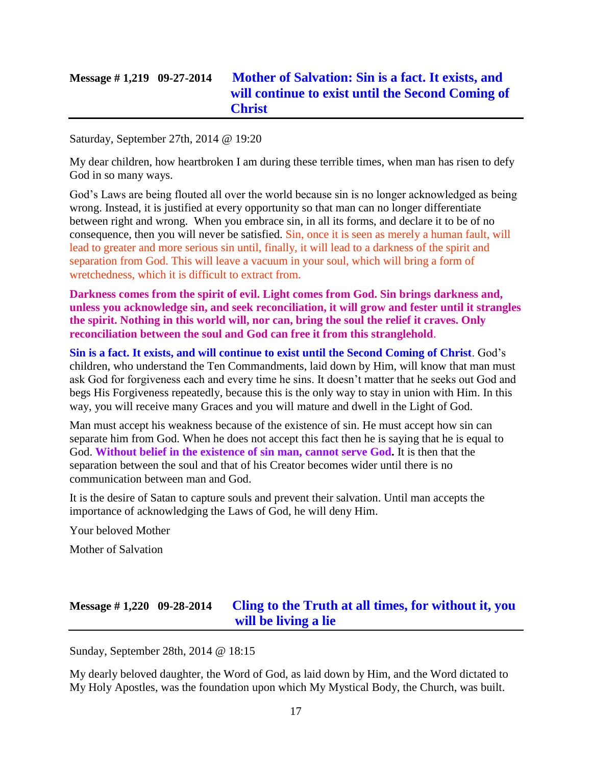# **Message # 1,219 09-27-2014 [Mother of Salvation: Sin is a fact. It exists, and](http://www.thewarningsecondcoming.com/mother-of-salvation-sin-is-a-fact-it-exists-and-will-continue-to-exist-until-the-second-coming-of-christ/)  [will continue to exist until the Second Coming of](http://www.thewarningsecondcoming.com/mother-of-salvation-sin-is-a-fact-it-exists-and-will-continue-to-exist-until-the-second-coming-of-christ/)  [Christ](http://www.thewarningsecondcoming.com/mother-of-salvation-sin-is-a-fact-it-exists-and-will-continue-to-exist-until-the-second-coming-of-christ/)**

Saturday, September 27th, 2014 @ 19:20

My dear children, how heartbroken I am during these terrible times, when man has risen to defy God in so many ways.

God's Laws are being flouted all over the world because sin is no longer acknowledged as being wrong. Instead, it is justified at every opportunity so that man can no longer differentiate between right and wrong. When you embrace sin, in all its forms, and declare it to be of no consequence, then you will never be satisfied. Sin, once it is seen as merely a human fault, will lead to greater and more serious sin until, finally, it will lead to a darkness of the spirit and separation from God. This will leave a vacuum in your soul, which will bring a form of wretchedness, which it is difficult to extract from.

**Darkness comes from the spirit of evil. Light comes from God. Sin brings darkness and, unless you acknowledge sin, and seek reconciliation, it will grow and fester until it strangles the spirit. Nothing in this world will, nor can, bring the soul the relief it craves. Only reconciliation between the soul and God can free it from this stranglehold**.

**Sin is a fact. It exists, and will continue to exist until the Second Coming of Christ**. God's children, who understand the Ten Commandments, laid down by Him, will know that man must ask God for forgiveness each and every time he sins. It doesn't matter that he seeks out God and begs His Forgiveness repeatedly, because this is the only way to stay in union with Him. In this way, you will receive many Graces and you will mature and dwell in the Light of God.

Man must accept his weakness because of the existence of sin. He must accept how sin can separate him from God. When he does not accept this fact then he is saying that he is equal to God. **Without belief in the existence of sin man, cannot serve God.** It is then that the separation between the soul and that of his Creator becomes wider until there is no communication between man and God.

It is the desire of Satan to capture souls and prevent their salvation. Until man accepts the importance of acknowledging the Laws of God, he will deny Him.

Your beloved Mother

Mother of Salvation

# **Message # 1,220 09-28-2014 [Cling to the Truth at all times, for without it, you](http://www.thewarningsecondcoming.com/cling-to-the-truth-at-all-times-for-without-it-you-will-be-living-a-lie/)  [will be living a lie](http://www.thewarningsecondcoming.com/cling-to-the-truth-at-all-times-for-without-it-you-will-be-living-a-lie/)**

Sunday, September 28th, 2014 @ 18:15

My dearly beloved daughter, the Word of God, as laid down by Him, and the Word dictated to My Holy Apostles, was the foundation upon which My Mystical Body, the Church, was built.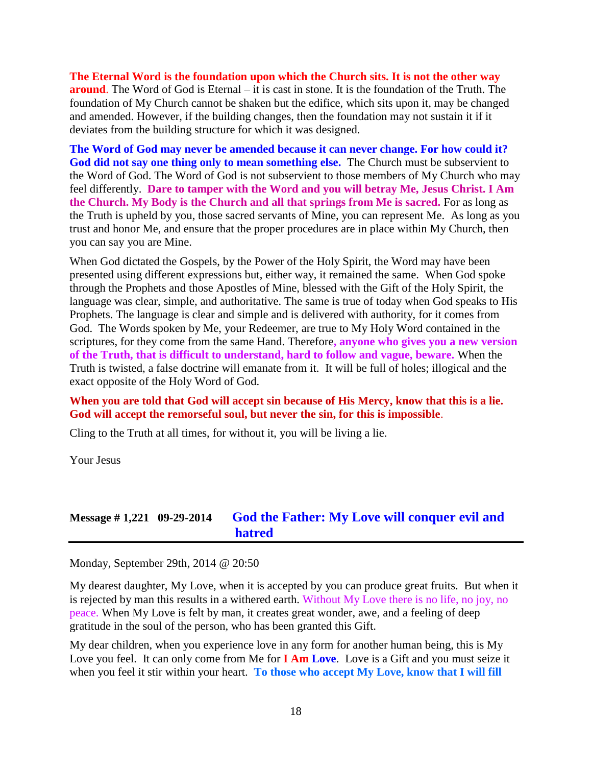**The Eternal Word is the foundation upon which the Church sits. It is not the other way around**. The Word of God is Eternal – it is cast in stone. It is the foundation of the Truth. The foundation of My Church cannot be shaken but the edifice, which sits upon it, may be changed and amended. However, if the building changes, then the foundation may not sustain it if it deviates from the building structure for which it was designed.

**The Word of God may never be amended because it can never change. For how could it? God did not say one thing only to mean something else.** The Church must be subservient to the Word of God. The Word of God is not subservient to those members of My Church who may feel differently. **Dare to tamper with the Word and you will betray Me, Jesus Christ. I Am the Church. My Body is the Church and all that springs from Me is sacred.** For as long as the Truth is upheld by you, those sacred servants of Mine, you can represent Me. As long as you trust and honor Me, and ensure that the proper procedures are in place within My Church, then you can say you are Mine.

When God dictated the Gospels, by the Power of the Holy Spirit, the Word may have been presented using different expressions but, either way, it remained the same. When God spoke through the Prophets and those Apostles of Mine, blessed with the Gift of the Holy Spirit, the language was clear, simple, and authoritative. The same is true of today when God speaks to His Prophets. The language is clear and simple and is delivered with authority, for it comes from God. The Words spoken by Me, your Redeemer, are true to My Holy Word contained in the scriptures, for they come from the same Hand. Therefore**, anyone who gives you a new version of the Truth, that is difficult to understand, hard to follow and vague, beware.** When the Truth is twisted, a false doctrine will emanate from it. It will be full of holes; illogical and the exact opposite of the Holy Word of God.

#### **When you are told that God will accept sin because of His Mercy, know that this is a lie. God will accept the remorseful soul, but never the sin, for this is impossible**.

Cling to the Truth at all times, for without it, you will be living a lie.

Your Jesus

# **Message # 1,221 09-29-2014 [God the Father: My Love will conquer evil and](http://www.thewarningsecondcoming.com/god-the-father-my-love-will-conquer-evil-and-hatred/)  [hatred](http://www.thewarningsecondcoming.com/god-the-father-my-love-will-conquer-evil-and-hatred/)**

Monday, September 29th, 2014 @ 20:50

My dearest daughter, My Love, when it is accepted by you can produce great fruits. But when it is rejected by man this results in a withered earth. Without My Love there is no life, no joy, no peace. When My Love is felt by man, it creates great wonder, awe, and a feeling of deep gratitude in the soul of the person, who has been granted this Gift.

My dear children, when you experience love in any form for another human being, this is My Love you feel. It can only come from Me for **I Am Love**. Love is a Gift and you must seize it when you feel it stir within your heart. To those who accept My Love, know that I will fill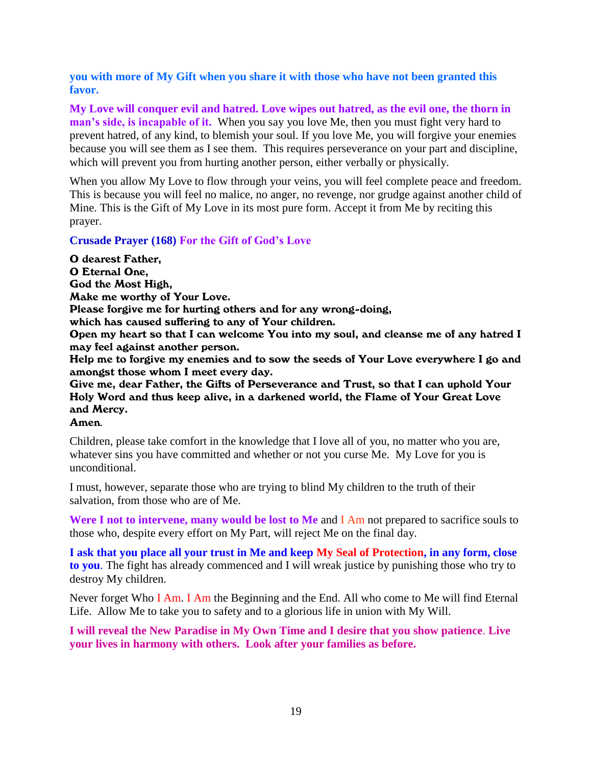**you with more of My Gift when you share it with those who have not been granted this favor.**

**My Love will conquer evil and hatred. Love wipes out hatred, as the evil one, the thorn in man's side, is incapable of it.** When you say you love Me, then you must fight very hard to prevent hatred, of any kind, to blemish your soul. If you love Me, you will forgive your enemies because you will see them as I see them. This requires perseverance on your part and discipline, which will prevent you from hurting another person, either verbally or physically.

When you allow My Love to flow through your veins, you will feel complete peace and freedom. This is because you will feel no malice, no anger, no revenge, nor grudge against another child of Mine. This is the Gift of My Love in its most pure form. Accept it from Me by reciting this prayer.

#### **Crusade Prayer (168) For the Gift of God's Love**

O dearest Father, O Eternal One, God the Most High, Make me worthy of Your Love. Please forgive me for hurting others and for any wrong-doing, which has caused suffering to any of Your children. Open my heart so that I can welcome You into my soul, and cleanse me of any hatred I may feel against another person. Help me to forgive my enemies and to sow the seeds of Your Love everywhere I go and amongst those whom I meet every day. Give me, dear Father, the Gifts of Perseverance and Trust, so that I can uphold Your

Holy Word and thus keep alive, in a darkened world, the Flame of Your Great Love and Mercy.

Amen*.*

Children, please take comfort in the knowledge that I love all of you, no matter who you are, whatever sins you have committed and whether or not you curse Me. My Love for you is unconditional.

I must, however, separate those who are trying to blind My children to the truth of their salvation, from those who are of Me.

**Were I not to intervene, many would be lost to Me** and I Am not prepared to sacrifice souls to those who, despite every effort on My Part, will reject Me on the final day.

**I ask that you place all your trust in Me and keep My Seal of Protection, in any form, close to you**. The fight has already commenced and I will wreak justice by punishing those who try to destroy My children.

Never forget Who I Am. I Am the Beginning and the End. All who come to Me will find Eternal Life. Allow Me to take you to safety and to a glorious life in union with My Will.

**I will reveal the New Paradise in My Own Time and I desire that you show patience**. **Live your lives in harmony with others. Look after your families as before.**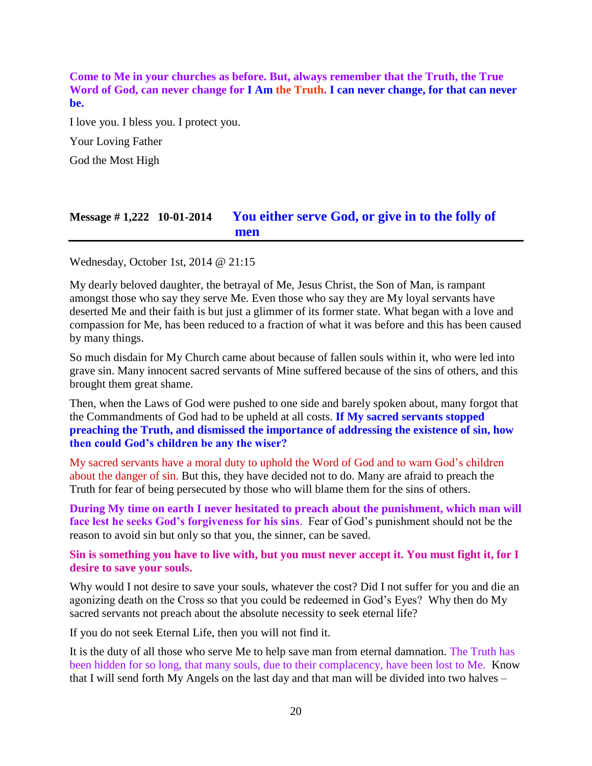**Come to Me in your churches as before. But, always remember that the Truth, the True Word of God, can never change for I Am the Truth. I can never change, for that can never be.**

I love you. I bless you. I protect you. Your Loving Father God the Most High

# **Message # 1,222 10-01-2014 [You either serve God, or give in to the folly of](http://www.thewarningsecondcoming.com/you-either-serve-god-or-give-in-to-the-folly-of-men/)  [men](http://www.thewarningsecondcoming.com/you-either-serve-god-or-give-in-to-the-folly-of-men/)**

Wednesday, October 1st, 2014 @ 21:15

My dearly beloved daughter, the betrayal of Me, Jesus Christ, the Son of Man, is rampant amongst those who say they serve Me. Even those who say they are My loyal servants have deserted Me and their faith is but just a glimmer of its former state. What began with a love and compassion for Me, has been reduced to a fraction of what it was before and this has been caused by many things.

So much disdain for My Church came about because of fallen souls within it, who were led into grave sin. Many innocent sacred servants of Mine suffered because of the sins of others, and this brought them great shame.

Then, when the Laws of God were pushed to one side and barely spoken about, many forgot that the Commandments of God had to be upheld at all costs. **If My sacred servants stopped preaching the Truth, and dismissed the importance of addressing the existence of sin, how then could God's children be any the wiser?**

My sacred servants have a moral duty to uphold the Word of God and to warn God's children about the danger of sin. But this, they have decided not to do. Many are afraid to preach the Truth for fear of being persecuted by those who will blame them for the sins of others.

**During My time on earth I never hesitated to preach about the punishment, which man will face lest he seeks God's forgiveness for his sins**. Fear of God's punishment should not be the reason to avoid sin but only so that you, the sinner, can be saved.

**Sin is something you have to live with, but you must never accept it. You must fight it, for I desire to save your souls.** 

Why would I not desire to save your souls, whatever the cost? Did I not suffer for you and die an agonizing death on the Cross so that you could be redeemed in God's Eyes? Why then do My sacred servants not preach about the absolute necessity to seek eternal life?

If you do not seek Eternal Life, then you will not find it.

It is the duty of all those who serve Me to help save man from eternal damnation. The Truth has been hidden for so long, that many souls, due to their complacency, have been lost to Me. Know that I will send forth My Angels on the last day and that man will be divided into two halves –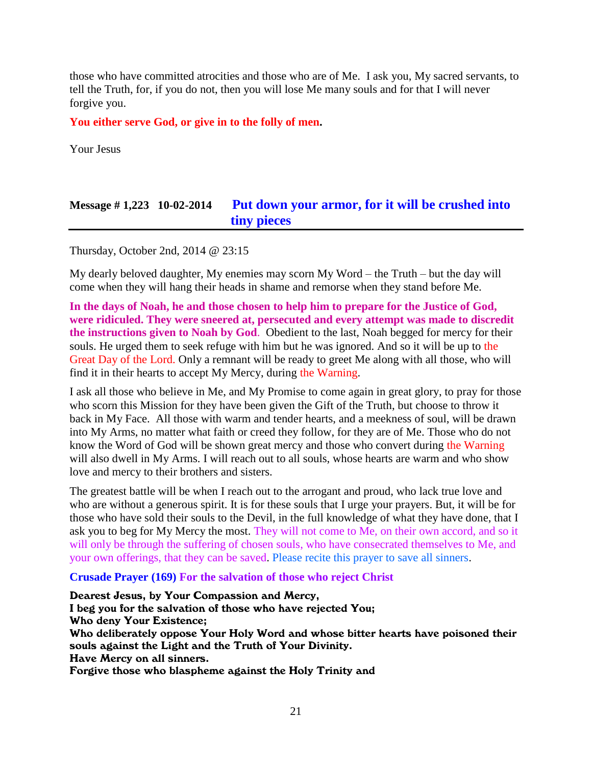those who have committed atrocities and those who are of Me. I ask you, My sacred servants, to tell the Truth, for, if you do not, then you will lose Me many souls and for that I will never forgive you.

**You either serve God, or give in to the folly of men.**

Your Jesus

# **Message # 1,223 10-02-2014 [Put down your armor, for it will be crushed into](http://www.thewarningsecondcoming.com/put-down-your-armour-for-it-will-be-crushed-into-tiny-pieces/)  [tiny pieces](http://www.thewarningsecondcoming.com/put-down-your-armour-for-it-will-be-crushed-into-tiny-pieces/)**

Thursday, October 2nd, 2014 @ 23:15

My dearly beloved daughter, My enemies may scorn My Word – the Truth – but the day will come when they will hang their heads in shame and remorse when they stand before Me.

**In the days of Noah, he and those chosen to help him to prepare for the Justice of God, were ridiculed. They were sneered at, persecuted and every attempt was made to discredit the instructions given to Noah by God**. Obedient to the last, Noah begged for mercy for their souls. He urged them to seek refuge with him but he was ignored. And so it will be up to the Great Day of the Lord. Only a remnant will be ready to greet Me along with all those, who will find it in their hearts to accept My Mercy, during the Warning.

I ask all those who believe in Me, and My Promise to come again in great glory, to pray for those who scorn this Mission for they have been given the Gift of the Truth, but choose to throw it back in My Face. All those with warm and tender hearts, and a meekness of soul, will be drawn into My Arms, no matter what faith or creed they follow, for they are of Me. Those who do not know the Word of God will be shown great mercy and those who convert during the Warning will also dwell in My Arms. I will reach out to all souls, whose hearts are warm and who show love and mercy to their brothers and sisters.

The greatest battle will be when I reach out to the arrogant and proud, who lack true love and who are without a generous spirit. It is for these souls that I urge your prayers. But, it will be for those who have sold their souls to the Devil, in the full knowledge of what they have done, that I ask you to beg for My Mercy the most. They will not come to Me, on their own accord, and so it will only be through the suffering of chosen souls, who have consecrated themselves to Me, and your own offerings, that they can be saved. Please recite this prayer to save all sinners.

#### **Crusade Prayer (169) For the salvation of those who reject Christ**

Dearest Jesus, by Your Compassion and Mercy, I beg you for the salvation of those who have rejected You; Who deny Your Existence; Who deliberately oppose Your Holy Word and whose bitter hearts have poisoned their souls against the Light and the Truth of Your Divinity. Have Mercy on all sinners. Forgive those who blaspheme against the Holy Trinity and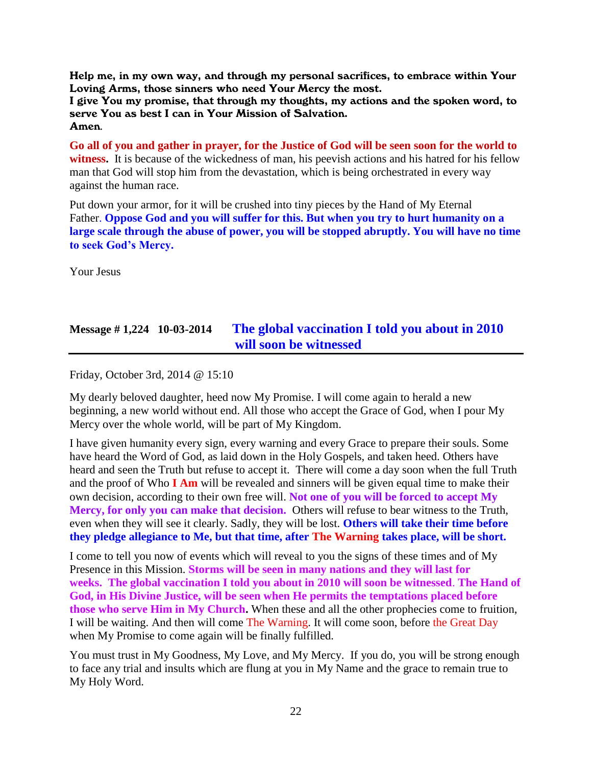Help me, in my own way, and through my personal sacrifices, to embrace within Your Loving Arms, those sinners who need Your Mercy the most.

I give You my promise, that through my thoughts, my actions and the spoken word, to serve You as best I can in Your Mission of Salvation. Amen*.*

**Go all of you and gather in prayer, for the Justice of God will be seen soon for the world to witness.** It is because of the wickedness of man, his peevish actions and his hatred for his fellow man that God will stop him from the devastation, which is being orchestrated in every way against the human race.

Put down your armor, for it will be crushed into tiny pieces by the Hand of My Eternal Father. **Oppose God and you will suffer for this. But when you try to hurt humanity on a large scale through the abuse of power, you will be stopped abruptly. You will have no time to seek God's Mercy.**

Your Jesus

# **Message # 1,224 10-03-2014 [The global vaccination I told you about in 2010](http://www.thewarningsecondcoming.com/the-global-vaccination-i-told-you-about-in-2010-will-soon-be-witnessed/)  [will soon be witnessed](http://www.thewarningsecondcoming.com/the-global-vaccination-i-told-you-about-in-2010-will-soon-be-witnessed/)**

Friday, October 3rd, 2014 @ 15:10

My dearly beloved daughter, heed now My Promise. I will come again to herald a new beginning, a new world without end. All those who accept the Grace of God, when I pour My Mercy over the whole world, will be part of My Kingdom.

I have given humanity every sign, every warning and every Grace to prepare their souls. Some have heard the Word of God, as laid down in the Holy Gospels, and taken heed. Others have heard and seen the Truth but refuse to accept it. There will come a day soon when the full Truth and the proof of Who **I Am** will be revealed and sinners will be given equal time to make their own decision, according to their own free will. **Not one of you will be forced to accept My Mercy, for only you can make that decision.** Others will refuse to bear witness to the Truth, even when they will see it clearly. Sadly, they will be lost. **Others will take their time before they pledge allegiance to Me, but that time, after The Warning takes place, will be short.**

I come to tell you now of events which will reveal to you the signs of these times and of My Presence in this Mission. **Storms will be seen in many nations and they will last for weeks. The global vaccination I told you about in 2010 will soon be witnessed**. **The Hand of God, in His Divine Justice, will be seen when He permits the temptations placed before those who serve Him in My Church.** When these and all the other prophecies come to fruition, I will be waiting. And then will come The Warning. It will come soon, before the Great Day when My Promise to come again will be finally fulfilled.

You must trust in My Goodness, My Love, and My Mercy. If you do, you will be strong enough to face any trial and insults which are flung at you in My Name and the grace to remain true to My Holy Word.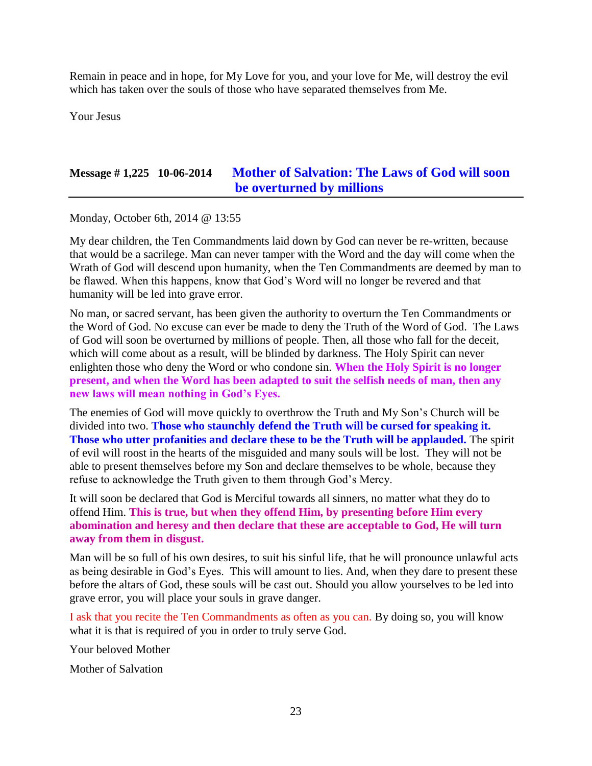Remain in peace and in hope, for My Love for you, and your love for Me, will destroy the evil which has taken over the souls of those who have separated themselves from Me.

Your Jesus

# **Message # 1,225 10-06-2014 [Mother of Salvation: The Laws of God will soon](http://www.thewarningsecondcoming.com/mother-of-salvation-the-laws-of-god-will-soon-be-overturned-by-millions/)  [be overturned by millions](http://www.thewarningsecondcoming.com/mother-of-salvation-the-laws-of-god-will-soon-be-overturned-by-millions/)**

Monday, October 6th, 2014 @ 13:55

My dear children, the Ten Commandments laid down by God can never be re-written, because that would be a sacrilege. Man can never tamper with the Word and the day will come when the Wrath of God will descend upon humanity, when the Ten Commandments are deemed by man to be flawed. When this happens, know that God's Word will no longer be revered and that humanity will be led into grave error.

No man, or sacred servant, has been given the authority to overturn the Ten Commandments or the Word of God. No excuse can ever be made to deny the Truth of the Word of God. The Laws of God will soon be overturned by millions of people. Then, all those who fall for the deceit, which will come about as a result, will be blinded by darkness. The Holy Spirit can never enlighten those who deny the Word or who condone sin. **When the Holy Spirit is no longer present, and when the Word has been adapted to suit the selfish needs of man, then any new laws will mean nothing in God's Eyes.**

The enemies of God will move quickly to overthrow the Truth and My Son's Church will be divided into two. **Those who staunchly defend the Truth will be cursed for speaking it. Those who utter profanities and declare these to be the Truth will be applauded.** The spirit of evil will roost in the hearts of the misguided and many souls will be lost. They will not be able to present themselves before my Son and declare themselves to be whole, because they refuse to acknowledge the Truth given to them through God's Mercy.

It will soon be declared that God is Merciful towards all sinners, no matter what they do to offend Him. **This is true, but when they offend Him, by presenting before Him every abomination and heresy and then declare that these are acceptable to God, He will turn away from them in disgust.**

Man will be so full of his own desires, to suit his sinful life, that he will pronounce unlawful acts as being desirable in God's Eyes. This will amount to lies. And, when they dare to present these before the altars of God, these souls will be cast out. Should you allow yourselves to be led into grave error, you will place your souls in grave danger.

I ask that you recite the Ten Commandments as often as you can. By doing so, you will know what it is that is required of you in order to truly serve God.

Your beloved Mother

Mother of Salvation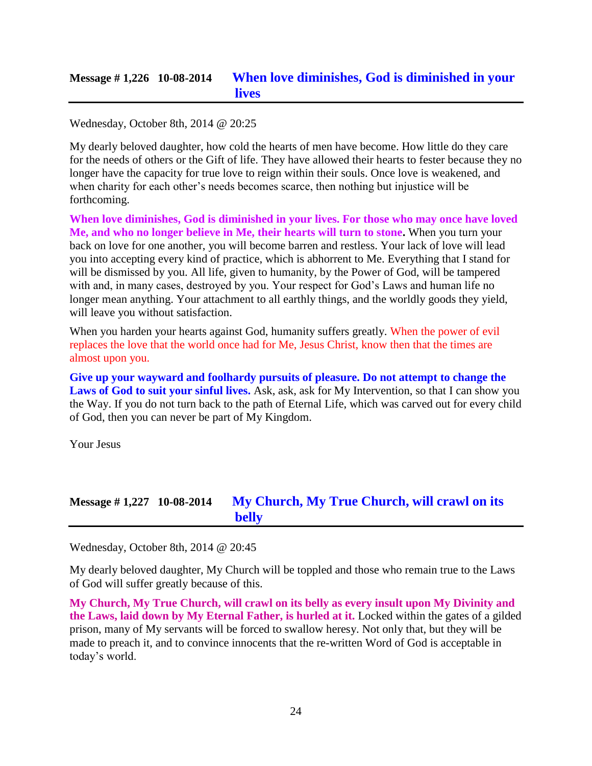# **Message # 1,226 10-08-2014 [When love diminishes, God is diminished in your](http://www.thewarningsecondcoming.com/when-love-diminishes-god-is-diminished-in-your-lives/)  [lives](http://www.thewarningsecondcoming.com/when-love-diminishes-god-is-diminished-in-your-lives/)**

Wednesday, October 8th, 2014 @ 20:25

My dearly beloved daughter, how cold the hearts of men have become. How little do they care for the needs of others or the Gift of life. They have allowed their hearts to fester because they no longer have the capacity for true love to reign within their souls. Once love is weakened, and when charity for each other's needs becomes scarce, then nothing but injustice will be forthcoming.

**When love diminishes, God is diminished in your lives. For those who may once have loved Me, and who no longer believe in Me, their hearts will turn to stone.** When you turn your back on love for one another, you will become barren and restless. Your lack of love will lead you into accepting every kind of practice, which is abhorrent to Me. Everything that I stand for will be dismissed by you. All life, given to humanity, by the Power of God, will be tampered with and, in many cases, destroyed by you. Your respect for God's Laws and human life no longer mean anything. Your attachment to all earthly things, and the worldly goods they yield, will leave you without satisfaction.

When you harden your hearts against God, humanity suffers greatly. When the power of evil replaces the love that the world once had for Me, Jesus Christ, know then that the times are almost upon you.

**Give up your wayward and foolhardy pursuits of pleasure. Do not attempt to change the**  Laws of God to suit your sinful lives. Ask, ask, ask for My Intervention, so that I can show you the Way. If you do not turn back to the path of Eternal Life, which was carved out for every child of God, then you can never be part of My Kingdom.

Your Jesus

# **Message # 1,227 10-08-2014 [My Church, My True Church, will crawl on its](http://www.thewarningsecondcoming.com/my-church-my-true-church-will-crawl-on-its-belly/)  [belly](http://www.thewarningsecondcoming.com/my-church-my-true-church-will-crawl-on-its-belly/)**

Wednesday, October 8th, 2014 @ 20:45

My dearly beloved daughter, My Church will be toppled and those who remain true to the Laws of God will suffer greatly because of this.

**My Church, My True Church, will crawl on its belly as every insult upon My Divinity and the Laws, laid down by My Eternal Father, is hurled at it.** Locked within the gates of a gilded prison, many of My servants will be forced to swallow heresy. Not only that, but they will be made to preach it, and to convince innocents that the re-written Word of God is acceptable in today's world.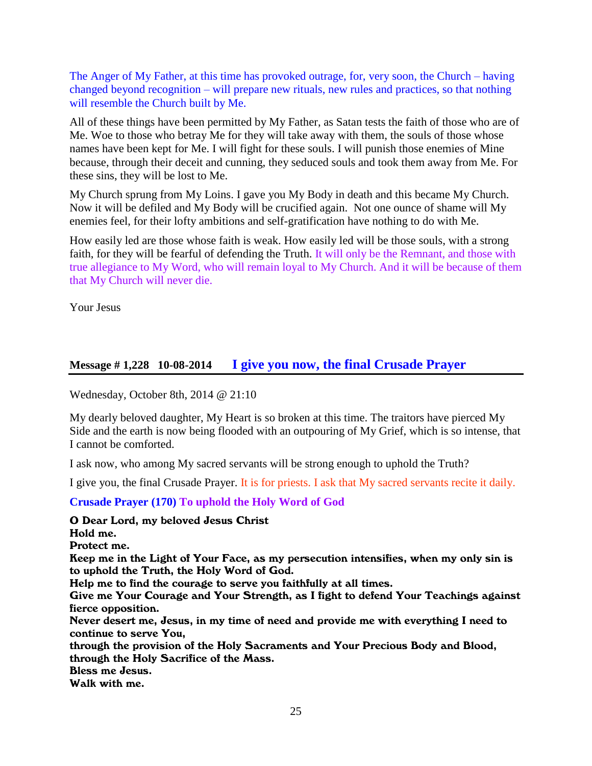The Anger of My Father, at this time has provoked outrage, for, very soon, the Church – having changed beyond recognition – will prepare new rituals, new rules and practices, so that nothing will resemble the Church built by Me.

All of these things have been permitted by My Father, as Satan tests the faith of those who are of Me. Woe to those who betray Me for they will take away with them, the souls of those whose names have been kept for Me. I will fight for these souls. I will punish those enemies of Mine because, through their deceit and cunning, they seduced souls and took them away from Me. For these sins, they will be lost to Me.

My Church sprung from My Loins. I gave you My Body in death and this became My Church. Now it will be defiled and My Body will be crucified again. Not one ounce of shame will My enemies feel, for their lofty ambitions and self-gratification have nothing to do with Me.

How easily led are those whose faith is weak. How easily led will be those souls, with a strong faith, for they will be fearful of defending the Truth. It will only be the Remnant, and those with true allegiance to My Word, who will remain loyal to My Church. And it will be because of them that My Church will never die.

Your Jesus

#### **Message # 1,228 10-08-2014 [I give you now, the final Crusade Prayer](http://www.thewarningsecondcoming.com/i-give-you-now-the-final-crusade-prayer/)**

Wednesday, October 8th, 2014 @ 21:10

My dearly beloved daughter, My Heart is so broken at this time. The traitors have pierced My Side and the earth is now being flooded with an outpouring of My Grief, which is so intense, that I cannot be comforted.

I ask now, who among My sacred servants will be strong enough to uphold the Truth?

I give you, the final Crusade Prayer. It is for priests. I ask that My sacred servants recite it daily.

**Crusade Prayer (170) To uphold the Holy Word of God**

O Dear Lord, my beloved Jesus Christ

Hold me.

Protect me.

Keep me in the Light of Your Face, as my persecution intensifies, when my only sin is to uphold the Truth, the Holy Word of God.

Help me to find the courage to serve you faithfully at all times.

Give me Your Courage and Your Strength, as I fight to defend Your Teachings against fierce opposition.

Never desert me, Jesus, in my time of need and provide me with everything I need to continue to serve You,

through the provision of the Holy Sacraments and Your Precious Body and Blood, through the Holy Sacrifice of the Mass.

Bless me Jesus.

Walk with me.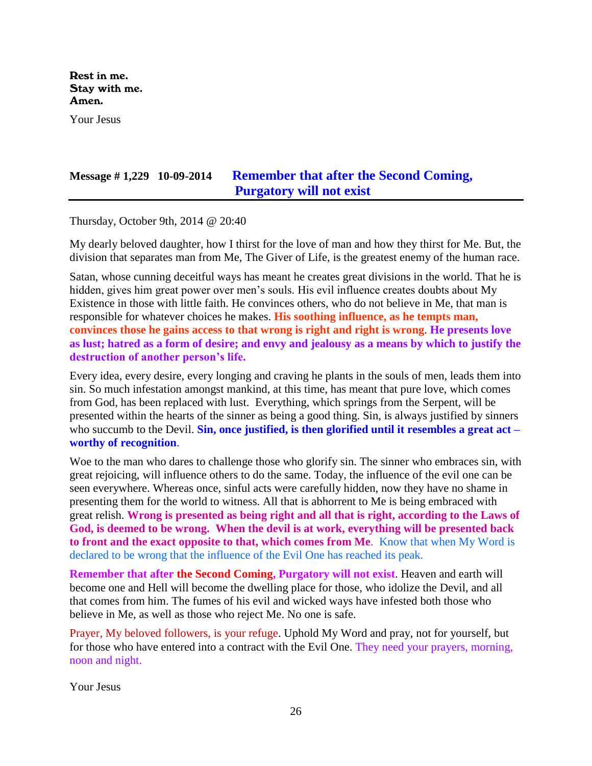Rest in me. Stay with me. Amen.

Your Jesus

# **Message # 1,229 10-09-2014 [Remember that after the Second Coming,](http://www.thewarningsecondcoming.com/remember-that-after-the-second-coming-purgatory-will-not-exist/)  [Purgatory will not exist](http://www.thewarningsecondcoming.com/remember-that-after-the-second-coming-purgatory-will-not-exist/)**

Thursday, October 9th, 2014 @ 20:40

My dearly beloved daughter, how I thirst for the love of man and how they thirst for Me. But, the division that separates man from Me, The Giver of Life, is the greatest enemy of the human race.

Satan, whose cunning deceitful ways has meant he creates great divisions in the world. That he is hidden, gives him great power over men's souls. His evil influence creates doubts about My Existence in those with little faith. He convinces others, who do not believe in Me, that man is responsible for whatever choices he makes. **His soothing influence, as he tempts man, convinces those he gains access to that wrong is right and right is wrong**. **He presents love as lust; hatred as a form of desire; and envy and jealousy as a means by which to justify the destruction of another person's life.**

Every idea, every desire, every longing and craving he plants in the souls of men, leads them into sin. So much infestation amongst mankind, at this time, has meant that pure love, which comes from God, has been replaced with lust. Everything, which springs from the Serpent, will be presented within the hearts of the sinner as being a good thing. Sin, is always justified by sinners who succumb to the Devil. **Sin, once justified, is then glorified until it resembles a great act – worthy of recognition**.

Woe to the man who dares to challenge those who glorify sin. The sinner who embraces sin, with great rejoicing, will influence others to do the same. Today, the influence of the evil one can be seen everywhere. Whereas once, sinful acts were carefully hidden, now they have no shame in presenting them for the world to witness. All that is abhorrent to Me is being embraced with great relish. **Wrong is presented as being right and all that is right, according to the Laws of God, is deemed to be wrong. When the devil is at work, everything will be presented back to front and the exact opposite to that, which comes from Me**. Know that when My Word is declared to be wrong that the influence of the Evil One has reached its peak.

**Remember that after the Second Coming, Purgatory will not exist**. Heaven and earth will become one and Hell will become the dwelling place for those, who idolize the Devil, and all that comes from him. The fumes of his evil and wicked ways have infested both those who believe in Me, as well as those who reject Me. No one is safe.

Prayer, My beloved followers, is your refuge. Uphold My Word and pray, not for yourself, but for those who have entered into a contract with the Evil One. They need your prayers, morning, noon and night.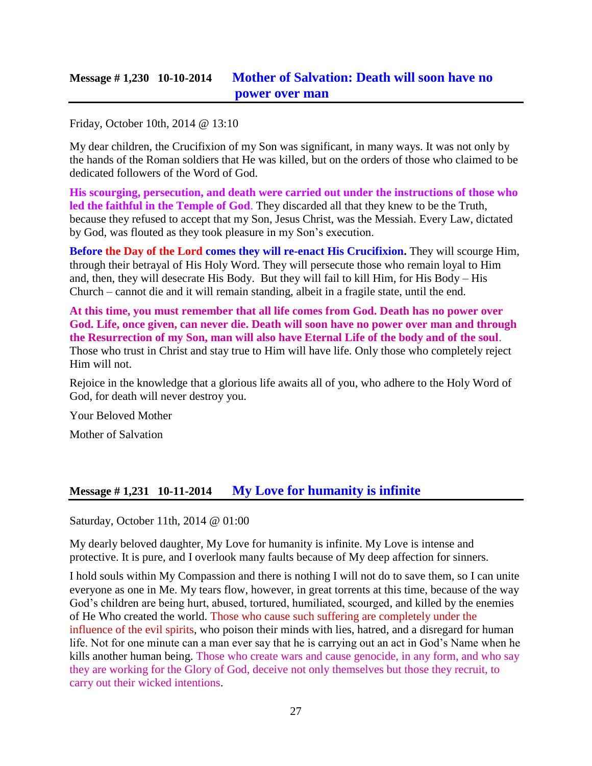# **Message # 1,230 10-10-2014 [Mother of Salvation: Death will soon have no](http://www.thewarningsecondcoming.com/mother-of-salvation-death-will-soon-have-no-power-over-man/)  [power over man](http://www.thewarningsecondcoming.com/mother-of-salvation-death-will-soon-have-no-power-over-man/)**

Friday, October 10th, 2014 @ 13:10

My dear children, the Crucifixion of my Son was significant, in many ways. It was not only by the hands of the Roman soldiers that He was killed, but on the orders of those who claimed to be dedicated followers of the Word of God.

**His scourging, persecution, and death were carried out under the instructions of those who led the faithful in the Temple of God**. They discarded all that they knew to be the Truth, because they refused to accept that my Son, Jesus Christ, was the Messiah. Every Law, dictated by God, was flouted as they took pleasure in my Son's execution.

**Before the Day of the Lord comes they will re-enact His Crucifixion.** They will scourge Him, through their betrayal of His Holy Word. They will persecute those who remain loyal to Him and, then, they will desecrate His Body. But they will fail to kill Him, for His Body – His Church – cannot die and it will remain standing, albeit in a fragile state, until the end.

**At this time, you must remember that all life comes from God. Death has no power over God. Life, once given, can never die. Death will soon have no power over man and through the Resurrection of my Son, man will also have Eternal Life of the body and of the soul**. Those who trust in Christ and stay true to Him will have life. Only those who completely reject Him will not.

Rejoice in the knowledge that a glorious life awaits all of you, who adhere to the Holy Word of God, for death will never destroy you.

Your Beloved Mother

Mother of Salvation

### **Message # 1,231 10-11-2014 [My Love for humanity is infinite](http://www.thewarningsecondcoming.com/my-love-for-humanity-is-infinite/)**

Saturday, October 11th, 2014 @ 01:00

My dearly beloved daughter, My Love for humanity is infinite. My Love is intense and protective. It is pure, and I overlook many faults because of My deep affection for sinners.

I hold souls within My Compassion and there is nothing I will not do to save them, so I can unite everyone as one in Me. My tears flow, however, in great torrents at this time, because of the way God's children are being hurt, abused, tortured, humiliated, scourged, and killed by the enemies of He Who created the world. Those who cause such suffering are completely under the influence of the evil spirits, who poison their minds with lies, hatred, and a disregard for human life. Not for one minute can a man ever say that he is carrying out an act in God's Name when he kills another human being. Those who create wars and cause genocide, in any form, and who say they are working for the Glory of God, deceive not only themselves but those they recruit, to carry out their wicked intentions.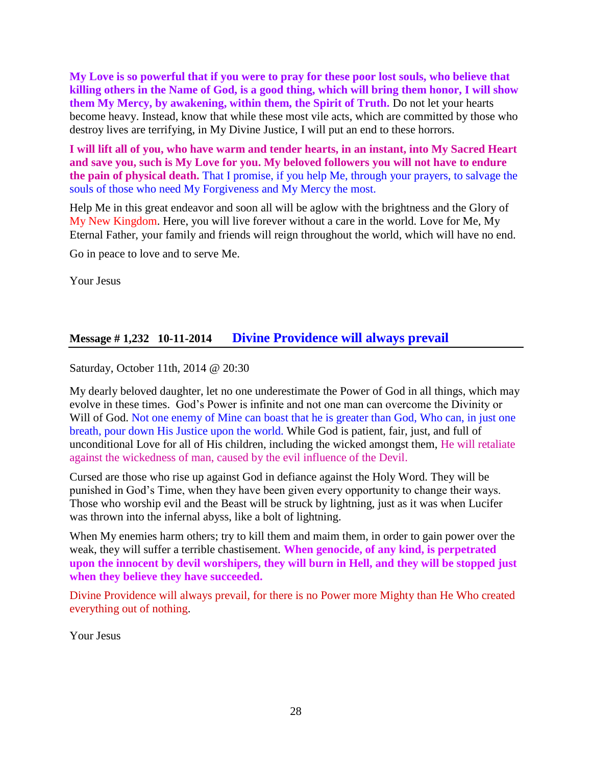**My Love is so powerful that if you were to pray for these poor lost souls, who believe that killing others in the Name of God, is a good thing, which will bring them honor, I will show them My Mercy, by awakening, within them, the Spirit of Truth.** Do not let your hearts become heavy. Instead, know that while these most vile acts, which are committed by those who destroy lives are terrifying, in My Divine Justice, I will put an end to these horrors.

**I will lift all of you, who have warm and tender hearts, in an instant, into My Sacred Heart and save you, such is My Love for you. My beloved followers you will not have to endure the pain of physical death.** That I promise, if you help Me, through your prayers, to salvage the souls of those who need My Forgiveness and My Mercy the most.

Help Me in this great endeavor and soon all will be aglow with the brightness and the Glory of My New Kingdom. Here, you will live forever without a care in the world. Love for Me, My Eternal Father, your family and friends will reign throughout the world, which will have no end.

Go in peace to love and to serve Me.

Your Jesus

### **Message # 1,232 10-11-2014 [Divine Providence will always prevail](http://www.thewarningsecondcoming.com/divine-providence-will-always-prevail/)**

Saturday, October 11th, 2014 @ 20:30

My dearly beloved daughter, let no one underestimate the Power of God in all things, which may evolve in these times. God's Power is infinite and not one man can overcome the Divinity or Will of God. Not one enemy of Mine can boast that he is greater than God, Who can, in just one breath, pour down His Justice upon the world. While God is patient, fair, just, and full of unconditional Love for all of His children, including the wicked amongst them, He will retaliate against the wickedness of man, caused by the evil influence of the Devil.

Cursed are those who rise up against God in defiance against the Holy Word. They will be punished in God's Time, when they have been given every opportunity to change their ways. Those who worship evil and the Beast will be struck by lightning, just as it was when Lucifer was thrown into the infernal abyss, like a bolt of lightning.

When My enemies harm others; try to kill them and maim them, in order to gain power over the weak, they will suffer a terrible chastisement. **When genocide, of any kind, is perpetrated upon the innocent by devil worshipers, they will burn in Hell, and they will be stopped just when they believe they have succeeded.**

Divine Providence will always prevail, for there is no Power more Mighty than He Who created everything out of nothing.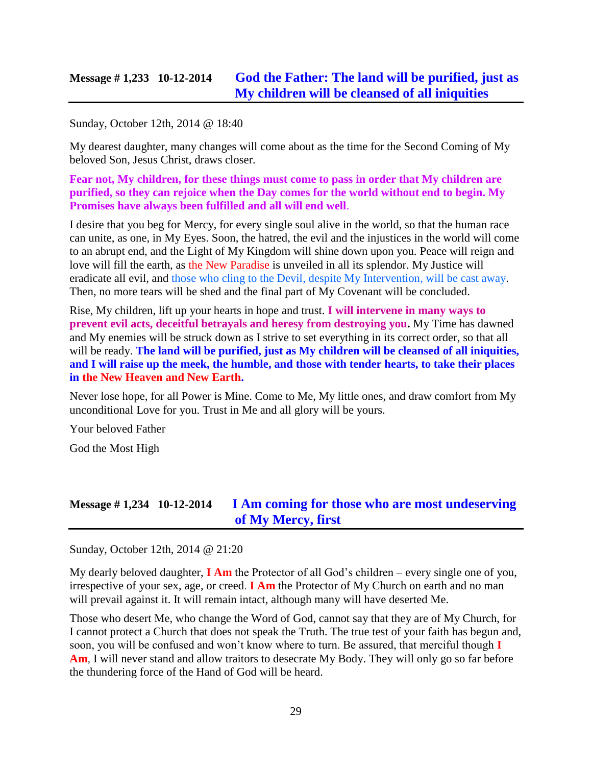### **Message # 1,233 10-12-2014 [God the Father: The land will be purified, just as](http://www.thewarningsecondcoming.com/god-the-father-the-land-will-be-purified-just-as-my-children-will-be-cleansed-of-all-iniquities/)  [My children will be cleansed of all iniquities](http://www.thewarningsecondcoming.com/god-the-father-the-land-will-be-purified-just-as-my-children-will-be-cleansed-of-all-iniquities/)**

Sunday, October 12th, 2014 @ 18:40

My dearest daughter, many changes will come about as the time for the Second Coming of My beloved Son, Jesus Christ, draws closer.

**Fear not, My children, for these things must come to pass in order that My children are purified, so they can rejoice when the Day comes for the world without end to begin. My Promises have always been fulfilled and all will end well**.

I desire that you beg for Mercy, for every single soul alive in the world, so that the human race can unite, as one, in My Eyes. Soon, the hatred, the evil and the injustices in the world will come to an abrupt end, and the Light of My Kingdom will shine down upon you. Peace will reign and love will fill the earth, as the New Paradise is unveiled in all its splendor. My Justice will eradicate all evil, and those who cling to the Devil, despite My Intervention, will be cast away. Then, no more tears will be shed and the final part of My Covenant will be concluded.

Rise, My children, lift up your hearts in hope and trust. **I will intervene in many ways to prevent evil acts, deceitful betrayals and heresy from destroying you.** My Time has dawned and My enemies will be struck down as I strive to set everything in its correct order, so that all will be ready. **The land will be purified, just as My children will be cleansed of all iniquities, and I will raise up the meek, the humble, and those with tender hearts, to take their places in the New Heaven and New Earth.**

Never lose hope, for all Power is Mine. Come to Me, My little ones, and draw comfort from My unconditional Love for you. Trust in Me and all glory will be yours.

Your beloved Father

God the Most High

### **Message # 1,234 10-12-2014 [I Am coming for those who are most undeserving](http://www.thewarningsecondcoming.com/i-am-coming-for-those-who-are-most-undeserving-of-my-mercy-first/)  [of My Mercy, first](http://www.thewarningsecondcoming.com/i-am-coming-for-those-who-are-most-undeserving-of-my-mercy-first/)**

Sunday, October 12th, 2014 @ 21:20

My dearly beloved daughter, **I Am** the Protector of all God's children – every single one of you, irrespective of your sex, age, or creed. **I Am** the Protector of My Church on earth and no man will prevail against it. It will remain intact, although many will have deserted Me.

Those who desert Me, who change the Word of God, cannot say that they are of My Church, for I cannot protect a Church that does not speak the Truth. The true test of your faith has begun and, soon, you will be confused and won't know where to turn. Be assured, that merciful though **I**  Am, I will never stand and allow traitors to desecrate My Body. They will only go so far before the thundering force of the Hand of God will be heard.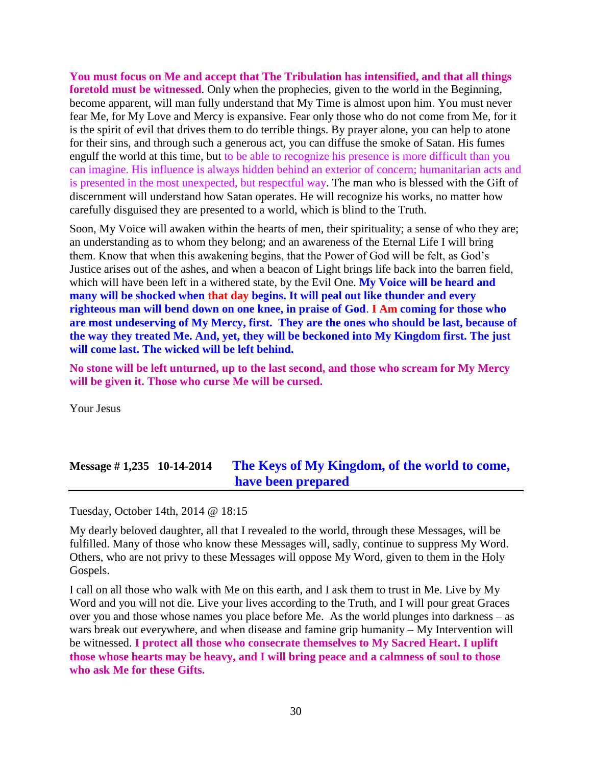**You must focus on Me and accept that The Tribulation has intensified, and that all things foretold must be witnessed**. Only when the prophecies, given to the world in the Beginning, become apparent, will man fully understand that My Time is almost upon him. You must never fear Me, for My Love and Mercy is expansive. Fear only those who do not come from Me, for it is the spirit of evil that drives them to do terrible things. By prayer alone, you can help to atone for their sins, and through such a generous act, you can diffuse the smoke of Satan. His fumes engulf the world at this time, but to be able to recognize his presence is more difficult than you can imagine. His influence is always hidden behind an exterior of concern; humanitarian acts and is presented in the most unexpected, but respectful way. The man who is blessed with the Gift of discernment will understand how Satan operates. He will recognize his works, no matter how carefully disguised they are presented to a world, which is blind to the Truth.

Soon, My Voice will awaken within the hearts of men, their spirituality; a sense of who they are; an understanding as to whom they belong; and an awareness of the Eternal Life I will bring them. Know that when this awakening begins, that the Power of God will be felt, as God's Justice arises out of the ashes, and when a beacon of Light brings life back into the barren field, which will have been left in a withered state, by the Evil One. **My Voice will be heard and many will be shocked when that day begins. It will peal out like thunder and every righteous man will bend down on one knee, in praise of God**. **I Am coming for those who are most undeserving of My Mercy, first. They are the ones who should be last, because of the way they treated Me. And, yet, they will be beckoned into My Kingdom first. The just will come last. The wicked will be left behind.**

**No stone will be left unturned, up to the last second, and those who scream for My Mercy will be given it. Those who curse Me will be cursed.**

Your Jesus

# **Message # 1,235 10-14-2014 [The Keys of My Kingdom, of the world to come,](http://www.thewarningsecondcoming.com/the-keys-of-my-kingdom-of-the-world-to-come-have-been-prepared/)  [have been prepared](http://www.thewarningsecondcoming.com/the-keys-of-my-kingdom-of-the-world-to-come-have-been-prepared/)**

Tuesday, October 14th, 2014 @ 18:15

My dearly beloved daughter, all that I revealed to the world, through these Messages, will be fulfilled. Many of those who know these Messages will, sadly, continue to suppress My Word. Others, who are not privy to these Messages will oppose My Word, given to them in the Holy Gospels.

I call on all those who walk with Me on this earth, and I ask them to trust in Me. Live by My Word and you will not die. Live your lives according to the Truth, and I will pour great Graces over you and those whose names you place before Me. As the world plunges into darkness – as wars break out everywhere, and when disease and famine grip humanity – My Intervention will be witnessed. **I protect all those who consecrate themselves to My Sacred Heart. I uplift those whose hearts may be heavy, and I will bring peace and a calmness of soul to those who ask Me for these Gifts.**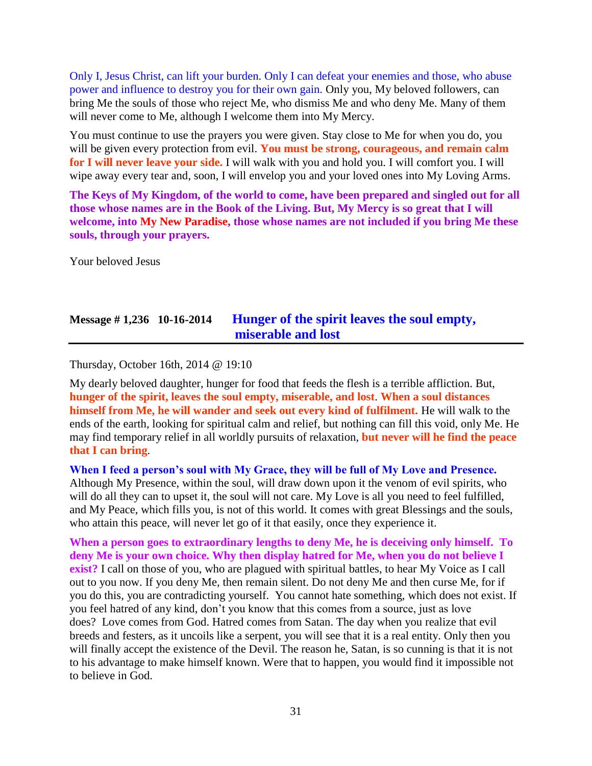Only I, Jesus Christ, can lift your burden. Only I can defeat your enemies and those, who abuse power and influence to destroy you for their own gain. Only you, My beloved followers, can bring Me the souls of those who reject Me, who dismiss Me and who deny Me. Many of them will never come to Me, although I welcome them into My Mercy.

You must continue to use the prayers you were given. Stay close to Me for when you do, you will be given every protection from evil. You must be strong, courageous, and remain calm **for I will never leave your side.** I will walk with you and hold you. I will comfort you. I will wipe away every tear and, soon, I will envelop you and your loved ones into My Loving Arms.

**The Keys of My Kingdom, of the world to come, have been prepared and singled out for all those whose names are in the Book of the Living. But, My Mercy is so great that I will welcome, into My New Paradise, those whose names are not included if you bring Me these souls, through your prayers.**

Your beloved Jesus

# **Message # 1,236 10-16-2014 [Hunger of the spirit leaves the soul empty,](http://www.thewarningsecondcoming.com/hunger-of-the-spirit-leaves-the-soul-empty-miserable-and-lost/)  [miserable and lost](http://www.thewarningsecondcoming.com/hunger-of-the-spirit-leaves-the-soul-empty-miserable-and-lost/)**

Thursday, October 16th, 2014 @ 19:10

My dearly beloved daughter, hunger for food that feeds the flesh is a terrible affliction. But, **hunger of the spirit, leaves the soul empty, miserable, and lost**. **When a soul distances himself from Me, he will wander and seek out every kind of fulfilment.** He will walk to the ends of the earth, looking for spiritual calm and relief, but nothing can fill this void, only Me. He may find temporary relief in all worldly pursuits of relaxation, **but never will he find the peace that I can bring**.

**When I feed a person's soul with My Grace, they will be full of My Love and Presence.** Although My Presence, within the soul, will draw down upon it the venom of evil spirits, who will do all they can to upset it, the soul will not care. My Love is all you need to feel fulfilled, and My Peace, which fills you, is not of this world. It comes with great Blessings and the souls, who attain this peace, will never let go of it that easily, once they experience it.

**When a person goes to extraordinary lengths to deny Me, he is deceiving only himself. To deny Me is your own choice. Why then display hatred for Me, when you do not believe I exist?** I call on those of you, who are plagued with spiritual battles, to hear My Voice as I call out to you now. If you deny Me, then remain silent. Do not deny Me and then curse Me, for if you do this, you are contradicting yourself. You cannot hate something, which does not exist. If you feel hatred of any kind, don't you know that this comes from a source, just as love does? Love comes from God. Hatred comes from Satan. The day when you realize that evil breeds and festers, as it uncoils like a serpent, you will see that it is a real entity. Only then you will finally accept the existence of the Devil. The reason he, Satan, is so cunning is that it is not to his advantage to make himself known. Were that to happen, you would find it impossible not to believe in God.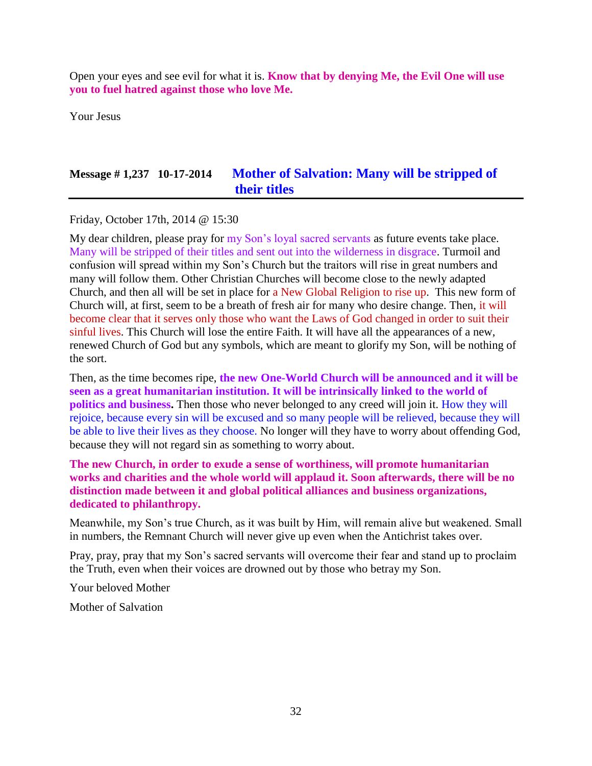Open your eyes and see evil for what it is. **Know that by denying Me, the Evil One will use you to fuel hatred against those who love Me.**

Your Jesus

# **Message # 1,237 10-17-2014 [Mother of Salvation: Many will be stripped of](http://www.thewarningsecondcoming.com/mother-of-salvation-many-will-be-stripped-of-their-titles/)  [their titles](http://www.thewarningsecondcoming.com/mother-of-salvation-many-will-be-stripped-of-their-titles/)**

Friday, October 17th, 2014 @ 15:30

My dear children, please pray for my Son's loyal sacred servants as future events take place. Many will be stripped of their titles and sent out into the wilderness in disgrace. Turmoil and confusion will spread within my Son's Church but the traitors will rise in great numbers and many will follow them. Other Christian Churches will become close to the newly adapted Church, and then all will be set in place for a New Global Religion to rise up. This new form of Church will, at first, seem to be a breath of fresh air for many who desire change. Then, it will become clear that it serves only those who want the Laws of God changed in order to suit their sinful lives. This Church will lose the entire Faith. It will have all the appearances of a new, renewed Church of God but any symbols, which are meant to glorify my Son, will be nothing of the sort.

Then, as the time becomes ripe, **the new One-World Church will be announced and it will be seen as a great humanitarian institution. It will be intrinsically linked to the world of politics and business.** Then those who never belonged to any creed will join it. How they will rejoice, because every sin will be excused and so many people will be relieved, because they will be able to live their lives as they choose. No longer will they have to worry about offending God, because they will not regard sin as something to worry about.

**The new Church, in order to exude a sense of worthiness, will promote humanitarian works and charities and the whole world will applaud it. Soon afterwards, there will be no distinction made between it and global political alliances and business organizations, dedicated to philanthropy.**

Meanwhile, my Son's true Church, as it was built by Him, will remain alive but weakened. Small in numbers, the Remnant Church will never give up even when the Antichrist takes over.

Pray, pray, pray that my Son's sacred servants will overcome their fear and stand up to proclaim the Truth, even when their voices are drowned out by those who betray my Son.

Your beloved Mother

Mother of Salvation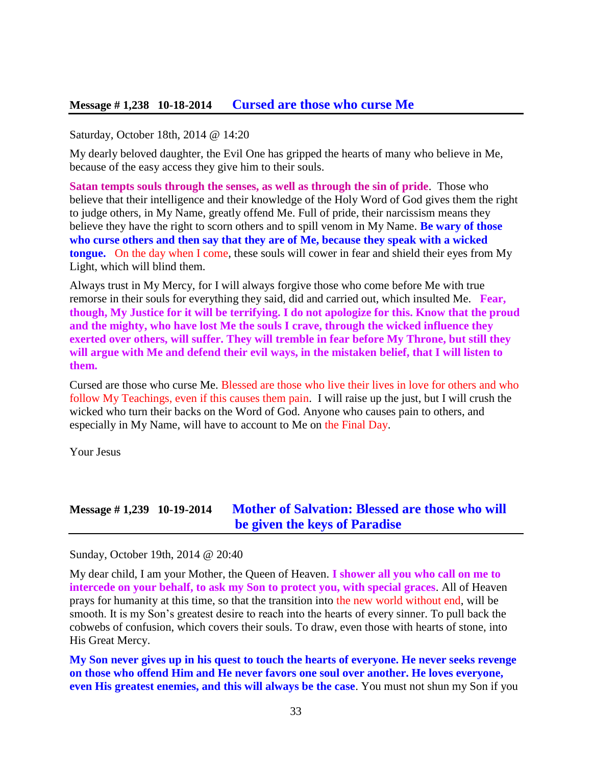#### **Message # 1,238 10-18-2014 [Cursed are those who curse Me](http://www.thewarningsecondcoming.com/cursed-are-those-who-curse-me/)**

#### Saturday, October 18th, 2014 @ 14:20

My dearly beloved daughter, the Evil One has gripped the hearts of many who believe in Me, because of the easy access they give him to their souls.

**Satan tempts souls through the senses, as well as through the sin of pride**. Those who believe that their intelligence and their knowledge of the Holy Word of God gives them the right to judge others, in My Name, greatly offend Me. Full of pride, their narcissism means they believe they have the right to scorn others and to spill venom in My Name. **Be wary of those who curse others and then say that they are of Me, because they speak with a wicked tongue.** On the day when I come, these souls will cower in fear and shield their eyes from My Light, which will blind them.

Always trust in My Mercy, for I will always forgive those who come before Me with true remorse in their souls for everything they said, did and carried out, which insulted Me. **Fear, though, My Justice for it will be terrifying. I do not apologize for this. Know that the proud and the mighty, who have lost Me the souls I crave, through the wicked influence they exerted over others, will suffer. They will tremble in fear before My Throne, but still they will argue with Me and defend their evil ways, in the mistaken belief, that I will listen to them.**

Cursed are those who curse Me. Blessed are those who live their lives in love for others and who follow My Teachings, even if this causes them pain. I will raise up the just, but I will crush the wicked who turn their backs on the Word of God. Anyone who causes pain to others, and especially in My Name, will have to account to Me on the Final Day.

Your Jesus

#### **Message # 1,239 10-19-2014 [Mother of Salvation: Blessed are those who will](http://www.thewarningsecondcoming.com/mother-of-salvation-blessed-are-those-who-will-be-given-the-keys-of-paradise/)  [be given the keys of Paradise](http://www.thewarningsecondcoming.com/mother-of-salvation-blessed-are-those-who-will-be-given-the-keys-of-paradise/)**

Sunday, October 19th, 2014 @ 20:40

My dear child, I am your Mother, the Queen of Heaven. **I shower all you who call on me to intercede on your behalf, to ask my Son to protect you, with special graces**. All of Heaven prays for humanity at this time, so that the transition into the new world without end, will be smooth. It is my Son's greatest desire to reach into the hearts of every sinner. To pull back the cobwebs of confusion, which covers their souls. To draw, even those with hearts of stone, into His Great Mercy.

**My Son never gives up in his quest to touch the hearts of everyone. He never seeks revenge on those who offend Him and He never favors one soul over another. He loves everyone, even His greatest enemies, and this will always be the case**. You must not shun my Son if you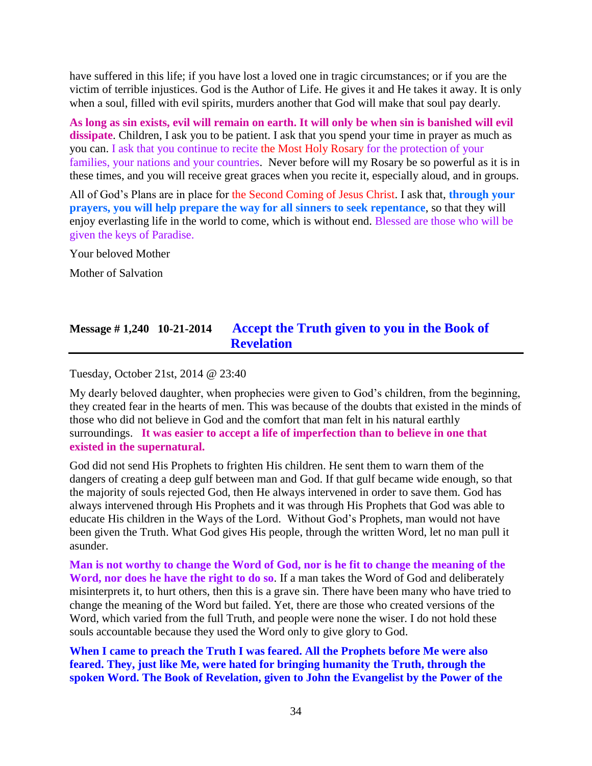have suffered in this life; if you have lost a loved one in tragic circumstances; or if you are the victim of terrible injustices. God is the Author of Life. He gives it and He takes it away. It is only when a soul, filled with evil spirits, murders another that God will make that soul pay dearly.

**As long as sin exists, evil will remain on earth. It will only be when sin is banished will evil dissipate**. Children, I ask you to be patient. I ask that you spend your time in prayer as much as you can. I ask that you continue to recite the Most Holy Rosary for the protection of your families, your nations and your countries. Never before will my Rosary be so powerful as it is in these times, and you will receive great graces when you recite it, especially aloud, and in groups.

All of God's Plans are in place for the Second Coming of Jesus Christ. I ask that, **through your prayers, you will help prepare the way for all sinners to seek repentance**, so that they will enjoy everlasting life in the world to come, which is without end. Blessed are those who will be given the keys of Paradise.

Your beloved Mother

Mother of Salvation

### **Message # 1,240 10-21-2014 [Accept the Truth given to you in the Book of](http://www.thewarningsecondcoming.com/accept-the-truth-given-to-you-in-the-book-of-revelation/)  [Revelation](http://www.thewarningsecondcoming.com/accept-the-truth-given-to-you-in-the-book-of-revelation/)**

Tuesday, October 21st, 2014 @ 23:40

My dearly beloved daughter, when prophecies were given to God's children, from the beginning, they created fear in the hearts of men. This was because of the doubts that existed in the minds of those who did not believe in God and the comfort that man felt in his natural earthly surroundings. **It was easier to accept a life of imperfection than to believe in one that existed in the supernatural.**

God did not send His Prophets to frighten His children. He sent them to warn them of the dangers of creating a deep gulf between man and God. If that gulf became wide enough, so that the majority of souls rejected God, then He always intervened in order to save them. God has always intervened through His Prophets and it was through His Prophets that God was able to educate His children in the Ways of the Lord. Without God's Prophets, man would not have been given the Truth. What God gives His people, through the written Word, let no man pull it asunder.

**Man is not worthy to change the Word of God, nor is he fit to change the meaning of the Word, nor does he have the right to do so**. If a man takes the Word of God and deliberately misinterprets it, to hurt others, then this is a grave sin. There have been many who have tried to change the meaning of the Word but failed. Yet, there are those who created versions of the Word, which varied from the full Truth, and people were none the wiser. I do not hold these souls accountable because they used the Word only to give glory to God.

**When I came to preach the Truth I was feared. All the Prophets before Me were also feared. They, just like Me, were hated for bringing humanity the Truth, through the spoken Word. The Book of Revelation, given to John the Evangelist by the Power of the**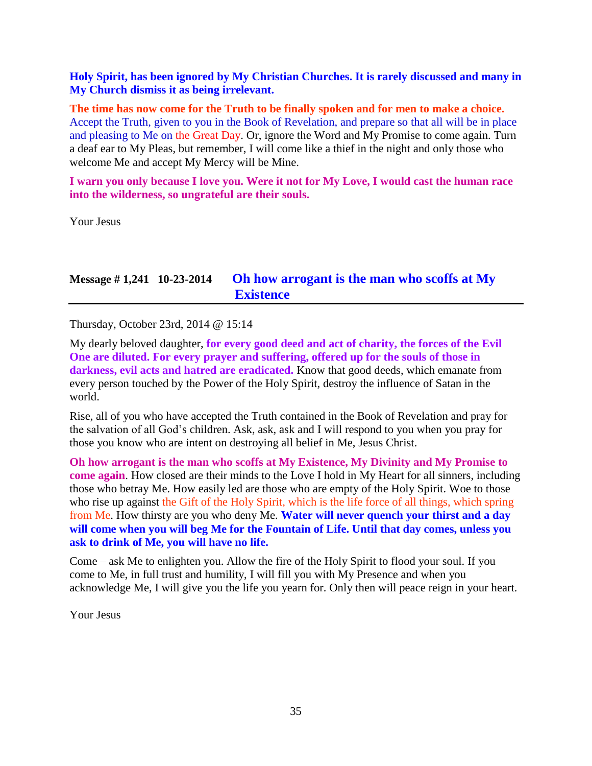#### **Holy Spirit, has been ignored by My Christian Churches. It is rarely discussed and many in My Church dismiss it as being irrelevant.**

**The time has now come for the Truth to be finally spoken and for men to make a choice.** Accept the Truth, given to you in the Book of Revelation, and prepare so that all will be in place and pleasing to Me on the Great Day. Or, ignore the Word and My Promise to come again. Turn a deaf ear to My Pleas, but remember, I will come like a thief in the night and only those who welcome Me and accept My Mercy will be Mine.

**I warn you only because I love you. Were it not for My Love, I would cast the human race into the wilderness, so ungrateful are their souls.**

Your Jesus

# **Message # 1,241 10-23-2014 [Oh how arrogant is the man who scoffs at My](http://www.thewarningsecondcoming.com/oh-how-arrogant-is-the-man-who-scoffs-at-my-existence/)  [Existence](http://www.thewarningsecondcoming.com/oh-how-arrogant-is-the-man-who-scoffs-at-my-existence/)**

Thursday, October 23rd, 2014 @ 15:14

My dearly beloved daughter, **for every good deed and act of charity, the forces of the Evil One are diluted. For every prayer and suffering, offered up for the souls of those in darkness, evil acts and hatred are eradicated.** Know that good deeds, which emanate from every person touched by the Power of the Holy Spirit, destroy the influence of Satan in the world.

Rise, all of you who have accepted the Truth contained in the Book of Revelation and pray for the salvation of all God's children. Ask, ask, ask and I will respond to you when you pray for those you know who are intent on destroying all belief in Me, Jesus Christ.

**Oh how arrogant is the man who scoffs at My Existence, My Divinity and My Promise to come again**. How closed are their minds to the Love I hold in My Heart for all sinners, including those who betray Me. How easily led are those who are empty of the Holy Spirit. Woe to those who rise up against the Gift of the Holy Spirit, which is the life force of all things, which spring from Me. How thirsty are you who deny Me. **Water will never quench your thirst and a day will come when you will beg Me for the Fountain of Life. Until that day comes, unless you ask to drink of Me, you will have no life.**

Come – ask Me to enlighten you. Allow the fire of the Holy Spirit to flood your soul. If you come to Me, in full trust and humility, I will fill you with My Presence and when you acknowledge Me, I will give you the life you yearn for. Only then will peace reign in your heart.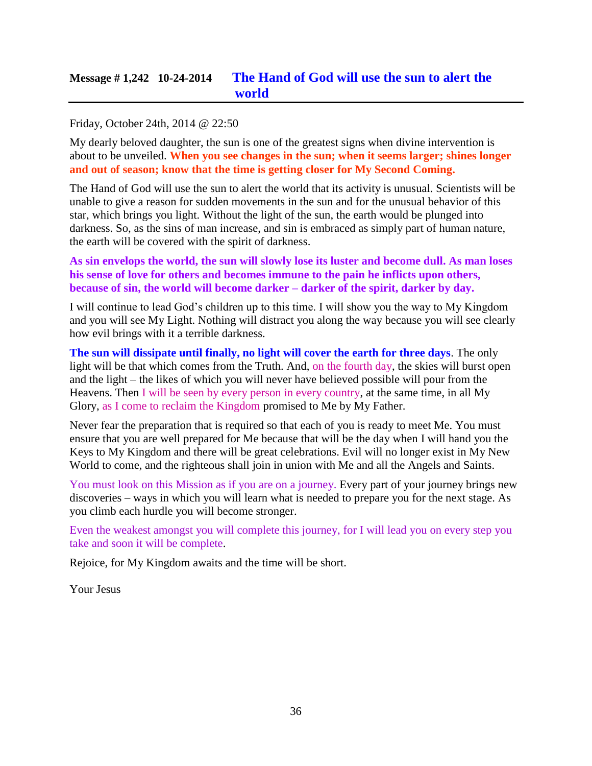# **Message # 1,242 10-24-2014 [The Hand of God will use the sun to alert the](http://www.thewarningsecondcoming.com/the-hand-of-god-will-use-the-sun-to-alert-the-world/)  [world](http://www.thewarningsecondcoming.com/the-hand-of-god-will-use-the-sun-to-alert-the-world/)**

#### Friday, October 24th, 2014 @ 22:50

My dearly beloved daughter, the sun is one of the greatest signs when divine intervention is about to be unveiled. **When you see changes in the sun; when it seems larger; shines longer and out of season; know that the time is getting closer for My Second Coming.**

The Hand of God will use the sun to alert the world that its activity is unusual. Scientists will be unable to give a reason for sudden movements in the sun and for the unusual behavior of this star, which brings you light. Without the light of the sun, the earth would be plunged into darkness. So, as the sins of man increase, and sin is embraced as simply part of human nature, the earth will be covered with the spirit of darkness.

**As sin envelops the world, the sun will slowly lose its luster and become dull. As man loses his sense of love for others and becomes immune to the pain he inflicts upon others, because of sin, the world will become darker – darker of the spirit, darker by day.**

I will continue to lead God's children up to this time. I will show you the way to My Kingdom and you will see My Light. Nothing will distract you along the way because you will see clearly how evil brings with it a terrible darkness.

**The sun will dissipate until finally, no light will cover the earth for three days**. The only light will be that which comes from the Truth. And, on the fourth day, the skies will burst open and the light – the likes of which you will never have believed possible will pour from the Heavens. Then I will be seen by every person in every country, at the same time, in all My Glory, as I come to reclaim the Kingdom promised to Me by My Father.

Never fear the preparation that is required so that each of you is ready to meet Me. You must ensure that you are well prepared for Me because that will be the day when I will hand you the Keys to My Kingdom and there will be great celebrations. Evil will no longer exist in My New World to come, and the righteous shall join in union with Me and all the Angels and Saints.

You must look on this Mission as if you are on a journey. Every part of your journey brings new discoveries – ways in which you will learn what is needed to prepare you for the next stage. As you climb each hurdle you will become stronger.

Even the weakest amongst you will complete this journey, for I will lead you on every step you take and soon it will be complete.

Rejoice, for My Kingdom awaits and the time will be short.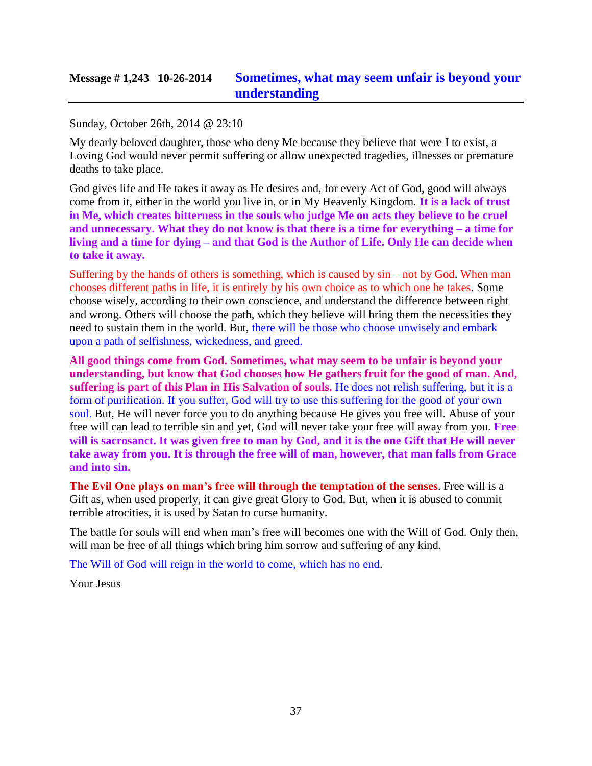## **Message # 1,243 10-26-2014 [Sometimes, what may seem unfair is beyond your](http://www.thewarningsecondcoming.com/sometimes-what-may-seem-unfair-is-beyond-your-understanding/)  [understanding](http://www.thewarningsecondcoming.com/sometimes-what-may-seem-unfair-is-beyond-your-understanding/)**

#### Sunday, October 26th, 2014 @ 23:10

My dearly beloved daughter, those who deny Me because they believe that were I to exist, a Loving God would never permit suffering or allow unexpected tragedies, illnesses or premature deaths to take place.

God gives life and He takes it away as He desires and, for every Act of God, good will always come from it, either in the world you live in, or in My Heavenly Kingdom. **It is a lack of trust in Me, which creates bitterness in the souls who judge Me on acts they believe to be cruel and unnecessary. What they do not know is that there is a time for everything – a time for living and a time for dying – and that God is the Author of Life. Only He can decide when to take it away.**

Suffering by the hands of others is something, which is caused by  $sin - not$  by God. When man chooses different paths in life, it is entirely by his own choice as to which one he takes. Some choose wisely, according to their own conscience, and understand the difference between right and wrong. Others will choose the path, which they believe will bring them the necessities they need to sustain them in the world. But, there will be those who choose unwisely and embark upon a path of selfishness, wickedness, and greed.

**All good things come from God. Sometimes, what may seem to be unfair is beyond your understanding, but know that God chooses how He gathers fruit for the good of man. And, suffering is part of this Plan in His Salvation of souls.** He does not relish suffering, but it is a form of purification. If you suffer, God will try to use this suffering for the good of your own soul. But, He will never force you to do anything because He gives you free will. Abuse of your free will can lead to terrible sin and yet, God will never take your free will away from you. **Free will is sacrosanct. It was given free to man by God, and it is the one Gift that He will never take away from you. It is through the free will of man, however, that man falls from Grace and into sin.**

**The Evil One plays on man's free will through the temptation of the senses**. Free will is a Gift as, when used properly, it can give great Glory to God. But, when it is abused to commit terrible atrocities, it is used by Satan to curse humanity.

The battle for souls will end when man's free will becomes one with the Will of God. Only then, will man be free of all things which bring him sorrow and suffering of any kind.

The Will of God will reign in the world to come, which has no end.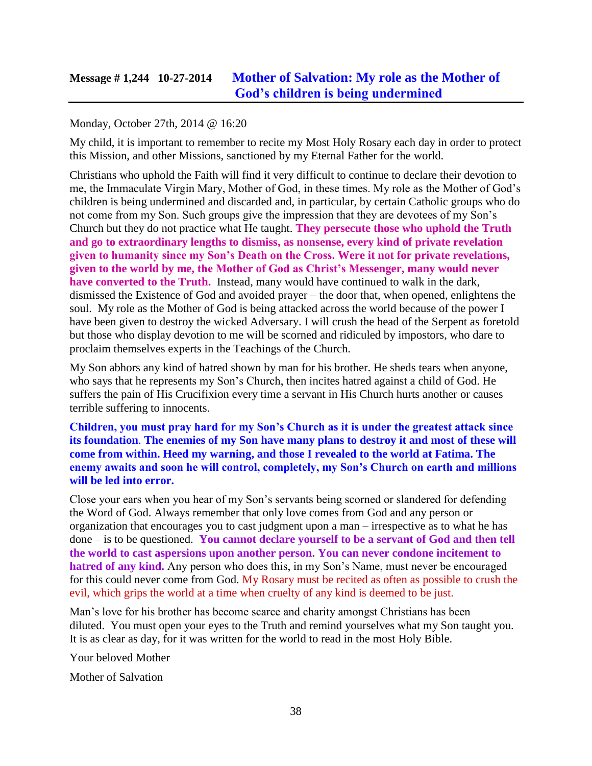## **Message # 1,244 10-27-2014 [Mother of Salvation: My role as the Mother of](http://www.thewarningsecondcoming.com/mother-of-salvation-my-role-as-the-mother-of-gods-children-is-being-undermined/)  [God's children is being undermined](http://www.thewarningsecondcoming.com/mother-of-salvation-my-role-as-the-mother-of-gods-children-is-being-undermined/)**

#### Monday, October 27th, 2014 @ 16:20

My child, it is important to remember to recite my Most Holy Rosary each day in order to protect this Mission, and other Missions, sanctioned by my Eternal Father for the world.

Christians who uphold the Faith will find it very difficult to continue to declare their devotion to me, the Immaculate Virgin Mary, Mother of God, in these times. My role as the Mother of God's children is being undermined and discarded and, in particular, by certain Catholic groups who do not come from my Son. Such groups give the impression that they are devotees of my Son's Church but they do not practice what He taught. **They persecute those who uphold the Truth and go to extraordinary lengths to dismiss, as nonsense, every kind of private revelation given to humanity since my Son's Death on the Cross. Were it not for private revelations, given to the world by me, the Mother of God as Christ's Messenger, many would never have converted to the Truth.** Instead, many would have continued to walk in the dark, dismissed the Existence of God and avoided prayer – the door that, when opened, enlightens the soul. My role as the Mother of God is being attacked across the world because of the power I have been given to destroy the wicked Adversary. I will crush the head of the Serpent as foretold but those who display devotion to me will be scorned and ridiculed by impostors, who dare to proclaim themselves experts in the Teachings of the Church.

My Son abhors any kind of hatred shown by man for his brother. He sheds tears when anyone, who says that he represents my Son's Church, then incites hatred against a child of God. He suffers the pain of His Crucifixion every time a servant in His Church hurts another or causes terrible suffering to innocents.

**Children, you must pray hard for my Son's Church as it is under the greatest attack since its foundation**. **The enemies of my Son have many plans to destroy it and most of these will come from within. Heed my warning, and those I revealed to the world at Fatima. The enemy awaits and soon he will control, completely, my Son's Church on earth and millions will be led into error.**

Close your ears when you hear of my Son's servants being scorned or slandered for defending the Word of God. Always remember that only love comes from God and any person or organization that encourages you to cast judgment upon a man – irrespective as to what he has done – is to be questioned. **You cannot declare yourself to be a servant of God and then tell the world to cast aspersions upon another person. You can never condone incitement to hatred of any kind.** Any person who does this, in my Son's Name, must never be encouraged for this could never come from God. My Rosary must be recited as often as possible to crush the evil, which grips the world at a time when cruelty of any kind is deemed to be just.

Man's love for his brother has become scarce and charity amongst Christians has been diluted. You must open your eyes to the Truth and remind yourselves what my Son taught you. It is as clear as day, for it was written for the world to read in the most Holy Bible.

Your beloved Mother

Mother of Salvation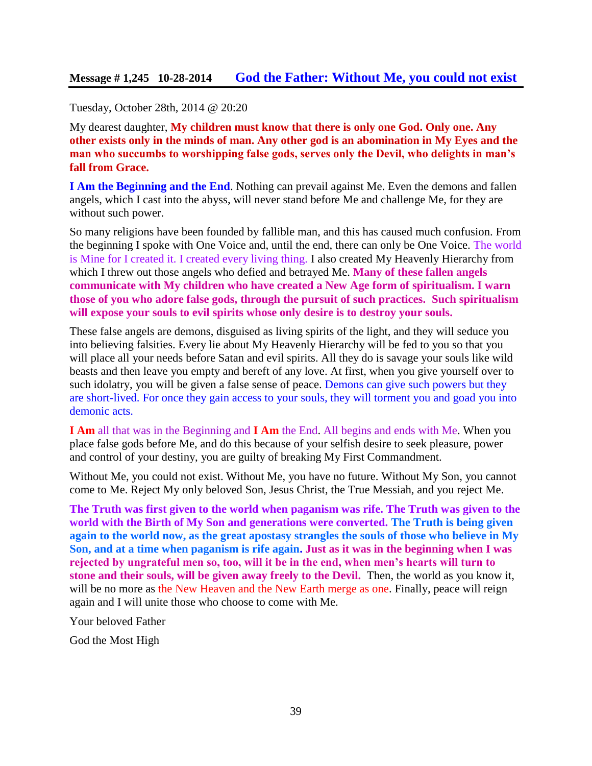Tuesday, October 28th, 2014 @ 20:20

My dearest daughter, **My children must know that there is only one God. Only one. Any other exists only in the minds of man. Any other god is an abomination in My Eyes and the man who succumbs to worshipping false gods, serves only the Devil, who delights in man's fall from Grace.**

**I Am the Beginning and the End**. Nothing can prevail against Me. Even the demons and fallen angels, which I cast into the abyss, will never stand before Me and challenge Me, for they are without such power.

So many religions have been founded by fallible man, and this has caused much confusion. From the beginning I spoke with One Voice and, until the end, there can only be One Voice. The world is Mine for I created it. I created every living thing. I also created My Heavenly Hierarchy from which I threw out those angels who defied and betrayed Me. **Many of these fallen angels communicate with My children who have created a New Age form of spiritualism. I warn those of you who adore false gods, through the pursuit of such practices. Such spiritualism will expose your souls to evil spirits whose only desire is to destroy your souls.**

These false angels are demons, disguised as living spirits of the light, and they will seduce you into believing falsities. Every lie about My Heavenly Hierarchy will be fed to you so that you will place all your needs before Satan and evil spirits. All they do is savage your souls like wild beasts and then leave you empty and bereft of any love. At first, when you give yourself over to such idolatry, you will be given a false sense of peace. Demons can give such powers but they are short-lived. For once they gain access to your souls, they will torment you and goad you into demonic acts.

**I Am** all that was in the Beginning and **I Am** the End. All begins and ends with Me. When you place false gods before Me, and do this because of your selfish desire to seek pleasure, power and control of your destiny, you are guilty of breaking My First Commandment.

Without Me, you could not exist. Without Me, you have no future. Without My Son, you cannot come to Me. Reject My only beloved Son, Jesus Christ, the True Messiah, and you reject Me.

**The Truth was first given to the world when paganism was rife. The Truth was given to the world with the Birth of My Son and generations were converted. The Truth is being given again to the world now, as the great apostasy strangles the souls of those who believe in My Son, and at a time when paganism is rife again. Just as it was in the beginning when I was rejected by ungrateful men so, too, will it be in the end, when men's hearts will turn to stone and their souls, will be given away freely to the Devil.** Then, the world as you know it, will be no more as the New Heaven and the New Earth merge as one. Finally, peace will reign again and I will unite those who choose to come with Me.

Your beloved Father

God the Most High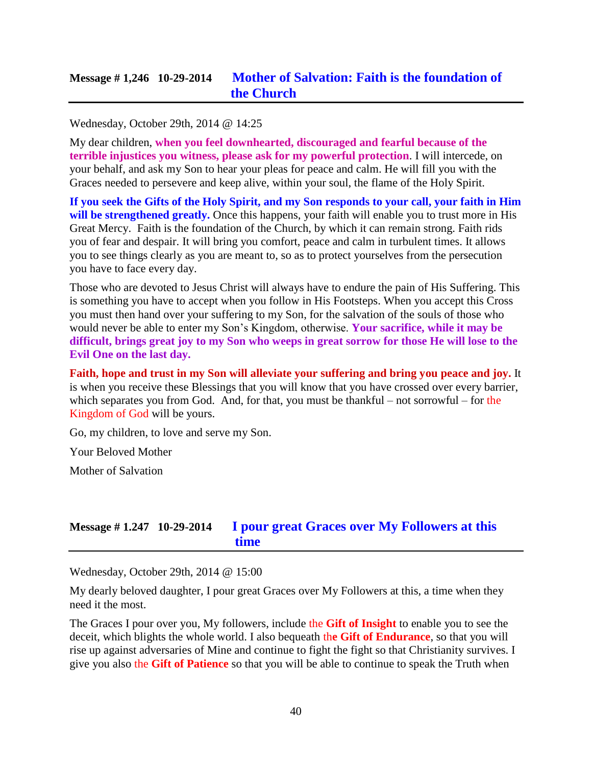Wednesday, October 29th, 2014 @ 14:25

My dear children, **when you feel downhearted, discouraged and fearful because of the terrible injustices you witness, please ask for my powerful protection**. I will intercede, on your behalf, and ask my Son to hear your pleas for peace and calm. He will fill you with the Graces needed to persevere and keep alive, within your soul, the flame of the Holy Spirit.

**If you seek the Gifts of the Holy Spirit, and my Son responds to your call, your faith in Him**  will be strengthened greatly. Once this happens, your faith will enable you to trust more in His Great Mercy. Faith is the foundation of the Church, by which it can remain strong. Faith rids you of fear and despair. It will bring you comfort, peace and calm in turbulent times. It allows you to see things clearly as you are meant to, so as to protect yourselves from the persecution you have to face every day.

Those who are devoted to Jesus Christ will always have to endure the pain of His Suffering. This is something you have to accept when you follow in His Footsteps. When you accept this Cross you must then hand over your suffering to my Son, for the salvation of the souls of those who would never be able to enter my Son's Kingdom, otherwise. **Your sacrifice, while it may be difficult, brings great joy to my Son who weeps in great sorrow for those He will lose to the Evil One on the last day.**

**Faith, hope and trust in my Son will alleviate your suffering and bring you peace and joy.** It is when you receive these Blessings that you will know that you have crossed over every barrier, which separates you from God. And, for that, you must be thankful – not sorrowful – for the Kingdom of God will be yours.

Go, my children, to love and serve my Son.

Your Beloved Mother

Mother of Salvation

## **Message # 1.247 10-29-2014 [I pour great Graces over My Followers at this](http://www.thewarningsecondcoming.com/i-pour-great-graces-over-my-followers-at-this-time/)  [time](http://www.thewarningsecondcoming.com/i-pour-great-graces-over-my-followers-at-this-time/)**

Wednesday, October 29th, 2014 @ 15:00

My dearly beloved daughter, I pour great Graces over My Followers at this, a time when they need it the most.

The Graces I pour over you, My followers, include the **Gift of Insight** to enable you to see the deceit, which blights the whole world. I also bequeath th**e Gift of Endurance**, so that you will rise up against adversaries of Mine and continue to fight the fight so that Christianity survives. I give you also the **Gift of Patience** so that you will be able to continue to speak the Truth when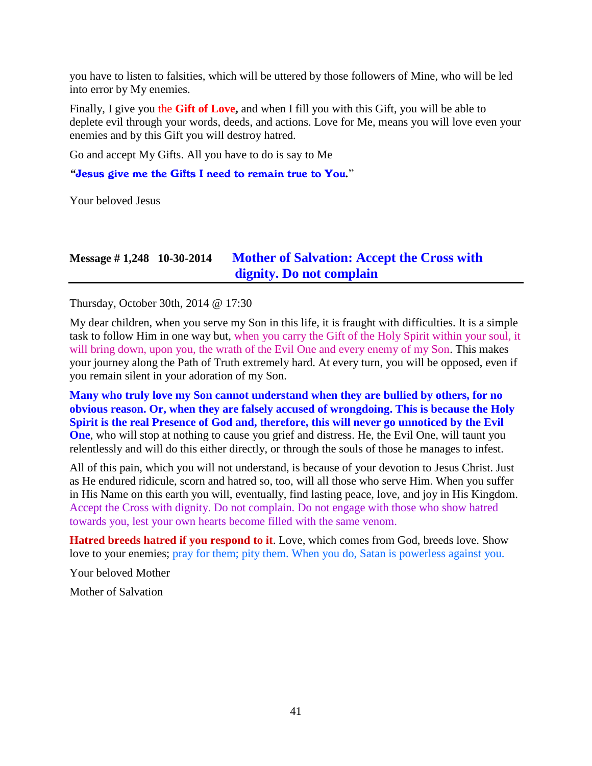you have to listen to falsities, which will be uttered by those followers of Mine, who will be led into error by My enemies.

Finally, I give you the **Gift of Love,** and when I fill you with this Gift, you will be able to deplete evil through your words, deeds, and actions. Love for Me, means you will love even your enemies and by this Gift you will destroy hatred.

Go and accept My Gifts. All you have to do is say to Me

*"*Jesus give me the Gifts I need to remain true to You*.*"

Your beloved Jesus

## **Message # 1,248 10-30-2014 [Mother of Salvation: Accept the Cross with](http://www.thewarningsecondcoming.com/mother-of-salvation-accept-the-cross-with-dignity-do-not-complain/)  [dignity. Do not complain](http://www.thewarningsecondcoming.com/mother-of-salvation-accept-the-cross-with-dignity-do-not-complain/)**

Thursday, October 30th, 2014 @ 17:30

My dear children, when you serve my Son in this life, it is fraught with difficulties. It is a simple task to follow Him in one way but, when you carry the Gift of the Holy Spirit within your soul, it will bring down, upon you, the wrath of the Evil One and every enemy of my Son. This makes your journey along the Path of Truth extremely hard. At every turn, you will be opposed, even if you remain silent in your adoration of my Son.

**Many who truly love my Son cannot understand when they are bullied by others, for no obvious reason. Or, when they are falsely accused of wrongdoing. This is because the Holy Spirit is the real Presence of God and, therefore, this will never go unnoticed by the Evil One**, who will stop at nothing to cause you grief and distress. He, the Evil One, will taunt you relentlessly and will do this either directly, or through the souls of those he manages to infest.

All of this pain, which you will not understand, is because of your devotion to Jesus Christ. Just as He endured ridicule, scorn and hatred so, too, will all those who serve Him. When you suffer in His Name on this earth you will, eventually, find lasting peace, love, and joy in His Kingdom. Accept the Cross with dignity. Do not complain. Do not engage with those who show hatred towards you, lest your own hearts become filled with the same venom.

**Hatred breeds hatred if you respond to it**. Love, which comes from God, breeds love. Show love to your enemies; pray for them; pity them. When you do, Satan is powerless against you.

Your beloved Mother

Mother of Salvation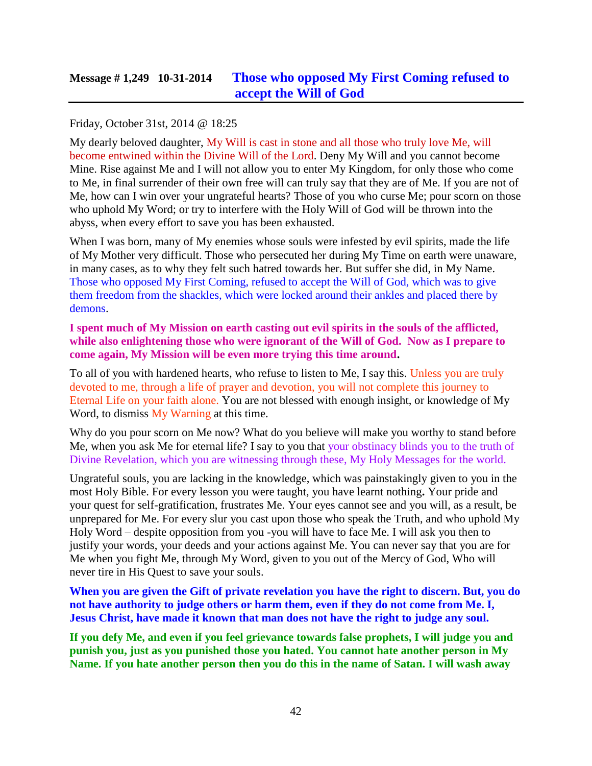# **Message # 1,249 10-31-2014 [Those who opposed My First Coming refused](http://www.thewarningsecondcoming.com/those-who-opposed-my-first-coming-refused-to-accept-the-will-of-god/) to [accept the Will of God](http://www.thewarningsecondcoming.com/those-who-opposed-my-first-coming-refused-to-accept-the-will-of-god/)**

### Friday, October 31st, 2014 @ 18:25

My dearly beloved daughter, My Will is cast in stone and all those who truly love Me, will become entwined within the Divine Will of the Lord. Deny My Will and you cannot become Mine. Rise against Me and I will not allow you to enter My Kingdom, for only those who come to Me, in final surrender of their own free will can truly say that they are of Me. If you are not of Me, how can I win over your ungrateful hearts? Those of you who curse Me; pour scorn on those who uphold My Word; or try to interfere with the Holy Will of God will be thrown into the abyss, when every effort to save you has been exhausted.

When I was born, many of My enemies whose souls were infested by evil spirits, made the life of My Mother very difficult. Those who persecuted her during My Time on earth were unaware, in many cases, as to why they felt such hatred towards her. But suffer she did, in My Name. Those who opposed My First Coming, refused to accept the Will of God, which was to give them freedom from the shackles, which were locked around their ankles and placed there by demons.

#### **I spent much of My Mission on earth casting out evil spirits in the souls of the afflicted, while also enlightening those who were ignorant of the Will of God. Now as I prepare to come again, My Mission will be even more trying this time around.**

To all of you with hardened hearts, who refuse to listen to Me, I say this. Unless you are truly devoted to me, through a life of prayer and devotion, you will not complete this journey to Eternal Life on your faith alone. You are not blessed with enough insight, or knowledge of My Word, to dismiss My Warning at this time.

Why do you pour scorn on Me now? What do you believe will make you worthy to stand before Me, when you ask Me for eternal life? I say to you that your obstinacy blinds you to the truth of Divine Revelation, which you are witnessing through these, My Holy Messages for the world.

Ungrateful souls, you are lacking in the knowledge, which was painstakingly given to you in the most Holy Bible. For every lesson you were taught, you have learnt nothing**.** Your pride and your quest for self-gratification, frustrates Me. Your eyes cannot see and you will, as a result, be unprepared for Me. For every slur you cast upon those who speak the Truth, and who uphold My Holy Word – despite opposition from you -you will have to face Me. I will ask you then to justify your words, your deeds and your actions against Me. You can never say that you are for Me when you fight Me, through My Word, given to you out of the Mercy of God, Who will never tire in His Quest to save your souls.

**When you are given the Gift of private revelation you have the right to discern. But, you do not have authority to judge others or harm them, even if they do not come from Me. I, Jesus Christ, have made it known that man does not have the right to judge any soul.** 

**If you defy Me, and even if you feel grievance towards false prophets, I will judge you and punish you, just as you punished those you hated. You cannot hate another person in My Name. If you hate another person then you do this in the name of Satan. I will wash away**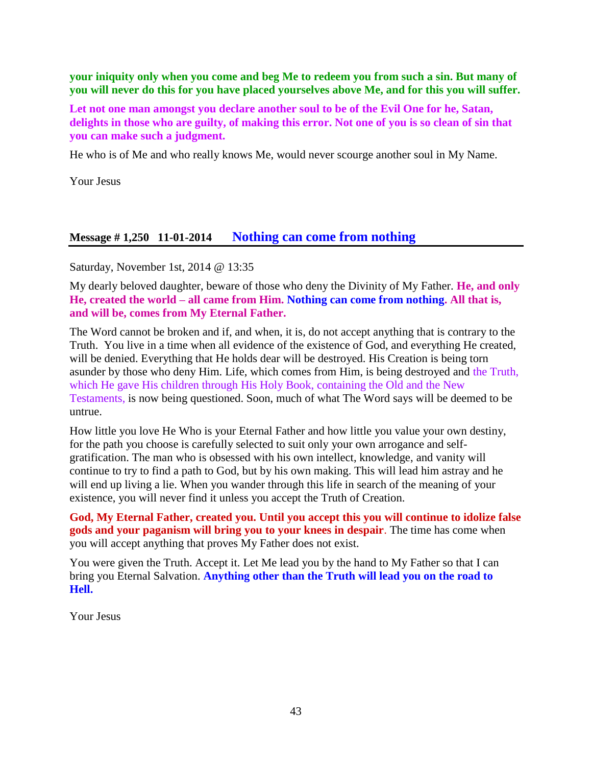**your iniquity only when you come and beg Me to redeem you from such a sin. But many of you will never do this for you have placed yourselves above Me, and for this you will suffer.**

**Let not one man amongst you declare another soul to be of the Evil One for he, Satan, delights in those who are guilty, of making this error. Not one of you is so clean of sin that you can make such a judgment.**

He who is of Me and who really knows Me, would never scourge another soul in My Name.

Your Jesus

### **Message # 1,250 11-01-2014 [Nothing can come from nothing](http://www.thewarningsecondcoming.com/nothing-can-come-from-nothing/)**

Saturday, November 1st, 2014 @ 13:35

My dearly beloved daughter, beware of those who deny the Divinity of My Father. **He, and only He, created the world – all came from Him. Nothing can come from nothing. All that is, and will be, comes from My Eternal Father.**

The Word cannot be broken and if, and when, it is, do not accept anything that is contrary to the Truth. You live in a time when all evidence of the existence of God, and everything He created, will be denied. Everything that He holds dear will be destroyed. His Creation is being torn asunder by those who deny Him. Life, which comes from Him, is being destroyed and the Truth, which He gave His children through His Holy Book, containing the Old and the New Testaments, is now being questioned. Soon, much of what The Word says will be deemed to be untrue.

How little you love He Who is your Eternal Father and how little you value your own destiny, for the path you choose is carefully selected to suit only your own arrogance and selfgratification. The man who is obsessed with his own intellect, knowledge, and vanity will continue to try to find a path to God, but by his own making. This will lead him astray and he will end up living a lie. When you wander through this life in search of the meaning of your existence, you will never find it unless you accept the Truth of Creation.

**God, My Eternal Father, created you. Until you accept this you will continue to idolize false gods and your paganism will bring you to your knees in despair**. The time has come when you will accept anything that proves My Father does not exist.

You were given the Truth. Accept it. Let Me lead you by the hand to My Father so that I can bring you Eternal Salvation. **Anything other than the Truth will lead you on the road to Hell.**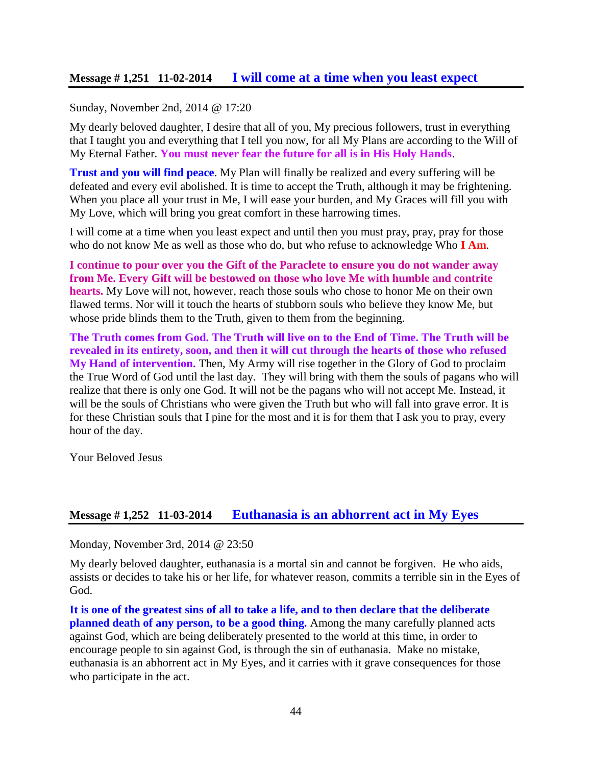### **Message # 1,251 11-02-2014 [I will come at a time when you least expect](http://www.thewarningsecondcoming.com/i-will-come-at-a-time-when-you-least-expect/)**

#### Sunday, November 2nd, 2014 @ 17:20

My dearly beloved daughter, I desire that all of you, My precious followers, trust in everything that I taught you and everything that I tell you now, for all My Plans are according to the Will of My Eternal Father. **You must never fear the future for all is in His Holy Hands**.

**Trust and you will find peace**. My Plan will finally be realized and every suffering will be defeated and every evil abolished. It is time to accept the Truth, although it may be frightening. When you place all your trust in Me, I will ease your burden, and My Graces will fill you with My Love, which will bring you great comfort in these harrowing times.

I will come at a time when you least expect and until then you must pray, pray, pray for those who do not know Me as well as those who do, but who refuse to acknowledge Who **I Am**.

**I continue to pour over you the Gift of the Paraclete to ensure you do not wander away from Me. Every Gift will be bestowed on those who love Me with humble and contrite hearts.** My Love will not, however, reach those souls who chose to honor Me on their own flawed terms. Nor will it touch the hearts of stubborn souls who believe they know Me, but whose pride blinds them to the Truth, given to them from the beginning.

**The Truth comes from God. The Truth will live on to the End of Time. The Truth will be revealed in its entirety, soon, and then it will cut through the hearts of those who refused My Hand of intervention.** Then, My Army will rise together in the Glory of God to proclaim the True Word of God until the last day. They will bring with them the souls of pagans who will realize that there is only one God. It will not be the pagans who will not accept Me. Instead, it will be the souls of Christians who were given the Truth but who will fall into grave error. It is for these Christian souls that I pine for the most and it is for them that I ask you to pray, every hour of the day.

Your Beloved Jesus

#### **Message # 1,252 11-03-2014 [Euthanasia is an abhorrent act in My Eyes](http://www.thewarningsecondcoming.com/euthanasia-is-an-abhorrent-act-in-my-eyes/)**

Monday, November 3rd, 2014 @ 23:50

My dearly beloved daughter, euthanasia is a mortal sin and cannot be forgiven. He who aids, assists or decides to take his or her life, for whatever reason, commits a terrible sin in the Eyes of God.

**It is one of the greatest sins of all to take a life, and to then declare that the deliberate planned death of any person, to be a good thing.** Among the many carefully planned acts against God, which are being deliberately presented to the world at this time, in order to encourage people to sin against God, is through the sin of euthanasia. Make no mistake, euthanasia is an abhorrent act in My Eyes, and it carries with it grave consequences for those who participate in the act.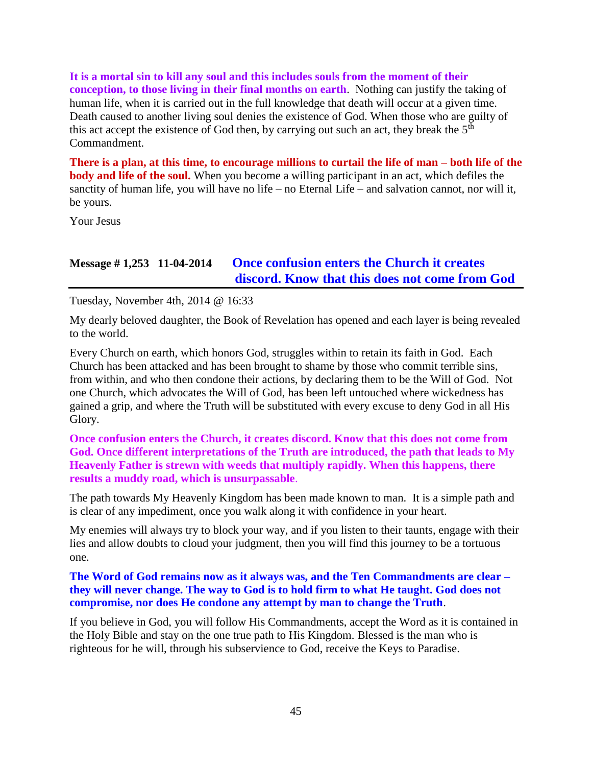**It is a mortal sin to kill any soul and this includes souls from the moment of their conception, to those living in their final months on earth**. Nothing can justify the taking of human life, when it is carried out in the full knowledge that death will occur at a given time. Death caused to another living soul denies the existence of God. When those who are guilty of this act accept the existence of God then, by carrying out such an act, they break the  $5<sup>th</sup>$ Commandment.

**There is a plan, at this time, to encourage millions to curtail the life of man – both life of the body and life of the soul.** When you become a willing participant in an act, which defiles the sanctity of human life, you will have no life – no Eternal Life – and salvation cannot, nor will it, be yours.

Your Jesus

## **Message # 1,253 11-04-2014 [Once confusion enters the Church it creates](http://www.thewarningsecondcoming.com/once-confusion-enters-the-church-it-creates-discord-know-that-this-does-not-come-from-god/)  [discord. Know that this does not come from God](http://www.thewarningsecondcoming.com/once-confusion-enters-the-church-it-creates-discord-know-that-this-does-not-come-from-god/)**

Tuesday, November 4th, 2014 @ 16:33

My dearly beloved daughter, the Book of Revelation has opened and each layer is being revealed to the world.

Every Church on earth, which honors God, struggles within to retain its faith in God. Each Church has been attacked and has been brought to shame by those who commit terrible sins, from within, and who then condone their actions, by declaring them to be the Will of God. Not one Church, which advocates the Will of God, has been left untouched where wickedness has gained a grip, and where the Truth will be substituted with every excuse to deny God in all His Glory.

#### **Once confusion enters the Church, it creates discord. Know that this does not come from God. Once different interpretations of the Truth are introduced, the path that leads to My Heavenly Father is strewn with weeds that multiply rapidly. When this happens, there results a muddy road, which is unsurpassable**.

The path towards My Heavenly Kingdom has been made known to man. It is a simple path and is clear of any impediment, once you walk along it with confidence in your heart.

My enemies will always try to block your way, and if you listen to their taunts, engage with their lies and allow doubts to cloud your judgment, then you will find this journey to be a tortuous one.

**The Word of God remains now as it always was, and the Ten Commandments are clear – they will never change. The way to God is to hold firm to what He taught. God does not compromise, nor does He condone any attempt by man to change the Truth**.

If you believe in God, you will follow His Commandments, accept the Word as it is contained in the Holy Bible and stay on the one true path to His Kingdom. Blessed is the man who is righteous for he will, through his subservience to God, receive the Keys to Paradise.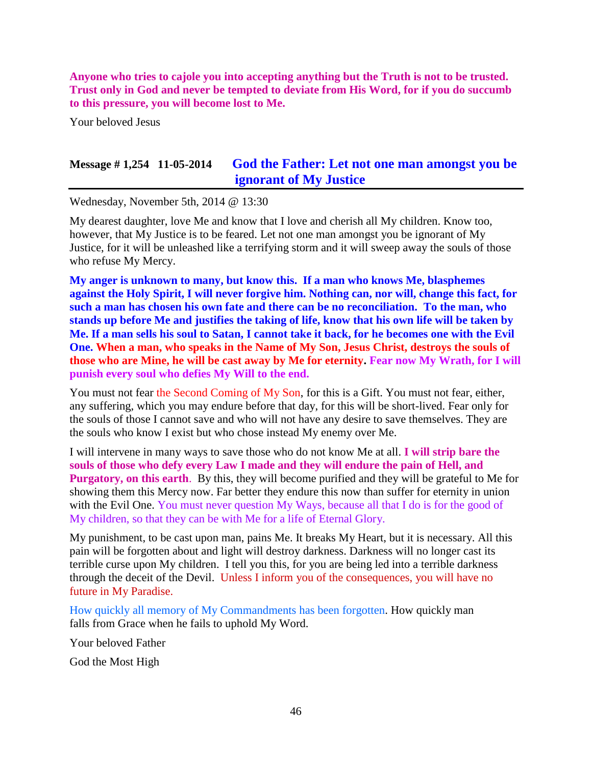**Anyone who tries to cajole you into accepting anything but the Truth is not to be trusted. Trust only in God and never be tempted to deviate from His Word, for if you do succumb to this pressure, you will become lost to Me.**

Your beloved Jesus

## **Message # 1,254 11-05-2014 [God the Father: Let not one man amongst you be](http://www.thewarningsecondcoming.com/god-the-father-let-not-one-man-amongst-you-be-ignorant-of-my-justice/)  [ignorant of My Justice](http://www.thewarningsecondcoming.com/god-the-father-let-not-one-man-amongst-you-be-ignorant-of-my-justice/)**

Wednesday, November 5th, 2014 @ 13:30

My dearest daughter, love Me and know that I love and cherish all My children. Know too, however, that My Justice is to be feared. Let not one man amongst you be ignorant of My Justice, for it will be unleashed like a terrifying storm and it will sweep away the souls of those who refuse My Mercy.

**My anger is unknown to many, but know this. If a man who knows Me, blasphemes against the Holy Spirit, I will never forgive him. Nothing can, nor will, change this fact, for such a man has chosen his own fate and there can be no reconciliation. To the man, who stands up before Me and justifies the taking of life, know that his own life will be taken by Me. If a man sells his soul to Satan, I cannot take it back, for he becomes one with the Evil One. When a man, who speaks in the Name of My Son, Jesus Christ, destroys the souls of those who are Mine, he will be cast away by Me for eternity. Fear now My Wrath, for I will punish every soul who defies My Will to the end.**

You must not fear the Second Coming of My Son, for this is a Gift. You must not fear, either, any suffering, which you may endure before that day, for this will be short-lived. Fear only for the souls of those I cannot save and who will not have any desire to save themselves. They are the souls who know I exist but who chose instead My enemy over Me.

I will intervene in many ways to save those who do not know Me at all. **I will strip bare the souls of those who defy every Law I made and they will endure the pain of Hell, and Purgatory, on this earth**. By this, they will become purified and they will be grateful to Me for showing them this Mercy now. Far better they endure this now than suffer for eternity in union with the Evil One. You must never question My Ways, because all that I do is for the good of My children, so that they can be with Me for a life of Eternal Glory.

My punishment, to be cast upon man, pains Me. It breaks My Heart, but it is necessary. All this pain will be forgotten about and light will destroy darkness. Darkness will no longer cast its terrible curse upon My children. I tell you this, for you are being led into a terrible darkness through the deceit of the Devil. Unless I inform you of the consequences, you will have no future in My Paradise.

How quickly all memory of My Commandments has been forgotten. How quickly man falls from Grace when he fails to uphold My Word.

Your beloved Father

God the Most High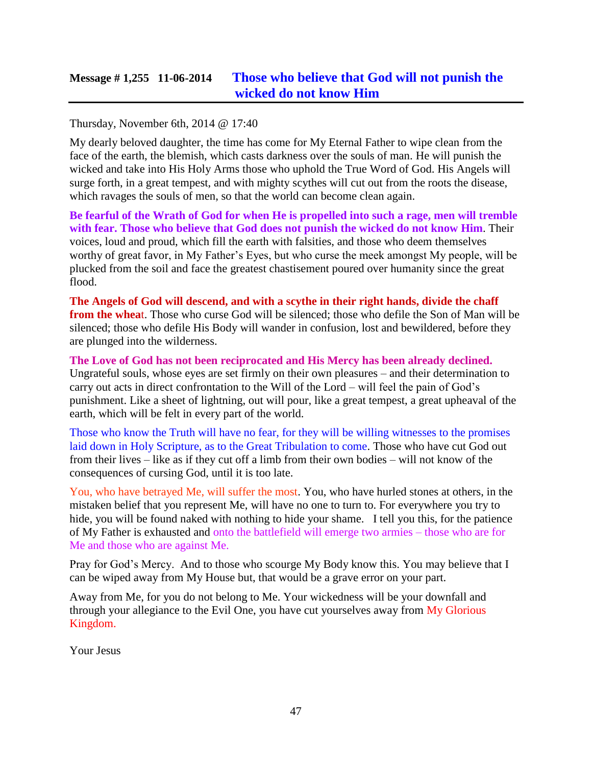## **Message # 1,255 11-06-2014 [Those who believe that God will not punish the](http://www.thewarningsecondcoming.com/those-who-do-not-believe-that-god-will-not-punish-the-wicked-do-not-know-him/)  [wicked do not know Him](http://www.thewarningsecondcoming.com/those-who-do-not-believe-that-god-will-not-punish-the-wicked-do-not-know-him/)**

Thursday, November 6th, 2014 @ 17:40

My dearly beloved daughter, the time has come for My Eternal Father to wipe clean from the face of the earth, the blemish, which casts darkness over the souls of man. He will punish the wicked and take into His Holy Arms those who uphold the True Word of God. His Angels will surge forth, in a great tempest, and with mighty scythes will cut out from the roots the disease, which ravages the souls of men, so that the world can become clean again.

**Be fearful of the Wrath of God for when He is propelled into such a rage, men will tremble with fear. Those who believe that God does not punish the wicked do not know Him**. Their voices, loud and proud, which fill the earth with falsities, and those who deem themselves worthy of great favor, in My Father's Eyes, but who curse the meek amongst My people, will be plucked from the soil and face the greatest chastisement poured over humanity since the great flood.

**The Angels of God will descend, and with a scythe in their right hands, divide the chaff from the whea**t. Those who curse God will be silenced; those who defile the Son of Man will be silenced; those who defile His Body will wander in confusion, lost and bewildered, before they are plunged into the wilderness.

**The Love of God has not been reciprocated and His Mercy has been already declined.** Ungrateful souls, whose eyes are set firmly on their own pleasures – and their determination to carry out acts in direct confrontation to the Will of the Lord – will feel the pain of God's punishment. Like a sheet of lightning, out will pour, like a great tempest, a great upheaval of the earth, which will be felt in every part of the world.

Those who know the Truth will have no fear, for they will be willing witnesses to the promises laid down in Holy Scripture, as to the Great Tribulation to come. Those who have cut God out from their lives – like as if they cut off a limb from their own bodies – will not know of the consequences of cursing God, until it is too late.

You, who have betrayed Me, will suffer the most. You, who have hurled stones at others, in the mistaken belief that you represent Me, will have no one to turn to. For everywhere you try to hide, you will be found naked with nothing to hide your shame. I tell you this, for the patience of My Father is exhausted and onto the battlefield will emerge two armies – those who are for Me and those who are against Me.

Pray for God's Mercy. And to those who scourge My Body know this. You may believe that I can be wiped away from My House but, that would be a grave error on your part.

Away from Me, for you do not belong to Me. Your wickedness will be your downfall and through your allegiance to the Evil One, you have cut yourselves away from My Glorious Kingdom.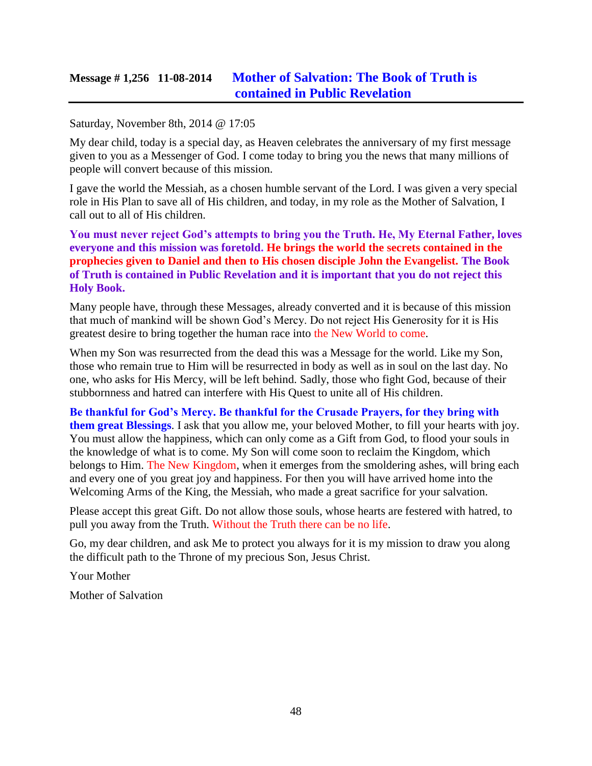## **Message # 1,256 11-08-2014 [Mother of Salvation: The Book of Truth is](http://www.thewarningsecondcoming.com/mother-of-salvation-the-book-of-truth-is-contained-in-public-revelation/)  [contained in Public Revelation](http://www.thewarningsecondcoming.com/mother-of-salvation-the-book-of-truth-is-contained-in-public-revelation/)**

#### Saturday, November 8th, 2014 @ 17:05

My dear child, today is a special day, as Heaven celebrates the anniversary of my first message given to you as a Messenger of God. I come today to bring you the news that many millions of people will convert because of this mission.

I gave the world the Messiah, as a chosen humble servant of the Lord. I was given a very special role in His Plan to save all of His children, and today, in my role as the Mother of Salvation, I call out to all of His children.

**You must never reject God's attempts to bring you the Truth. He, My Eternal Father, loves everyone and this mission was foretold. He brings the world the secrets contained in the prophecies given to Daniel and then to His chosen disciple John the Evangelist. The Book of Truth is contained in Public Revelation and it is important that you do not reject this Holy Book.**

Many people have, through these Messages, already converted and it is because of this mission that much of mankind will be shown God's Mercy. Do not reject His Generosity for it is His greatest desire to bring together the human race into the New World to come.

When my Son was resurrected from the dead this was a Message for the world. Like my Son, those who remain true to Him will be resurrected in body as well as in soul on the last day. No one, who asks for His Mercy, will be left behind. Sadly, those who fight God, because of their stubbornness and hatred can interfere with His Quest to unite all of His children.

**Be thankful for God's Mercy. Be thankful for the Crusade Prayers, for they bring with them great Blessings**. I ask that you allow me, your beloved Mother, to fill your hearts with joy. You must allow the happiness, which can only come as a Gift from God, to flood your souls in the knowledge of what is to come. My Son will come soon to reclaim the Kingdom, which belongs to Him. The New Kingdom, when it emerges from the smoldering ashes, will bring each and every one of you great joy and happiness. For then you will have arrived home into the Welcoming Arms of the King, the Messiah, who made a great sacrifice for your salvation.

Please accept this great Gift. Do not allow those souls, whose hearts are festered with hatred, to pull you away from the Truth. Without the Truth there can be no life.

Go, my dear children, and ask Me to protect you always for it is my mission to draw you along the difficult path to the Throne of my precious Son, Jesus Christ.

Your Mother

Mother of Salvation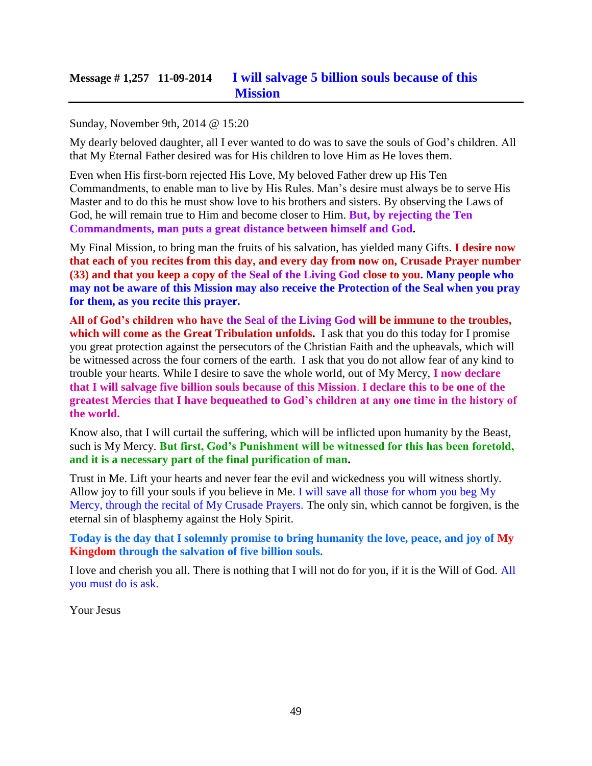# **Message # 1,257 11-09-2014 [I will salvage 5 billion souls because of this](http://www.thewarningsecondcoming.com/i-will-salvage-5-billion-souls-because-of-this-mission/)  [Mission](http://www.thewarningsecondcoming.com/i-will-salvage-5-billion-souls-because-of-this-mission/)**

#### Sunday, November 9th, 2014 @ 15:20

My dearly beloved daughter, all I ever wanted to do was to save the souls of God's children. All that My Eternal Father desired was for His children to love Him as He loves them.

Even when His first-born rejected His Love, My beloved Father drew up His Ten Commandments, to enable man to live by His Rules. Man's desire must always be to serve His Master and to do this he must show love to his brothers and sisters. By observing the Laws of God, he will remain true to Him and become closer to Him. **But, by rejecting the Ten Commandments, man puts a great distance between himself and God.**

My Final Mission, to bring man the fruits of his salvation, has yielded many Gifts. **I desire now that each of you recites from this day, and every day from now on, Crusade Prayer number (33) and that you keep a copy of the Seal of the Living God close to you. Many people who may not be aware of this Mission may also receive the Protection of the Seal when you pray for them, as you recite this prayer.**

**All of God's children who have the Seal of the Living God will be immune to the troubles, which will come as the Great Tribulation unfolds.** I ask that you do this today for I promise you great protection against the persecutors of the Christian Faith and the upheavals, which will be witnessed across the four corners of the earth. I ask that you do not allow fear of any kind to trouble your hearts. While I desire to save the whole world, out of My Mercy, **I now declare that I will salvage five billion souls because of this Mission**. **I declare this to be one of the greatest Mercies that I have bequeathed to God's children at any one time in the history of the world.**

Know also, that I will curtail the suffering, which will be inflicted upon humanity by the Beast, such is My Mercy. **But first, God's Punishment will be witnessed for this has been foretold, and it is a necessary part of the final purification of man.**

Trust in Me. Lift your hearts and never fear the evil and wickedness you will witness shortly. Allow joy to fill your souls if you believe in Me. I will save all those for whom you beg My Mercy, through the recital of My Crusade Prayers. The only sin, which cannot be forgiven, is the eternal sin of blasphemy against the Holy Spirit.

**Today is the day that I solemnly promise to bring humanity the love, peace, and joy of My Kingdom through the salvation of five billion souls.**

I love and cherish you all. There is nothing that I will not do for you, if it is the Will of God. All you must do is ask.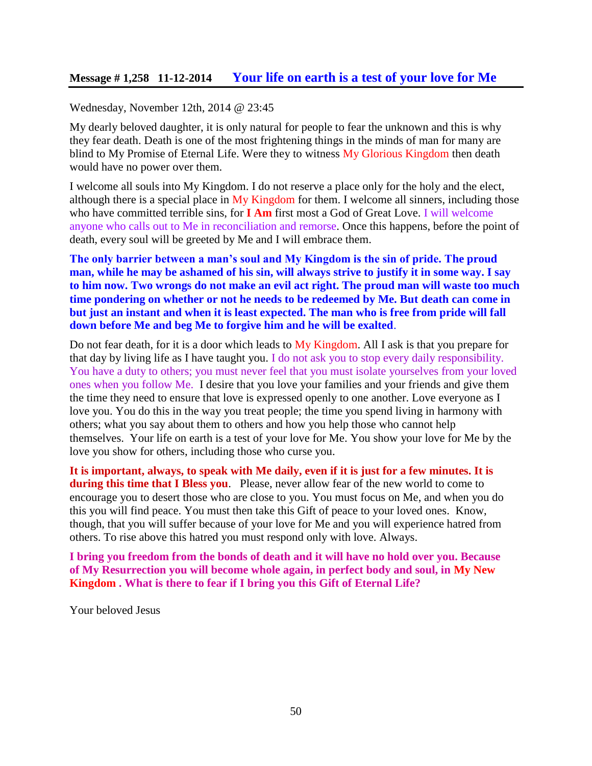#### Wednesday, November 12th, 2014 @ 23:45

My dearly beloved daughter, it is only natural for people to fear the unknown and this is why they fear death. Death is one of the most frightening things in the minds of man for many are blind to My Promise of Eternal Life. Were they to witness My Glorious Kingdom then death would have no power over them.

I welcome all souls into My Kingdom. I do not reserve a place only for the holy and the elect, although there is a special place in My Kingdom for them. I welcome all sinners, including those who have committed terrible sins, for **I Am** first most a God of Great Love. I will welcome anyone who calls out to Me in reconciliation and remorse. Once this happens, before the point of death, every soul will be greeted by Me and I will embrace them.

**The only barrier between a man's soul and My Kingdom is the sin of pride. The proud man, while he may be ashamed of his sin, will always strive to justify it in some way. I say to him now. Two wrongs do not make an evil act right. The proud man will waste too much time pondering on whether or not he needs to be redeemed by Me. But death can come in but just an instant and when it is least expected. The man who is free from pride will fall down before Me and beg Me to forgive him and he will be exalted**.

Do not fear death, for it is a door which leads to My Kingdom. All I ask is that you prepare for that day by living life as I have taught you. I do not ask you to stop every daily responsibility. You have a duty to others; you must never feel that you must isolate yourselves from your loved ones when you follow Me. I desire that you love your families and your friends and give them the time they need to ensure that love is expressed openly to one another. Love everyone as I love you. You do this in the way you treat people; the time you spend living in harmony with others; what you say about them to others and how you help those who cannot help themselves. Your life on earth is a test of your love for Me. You show your love for Me by the love you show for others, including those who curse you.

**It is important, always, to speak with Me daily, even if it is just for a few minutes. It is during this time that I Bless you**. Please, never allow fear of the new world to come to encourage you to desert those who are close to you. You must focus on Me, and when you do this you will find peace. You must then take this Gift of peace to your loved ones. Know, though, that you will suffer because of your love for Me and you will experience hatred from others. To rise above this hatred you must respond only with love. Always.

**I bring you freedom from the bonds of death and it will have no hold over you. Because of My Resurrection you will become whole again, in perfect body and soul, in My New Kingdom . What is there to fear if I bring you this Gift of Eternal Life?**

Your beloved Jesus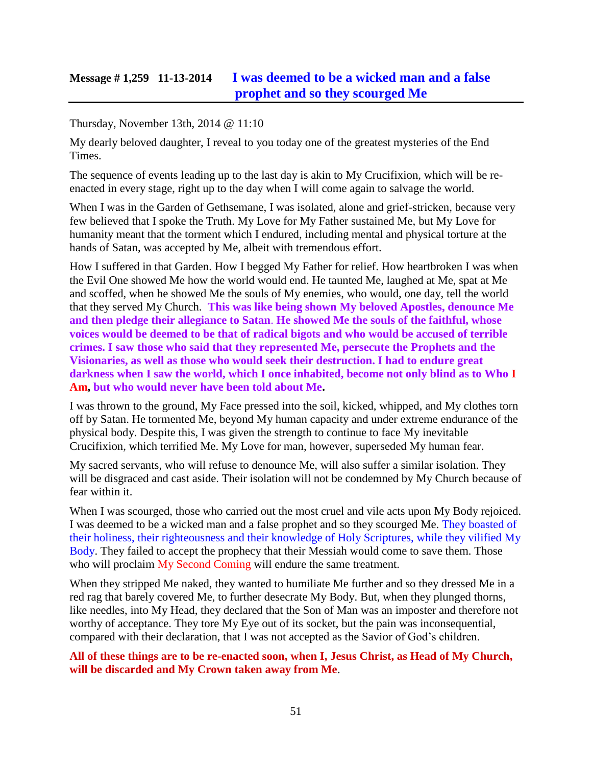## **Message # 1,259 11-13-2014 [I was deemed to be a wicked man and a false](http://www.thewarningsecondcoming.com/i-was-deemed-to-be-a-wicked-man-and-a-false-prophet-and-so-they-scourged-me/)  [prophet and so they scourged Me](http://www.thewarningsecondcoming.com/i-was-deemed-to-be-a-wicked-man-and-a-false-prophet-and-so-they-scourged-me/)**

#### Thursday, November 13th, 2014 @ 11:10

My dearly beloved daughter, I reveal to you today one of the greatest mysteries of the End Times.

The sequence of events leading up to the last day is akin to My Crucifixion, which will be reenacted in every stage, right up to the day when I will come again to salvage the world.

When I was in the Garden of Gethsemane, I was isolated, alone and grief-stricken, because very few believed that I spoke the Truth. My Love for My Father sustained Me, but My Love for humanity meant that the torment which I endured, including mental and physical torture at the hands of Satan, was accepted by Me, albeit with tremendous effort.

How I suffered in that Garden. How I begged My Father for relief. How heartbroken I was when the Evil One showed Me how the world would end. He taunted Me, laughed at Me, spat at Me and scoffed, when he showed Me the souls of My enemies, who would, one day, tell the world that they served My Church. **This was like being shown My beloved Apostles, denounce Me and then pledge their allegiance to Satan**. **He showed Me the souls of the faithful, whose voices would be deemed to be that of radical bigots and who would be accused of terrible crimes. I saw those who said that they represented Me, persecute the Prophets and the Visionaries, as well as those who would seek their destruction. I had to endure great darkness when I saw the world, which I once inhabited, become not only blind as to Who I Am, but who would never have been told about Me.**

I was thrown to the ground, My Face pressed into the soil, kicked, whipped, and My clothes torn off by Satan. He tormented Me, beyond My human capacity and under extreme endurance of the physical body. Despite this, I was given the strength to continue to face My inevitable Crucifixion, which terrified Me. My Love for man, however, superseded My human fear.

My sacred servants, who will refuse to denounce Me, will also suffer a similar isolation. They will be disgraced and cast aside. Their isolation will not be condemned by My Church because of fear within it.

When I was scourged, those who carried out the most cruel and vile acts upon My Body rejoiced. I was deemed to be a wicked man and a false prophet and so they scourged Me. They boasted of their holiness, their righteousness and their knowledge of Holy Scriptures, while they vilified My Body. They failed to accept the prophecy that their Messiah would come to save them. Those who will proclaim My Second Coming will endure the same treatment.

When they stripped Me naked, they wanted to humiliate Me further and so they dressed Me in a red rag that barely covered Me, to further desecrate My Body. But, when they plunged thorns, like needles, into My Head, they declared that the Son of Man was an imposter and therefore not worthy of acceptance. They tore My Eye out of its socket, but the pain was inconsequential, compared with their declaration, that I was not accepted as the Savior of God's children.

**All of these things are to be re-enacted soon, when I, Jesus Christ, as Head of My Church, will be discarded and My Crown taken away from Me**.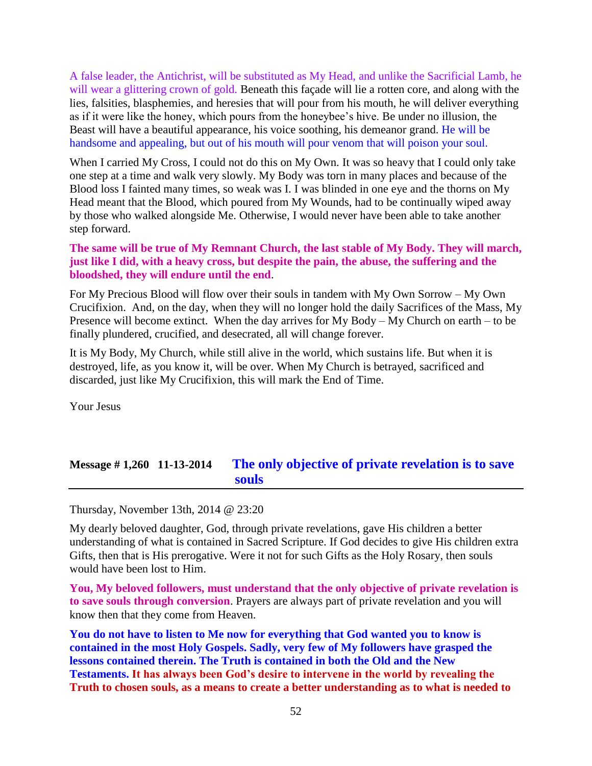A false leader, the Antichrist, will be substituted as My Head, and unlike the Sacrificial Lamb, he will wear a glittering crown of gold. Beneath this façade will lie a rotten core, and along with the lies, falsities, blasphemies, and heresies that will pour from his mouth, he will deliver everything as if it were like the honey, which pours from the honeybee's hive. Be under no illusion, the Beast will have a beautiful appearance, his voice soothing, his demeanor grand. He will be handsome and appealing, but out of his mouth will pour venom that will poison your soul.

When I carried My Cross, I could not do this on My Own. It was so heavy that I could only take one step at a time and walk very slowly. My Body was torn in many places and because of the Blood loss I fainted many times, so weak was I. I was blinded in one eye and the thorns on My Head meant that the Blood, which poured from My Wounds, had to be continually wiped away by those who walked alongside Me. Otherwise, I would never have been able to take another step forward.

#### **The same will be true of My Remnant Church, the last stable of My Body. They will march, just like I did, with a heavy cross, but despite the pain, the abuse, the suffering and the bloodshed, they will endure until the end**.

For My Precious Blood will flow over their souls in tandem with My Own Sorrow – My Own Crucifixion. And, on the day, when they will no longer hold the daily Sacrifices of the Mass, My Presence will become extinct. When the day arrives for My Body – My Church on earth – to be finally plundered, crucified, and desecrated, all will change forever.

It is My Body, My Church, while still alive in the world, which sustains life. But when it is destroyed, life, as you know it, will be over. When My Church is betrayed, sacrificed and discarded, just like My Crucifixion, this will mark the End of Time.

Your Jesus

# **Message # 1,260 11-13-2014 [The only objective of private revelation is to save](http://www.thewarningsecondcoming.com/the-only-objective-of-private-revelation-is-to-save-souls/) [souls](http://www.thewarningsecondcoming.com/the-only-objective-of-private-revelation-is-to-save-souls/)**

Thursday, November 13th, 2014 @ 23:20

My dearly beloved daughter, God, through private revelations, gave His children a better understanding of what is contained in Sacred Scripture. If God decides to give His children extra Gifts, then that is His prerogative. Were it not for such Gifts as the Holy Rosary, then souls would have been lost to Him.

**You, My beloved followers, must understand that the only objective of private revelation is to save souls through conversion**. Prayers are always part of private revelation and you will know then that they come from Heaven.

**You do not have to listen to Me now for everything that God wanted you to know is contained in the most Holy Gospels. Sadly, very few of My followers have grasped the lessons contained therein. The Truth is contained in both the Old and the New Testaments. It has always been God's desire to intervene in the world by revealing the Truth to chosen souls, as a means to create a better understanding as to what is needed to**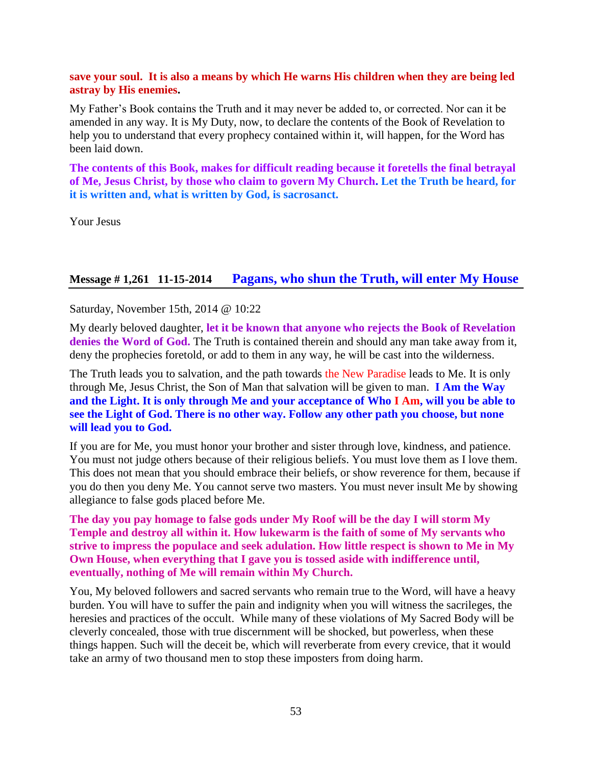#### **save your soul. It is also a means by which He warns His children when they are being led astray by His enemies.**

My Father's Book contains the Truth and it may never be added to, or corrected. Nor can it be amended in any way. It is My Duty, now, to declare the contents of the Book of Revelation to help you to understand that every prophecy contained within it, will happen, for the Word has been laid down.

**The contents of this Book, makes for difficult reading because it foretells the final betrayal of Me, Jesus Christ, by those who claim to govern My Church. Let the Truth be heard, for it is written and, what is written by God, is sacrosanct.**

Your Jesus

## **Message # 1,261 11-15-2014 [Pagans, who shun the Truth, will enter My House](http://www.thewarningsecondcoming.com/pagans-who-shun-the-truth-will-enter-my-house/)**

Saturday, November 15th, 2014 @ 10:22

My dearly beloved daughter, **let it be known that anyone who rejects the Book of Revelation denies the Word of God.** The Truth is contained therein and should any man take away from it, deny the prophecies foretold, or add to them in any way, he will be cast into the wilderness.

The Truth leads you to salvation, and the path towards the New Paradise leads to Me. It is only through Me, Jesus Christ, the Son of Man that salvation will be given to man. **I Am the Way and the Light. It is only through Me and your acceptance of Who I Am, will you be able to see the Light of God. There is no other way. Follow any other path you choose, but none will lead you to God.**

If you are for Me, you must honor your brother and sister through love, kindness, and patience. You must not judge others because of their religious beliefs. You must love them as I love them. This does not mean that you should embrace their beliefs, or show reverence for them, because if you do then you deny Me. You cannot serve two masters. You must never insult Me by showing allegiance to false gods placed before Me.

**The day you pay homage to false gods under My Roof will be the day I will storm My Temple and destroy all within it. How lukewarm is the faith of some of My servants who strive to impress the populace and seek adulation. How little respect is shown to Me in My Own House, when everything that I gave you is tossed aside with indifference until, eventually, nothing of Me will remain within My Church.**

You, My beloved followers and sacred servants who remain true to the Word, will have a heavy burden. You will have to suffer the pain and indignity when you will witness the sacrileges, the heresies and practices of the occult. While many of these violations of My Sacred Body will be cleverly concealed, those with true discernment will be shocked, but powerless, when these things happen. Such will the deceit be, which will reverberate from every crevice, that it would take an army of two thousand men to stop these imposters from doing harm.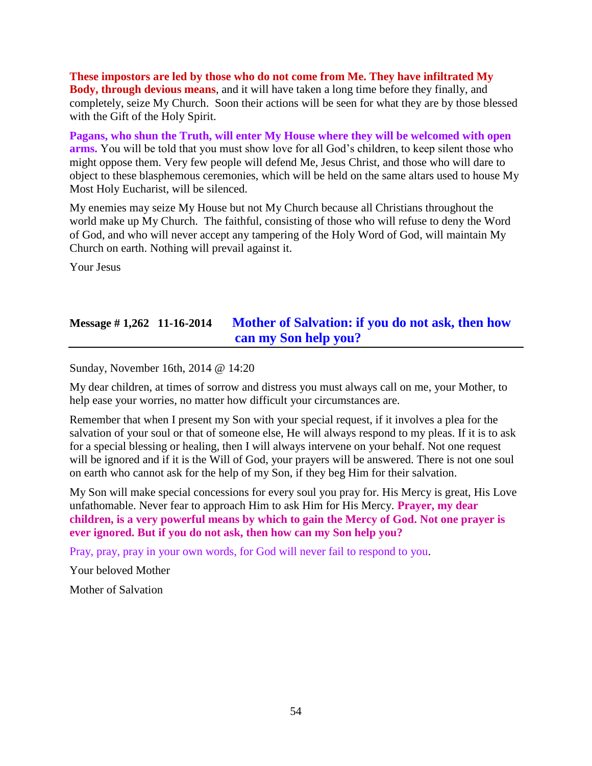**These impostors are led by those who do not come from Me. They have infiltrated My Body, through devious means**, and it will have taken a long time before they finally, and completely, seize My Church. Soon their actions will be seen for what they are by those blessed with the Gift of the Holy Spirit.

**Pagans, who shun the Truth, will enter My House where they will be welcomed with open arms.** You will be told that you must show love for all God's children, to keep silent those who might oppose them. Very few people will defend Me, Jesus Christ, and those who will dare to object to these blasphemous ceremonies, which will be held on the same altars used to house My Most Holy Eucharist, will be silenced.

My enemies may seize My House but not My Church because all Christians throughout the world make up My Church. The faithful, consisting of those who will refuse to deny the Word of God, and who will never accept any tampering of the Holy Word of God, will maintain My Church on earth. Nothing will prevail against it.

Your Jesus

# **Message # 1,262 11-16-2014 [Mother of Salvation: if you do not ask, then how](http://www.thewarningsecondcoming.com/mother-of-salvation-if-you-do-not-ask-then-how-can-my-son-help-you/)  [can my Son help you?](http://www.thewarningsecondcoming.com/mother-of-salvation-if-you-do-not-ask-then-how-can-my-son-help-you/)**

Sunday, November 16th, 2014 @ 14:20

My dear children, at times of sorrow and distress you must always call on me, your Mother, to help ease your worries, no matter how difficult your circumstances are.

Remember that when I present my Son with your special request, if it involves a plea for the salvation of your soul or that of someone else, He will always respond to my pleas. If it is to ask for a special blessing or healing, then I will always intervene on your behalf. Not one request will be ignored and if it is the Will of God, your prayers will be answered. There is not one soul on earth who cannot ask for the help of my Son, if they beg Him for their salvation.

My Son will make special concessions for every soul you pray for. His Mercy is great, His Love unfathomable. Never fear to approach Him to ask Him for His Mercy. **Prayer, my dear children, is a very powerful means by which to gain the Mercy of God. Not one prayer is ever ignored. But if you do not ask, then how can my Son help you?**

Pray, pray, pray in your own words, for God will never fail to respond to you.

Your beloved Mother

Mother of Salvation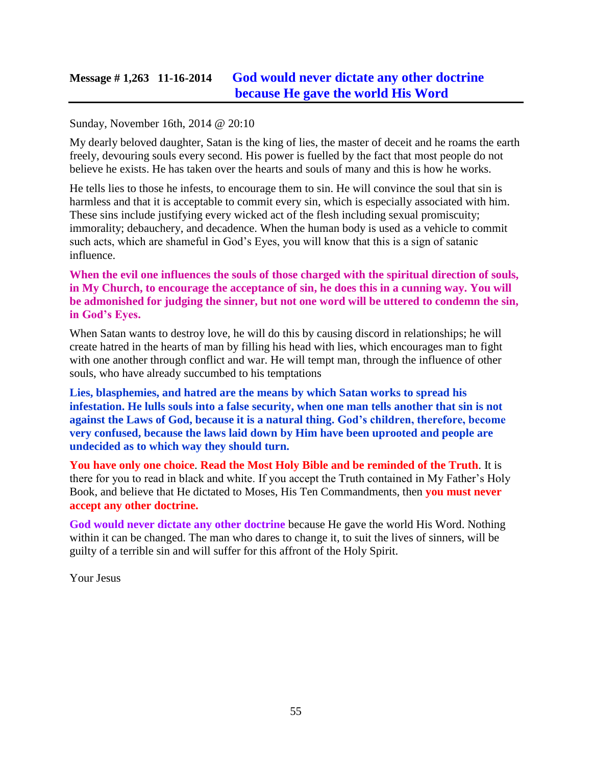## **Message # 1,263 11-16-2014 [God would never dictate any other doctrine](http://www.thewarningsecondcoming.com/god-would-never-dictate-any-other-doctrine-because-he-gave-the-world-his-word/)  [because He gave the world His Word](http://www.thewarningsecondcoming.com/god-would-never-dictate-any-other-doctrine-because-he-gave-the-world-his-word/)**

### Sunday, November 16th, 2014 @ 20:10

My dearly beloved daughter, Satan is the king of lies, the master of deceit and he roams the earth freely, devouring souls every second. His power is fuelled by the fact that most people do not believe he exists. He has taken over the hearts and souls of many and this is how he works.

He tells lies to those he infests, to encourage them to sin. He will convince the soul that sin is harmless and that it is acceptable to commit every sin, which is especially associated with him. These sins include justifying every wicked act of the flesh including sexual promiscuity; immorality; debauchery, and decadence. When the human body is used as a vehicle to commit such acts, which are shameful in God's Eyes, you will know that this is a sign of satanic influence.

**When the evil one influences the souls of those charged with the spiritual direction of souls, in My Church, to encourage the acceptance of sin, he does this in a cunning way. You will be admonished for judging the sinner, but not one word will be uttered to condemn the sin, in God's Eyes.**

When Satan wants to destroy love, he will do this by causing discord in relationships; he will create hatred in the hearts of man by filling his head with lies, which encourages man to fight with one another through conflict and war. He will tempt man, through the influence of other souls, who have already succumbed to his temptations

**Lies, blasphemies, and hatred are the means by which Satan works to spread his infestation. He lulls souls into a false security, when one man tells another that sin is not against the Laws of God, because it is a natural thing. God's children, therefore, become very confused, because the laws laid down by Him have been uprooted and people are undecided as to which way they should turn.**

**You have only one choice**. **Read the Most Holy Bible and be reminded of the Truth**. It is there for you to read in black and white. If you accept the Truth contained in My Father's Holy Book, and believe that He dictated to Moses, His Ten Commandments, then **you must never accept any other doctrine.**

**God would never dictate any other doctrine** because He gave the world His Word. Nothing within it can be changed. The man who dares to change it, to suit the lives of sinners, will be guilty of a terrible sin and will suffer for this affront of the Holy Spirit.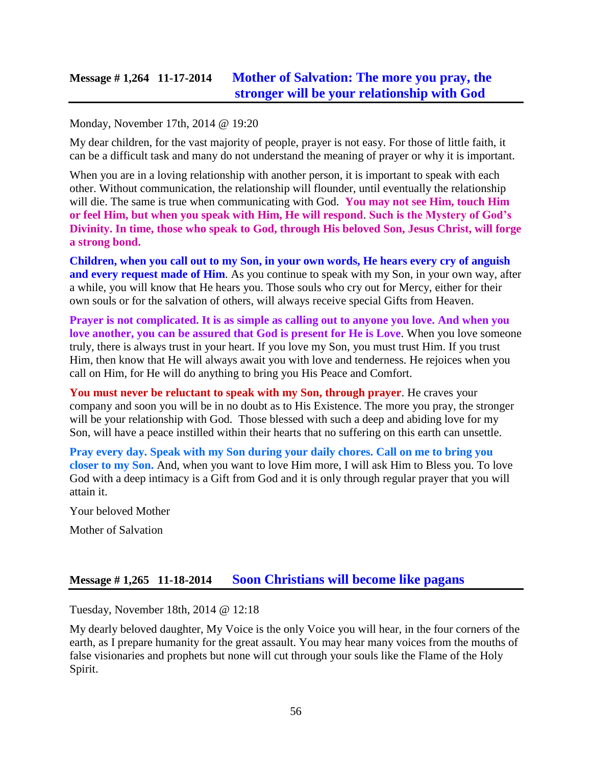# **Message # 1,264 11-17-2014 [Mother of Salvation: The more you pray, the](http://www.thewarningsecondcoming.com/mother-of-salvation-the-more-you-pray-the-stronger-will-be-your-relationship-with-god/)  [stronger will be your relationship with God](http://www.thewarningsecondcoming.com/mother-of-salvation-the-more-you-pray-the-stronger-will-be-your-relationship-with-god/)**

#### Monday, November 17th, 2014 @ 19:20

My dear children, for the vast majority of people, prayer is not easy. For those of little faith, it can be a difficult task and many do not understand the meaning of prayer or why it is important.

When you are in a loving relationship with another person, it is important to speak with each other. Without communication, the relationship will flounder, until eventually the relationship will die. The same is true when communicating with God. **You may not see Him, touch Him or feel Him, but when you speak with Him, He will respond**. **Such is the Mystery of God's Divinity. In time, those who speak to God, through His beloved Son, Jesus Christ, will forge a strong bond.**

**Children, when you call out to my Son, in your own words, He hears every cry of anguish and every request made of Him.** As you continue to speak with my Son, in your own way, after a while, you will know that He hears you. Those souls who cry out for Mercy, either for their own souls or for the salvation of others, will always receive special Gifts from Heaven.

**Prayer is not complicated. It is as simple as calling out to anyone you love. And when you love another, you can be assured that God is present for He is Love**. When you love someone truly, there is always trust in your heart. If you love my Son, you must trust Him. If you trust Him, then know that He will always await you with love and tenderness. He rejoices when you call on Him, for He will do anything to bring you His Peace and Comfort.

**You must never be reluctant to speak with my Son, through prayer**. He craves your company and soon you will be in no doubt as to His Existence. The more you pray, the stronger will be your relationship with God. Those blessed with such a deep and abiding love for my Son, will have a peace instilled within their hearts that no suffering on this earth can unsettle.

**Pray every day. Speak with my Son during your daily chores. Call on me to bring you closer to my Son.** And, when you want to love Him more, I will ask Him to Bless you. To love God with a deep intimacy is a Gift from God and it is only through regular prayer that you will attain it.

Your beloved Mother

Mother of Salvation

## **Message # 1,265 11-18-2014 [Soon Christians will become like pagans](http://www.thewarningsecondcoming.com/soon-christians-will-become-like-pagans/)**

Tuesday, November 18th, 2014 @ 12:18

My dearly beloved daughter, My Voice is the only Voice you will hear, in the four corners of the earth, as I prepare humanity for the great assault. You may hear many voices from the mouths of false visionaries and prophets but none will cut through your souls like the Flame of the Holy Spirit.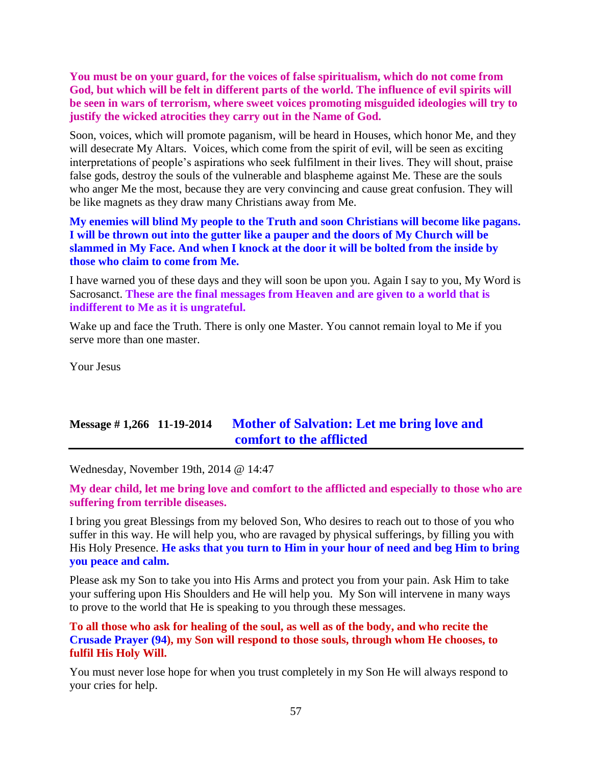**You must be on your guard, for the voices of false spiritualism, which do not come from God, but which will be felt in different parts of the world. The influence of evil spirits will be seen in wars of terrorism, where sweet voices promoting misguided ideologies will try to justify the wicked atrocities they carry out in the Name of God.**

Soon, voices, which will promote paganism, will be heard in Houses, which honor Me, and they will desecrate My Altars. Voices, which come from the spirit of evil, will be seen as exciting interpretations of people's aspirations who seek fulfilment in their lives. They will shout, praise false gods, destroy the souls of the vulnerable and blaspheme against Me. These are the souls who anger Me the most, because they are very convincing and cause great confusion. They will be like magnets as they draw many Christians away from Me.

**My enemies will blind My people to the Truth and soon Christians will become like pagans. I will be thrown out into the gutter like a pauper and the doors of My Church will be slammed in My Face. And when I knock at the door it will be bolted from the inside by those who claim to come from Me.**

I have warned you of these days and they will soon be upon you. Again I say to you, My Word is Sacrosanct. **These are the final messages from Heaven and are given to a world that is indifferent to Me as it is ungrateful.**

Wake up and face the Truth. There is only one Master. You cannot remain loyal to Me if you serve more than one master.

Your Jesus

## **Message # 1,266 11-19-2014 [Mother of Salvation: Let me bring love and](http://www.thewarningsecondcoming.com/mother-of-salvation-let-me-bring-love-and-comfort-to-the-afflicted/)  [comfort to the afflicted](http://www.thewarningsecondcoming.com/mother-of-salvation-let-me-bring-love-and-comfort-to-the-afflicted/)**

Wednesday, November 19th, 2014 @ 14:47

**My dear child, let me bring love and comfort to the afflicted and especially to those who are suffering from terrible diseases.**

I bring you great Blessings from my beloved Son, Who desires to reach out to those of you who suffer in this way. He will help you, who are ravaged by physical sufferings, by filling you with His Holy Presence. **He asks that you turn to Him in your hour of need and beg Him to bring you peace and calm.**

Please ask my Son to take you into His Arms and protect you from your pain. Ask Him to take your suffering upon His Shoulders and He will help you. My Son will intervene in many ways to prove to the world that He is speaking to you through these messages.

**To all those who ask for healing of the soul, as well as of the body, and who recite the Crusade Prayer (94), my Son will respond to those souls, through whom He chooses, to fulfil His Holy Will.**

You must never lose hope for when you trust completely in my Son He will always respond to your cries for help.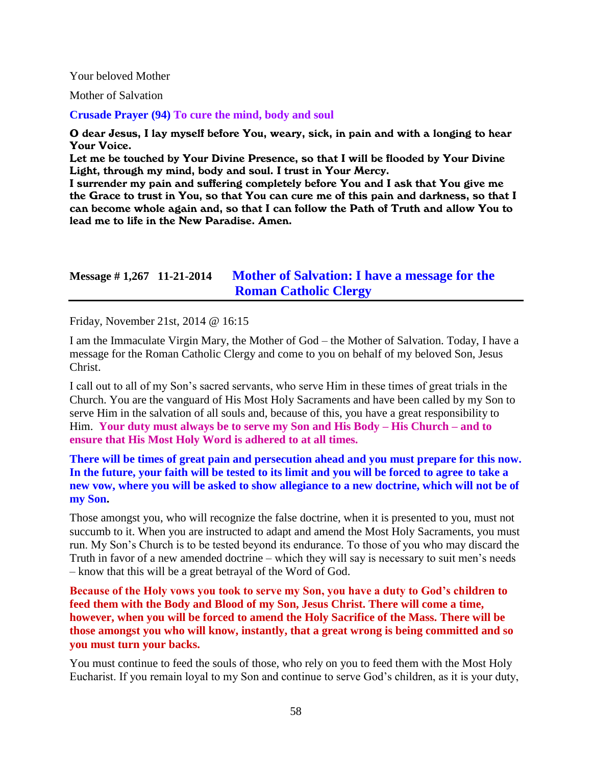#### Your beloved Mother

Mother of Salvation

**Crusade Prayer (94) To cure the mind, body and soul**

O dear Jesus, I lay myself before You, weary, sick, in pain and with a longing to hear Your Voice.

Let me be touched by Your Divine Presence, so that I will be flooded by Your Divine Light, through my mind, body and soul. I trust in Your Mercy.

I surrender my pain and suffering completely before You and I ask that You give me the Grace to trust in You, so that You can cure me of this pain and darkness, so that I can become whole again and, so that I can follow the Path of Truth and allow You to lead me to life in the New Paradise. Amen.

## **Message # 1,267 11-21-2014 [Mother of Salvation: I have a message for the](http://www.thewarningsecondcoming.com/mother-of-salvation-i-have-a-message-for-the-roman-catholic-clergy/)  [Roman Catholic Clergy](http://www.thewarningsecondcoming.com/mother-of-salvation-i-have-a-message-for-the-roman-catholic-clergy/)**

Friday, November 21st, 2014 @ 16:15

I am the Immaculate Virgin Mary, the Mother of God – the Mother of Salvation. Today, I have a message for the Roman Catholic Clergy and come to you on behalf of my beloved Son, Jesus Christ.

I call out to all of my Son's sacred servants, who serve Him in these times of great trials in the Church. You are the vanguard of His Most Holy Sacraments and have been called by my Son to serve Him in the salvation of all souls and, because of this, you have a great responsibility to Him. **Your duty must always be to serve my Son and His Body – His Church – and to ensure that His Most Holy Word is adhered to at all times.**

### **There will be times of great pain and persecution ahead and you must prepare for this now. In the future, your faith will be tested to its limit and you will be forced to agree to take a new vow, where you will be asked to show allegiance to a new doctrine, which will not be of my Son.**

Those amongst you, who will recognize the false doctrine, when it is presented to you, must not succumb to it. When you are instructed to adapt and amend the Most Holy Sacraments, you must run. My Son's Church is to be tested beyond its endurance. To those of you who may discard the Truth in favor of a new amended doctrine – which they will say is necessary to suit men's needs – know that this will be a great betrayal of the Word of God.

**Because of the Holy vows you took to serve my Son, you have a duty to God's children to feed them with the Body and Blood of my Son, Jesus Christ. There will come a time, however, when you will be forced to amend the Holy Sacrifice of the Mass. There will be those amongst you who will know, instantly, that a great wrong is being committed and so you must turn your backs.**

You must continue to feed the souls of those, who rely on you to feed them with the Most Holy Eucharist. If you remain loyal to my Son and continue to serve God's children, as it is your duty,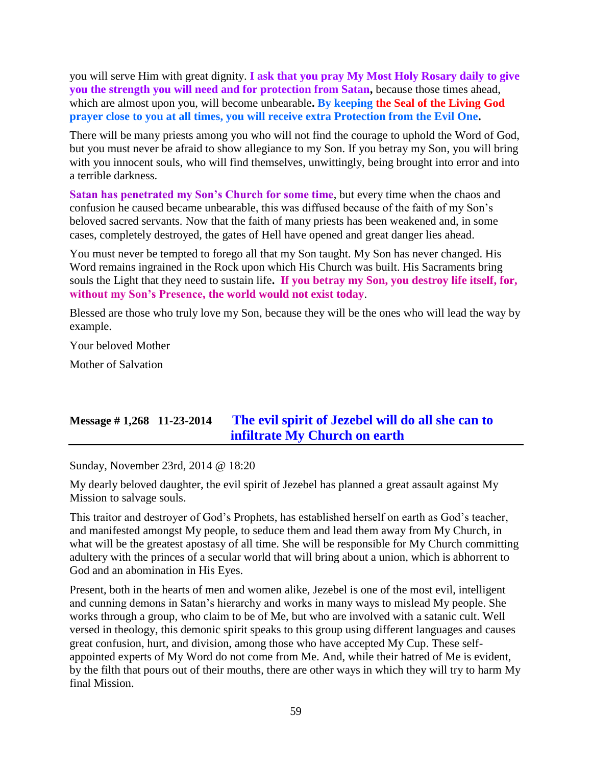you will serve Him with great dignity. **I ask that you pray My Most Holy Rosary daily to give you the strength you will need and for protection from Satan,** because those times ahead, which are almost upon you, will become unbearable**. By keeping the Seal of the Living God prayer close to you at all times, you will receive extra Protection from the Evil One.**

There will be many priests among you who will not find the courage to uphold the Word of God, but you must never be afraid to show allegiance to my Son. If you betray my Son, you will bring with you innocent souls, who will find themselves, unwittingly, being brought into error and into a terrible darkness.

**Satan has penetrated my Son's Church for some time**, but every time when the chaos and confusion he caused became unbearable, this was diffused because of the faith of my Son's beloved sacred servants. Now that the faith of many priests has been weakened and, in some cases, completely destroyed, the gates of Hell have opened and great danger lies ahead.

You must never be tempted to forego all that my Son taught. My Son has never changed. His Word remains ingrained in the Rock upon which His Church was built. His Sacraments bring souls the Light that they need to sustain life**. If you betray my Son, you destroy life itself, for, without my Son's Presence, the world would not exist today**.

Blessed are those who truly love my Son, because they will be the ones who will lead the way by example.

Your beloved Mother

Mother of Salvation

# **Message # 1,268 11-23-2014 [The evil spirit of Jezebel will do](http://www.thewarningsecondcoming.com/the-evil-spirit-of-jezebel-will-do-all-she-can-to-infiltrate-my-church-on-earth/) all she can to [infiltrate My Church on earth](http://www.thewarningsecondcoming.com/the-evil-spirit-of-jezebel-will-do-all-she-can-to-infiltrate-my-church-on-earth/)**

Sunday, November 23rd, 2014 @ 18:20

My dearly beloved daughter, the evil spirit of Jezebel has planned a great assault against My Mission to salvage souls.

This traitor and destroyer of God's Prophets, has established herself on earth as God's teacher, and manifested amongst My people, to seduce them and lead them away from My Church, in what will be the greatest apostasy of all time. She will be responsible for My Church committing adultery with the princes of a secular world that will bring about a union, which is abhorrent to God and an abomination in His Eyes.

Present, both in the hearts of men and women alike, Jezebel is one of the most evil, intelligent and cunning demons in Satan's hierarchy and works in many ways to mislead My people. She works through a group, who claim to be of Me, but who are involved with a satanic cult. Well versed in theology, this demonic spirit speaks to this group using different languages and causes great confusion, hurt, and division, among those who have accepted My Cup. These selfappointed experts of My Word do not come from Me. And, while their hatred of Me is evident, by the filth that pours out of their mouths, there are other ways in which they will try to harm My final Mission.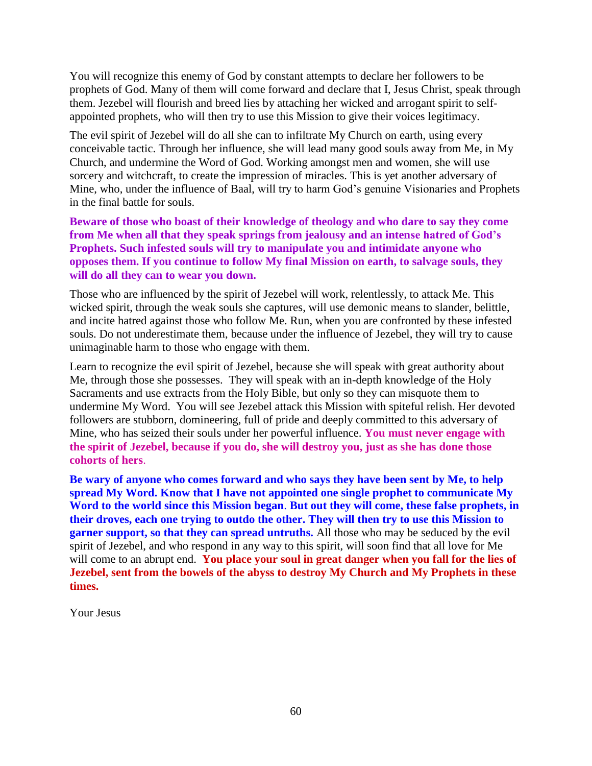You will recognize this enemy of God by constant attempts to declare her followers to be prophets of God. Many of them will come forward and declare that I, Jesus Christ, speak through them. Jezebel will flourish and breed lies by attaching her wicked and arrogant spirit to selfappointed prophets, who will then try to use this Mission to give their voices legitimacy.

The evil spirit of Jezebel will do all she can to infiltrate My Church on earth, using every conceivable tactic. Through her influence, she will lead many good souls away from Me, in My Church, and undermine the Word of God. Working amongst men and women, she will use sorcery and witchcraft, to create the impression of miracles. This is yet another adversary of Mine, who, under the influence of Baal, will try to harm God's genuine Visionaries and Prophets in the final battle for souls.

**Beware of those who boast of their knowledge of theology and who dare to say they come from Me when all that they speak springs from jealousy and an intense hatred of God's Prophets. Such infested souls will try to manipulate you and intimidate anyone who opposes them. If you continue to follow My final Mission on earth, to salvage souls, they will do all they can to wear you down.**

Those who are influenced by the spirit of Jezebel will work, relentlessly, to attack Me. This wicked spirit, through the weak souls she captures, will use demonic means to slander, belittle, and incite hatred against those who follow Me. Run, when you are confronted by these infested souls. Do not underestimate them, because under the influence of Jezebel, they will try to cause unimaginable harm to those who engage with them.

Learn to recognize the evil spirit of Jezebel, because she will speak with great authority about Me, through those she possesses. They will speak with an in-depth knowledge of the Holy Sacraments and use extracts from the Holy Bible, but only so they can misquote them to undermine My Word. You will see Jezebel attack this Mission with spiteful relish. Her devoted followers are stubborn, domineering, full of pride and deeply committed to this adversary of Mine, who has seized their souls under her powerful influence. **You must never engage with the spirit of Jezebel, because if you do, she will destroy you, just as she has done those cohorts of hers**.

**Be wary of anyone who comes forward and who says they have been sent by Me, to help spread My Word. Know that I have not appointed one single prophet to communicate My Word to the world since this Mission began**. **But out they will come, these false prophets, in their droves, each one trying to outdo the other. They will then try to use this Mission to garner support, so that they can spread untruths.** All those who may be seduced by the evil spirit of Jezebel, and who respond in any way to this spirit, will soon find that all love for Me will come to an abrupt end. You place your soul in great danger when you fall for the lies of **Jezebel, sent from the bowels of the abyss to destroy My Church and My Prophets in these times.**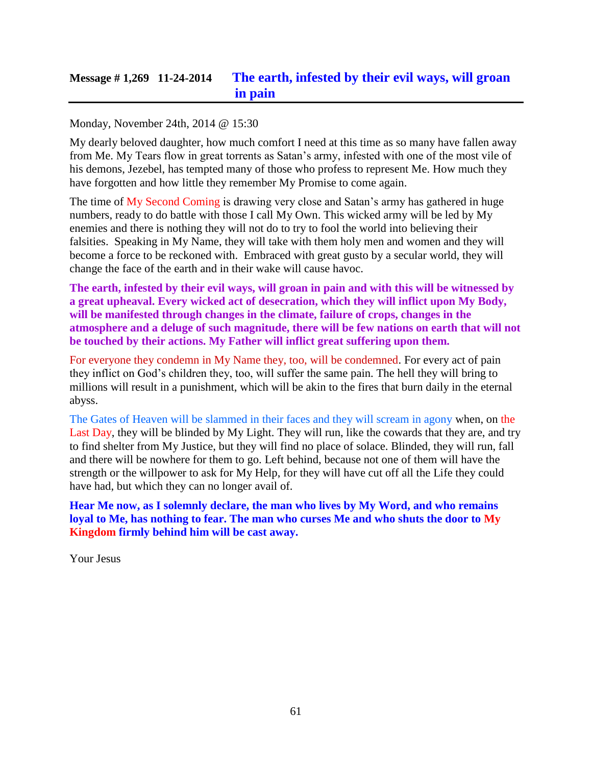# **Message # 1,269 11-24-2014 The earth, [infested by their evil ways, will groan](http://www.thewarningsecondcoming.com/the-earth-infested-by-their-evil-ways-will-groan-in-pain/)  [in pain](http://www.thewarningsecondcoming.com/the-earth-infested-by-their-evil-ways-will-groan-in-pain/)**

### Monday, November 24th, 2014 @ 15:30

My dearly beloved daughter, how much comfort I need at this time as so many have fallen away from Me. My Tears flow in great torrents as Satan's army, infested with one of the most vile of his demons, Jezebel, has tempted many of those who profess to represent Me. How much they have forgotten and how little they remember My Promise to come again.

The time of My Second Coming is drawing very close and Satan's army has gathered in huge numbers, ready to do battle with those I call My Own. This wicked army will be led by My enemies and there is nothing they will not do to try to fool the world into believing their falsities. Speaking in My Name, they will take with them holy men and women and they will become a force to be reckoned with. Embraced with great gusto by a secular world, they will change the face of the earth and in their wake will cause havoc.

**The earth, infested by their evil ways, will groan in pain and with this will be witnessed by a great upheaval. Every wicked act of desecration, which they will inflict upon My Body, will be manifested through changes in the climate, failure of crops, changes in the atmosphere and a deluge of such magnitude, there will be few nations on earth that will not be touched by their actions. My Father will inflict great suffering upon them.**

For everyone they condemn in My Name they, too, will be condemned. For every act of pain they inflict on God's children they, too, will suffer the same pain. The hell they will bring to millions will result in a punishment, which will be akin to the fires that burn daily in the eternal abyss.

The Gates of Heaven will be slammed in their faces and they will scream in agony when, on the Last Day, they will be blinded by My Light. They will run, like the cowards that they are, and try to find shelter from My Justice, but they will find no place of solace. Blinded, they will run, fall and there will be nowhere for them to go. Left behind, because not one of them will have the strength or the willpower to ask for My Help, for they will have cut off all the Life they could have had, but which they can no longer avail of.

**Hear Me now, as I solemnly declare, the man who lives by My Word, and who remains loyal to Me, has nothing to fear. The man who curses Me and who shuts the door to My Kingdom firmly behind him will be cast away.**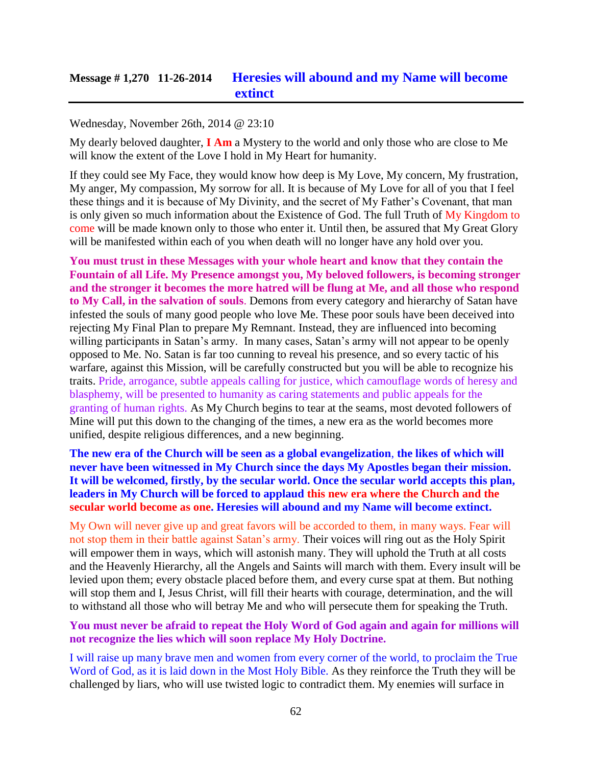### Wednesday, November 26th, 2014 @ 23:10

My dearly beloved daughter, **I Am** a Mystery to the world and only those who are close to Me will know the extent of the Love I hold in My Heart for humanity.

If they could see My Face, they would know how deep is My Love, My concern, My frustration, My anger, My compassion, My sorrow for all. It is because of My Love for all of you that I feel these things and it is because of My Divinity, and the secret of My Father's Covenant, that man is only given so much information about the Existence of God. The full Truth of My Kingdom to come will be made known only to those who enter it. Until then, be assured that My Great Glory will be manifested within each of you when death will no longer have any hold over you.

**You must trust in these Messages with your whole heart and know that they contain the Fountain of all Life. My Presence amongst you, My beloved followers, is becoming stronger and the stronger it becomes the more hatred will be flung at Me, and all those who respond to My Call, in the salvation of souls**. Demons from every category and hierarchy of Satan have infested the souls of many good people who love Me. These poor souls have been deceived into rejecting My Final Plan to prepare My Remnant. Instead, they are influenced into becoming willing participants in Satan's army. In many cases, Satan's army will not appear to be openly opposed to Me. No. Satan is far too cunning to reveal his presence, and so every tactic of his warfare, against this Mission, will be carefully constructed but you will be able to recognize his traits. Pride, arrogance, subtle appeals calling for justice, which camouflage words of heresy and blasphemy, will be presented to humanity as caring statements and public appeals for the granting of human rights. As My Church begins to tear at the seams, most devoted followers of Mine will put this down to the changing of the times, a new era as the world becomes more unified, despite religious differences, and a new beginning.

**The new era of the Church will be seen as a global evangelization**, **the likes of which will never have been witnessed in My Church since the days My Apostles began their mission. It will be welcomed, firstly, by the secular world. Once the secular world accepts this plan, leaders in My Church will be forced to applaud this new era where the Church and the secular world become as one. Heresies will abound and my Name will become extinct.**

My Own will never give up and great favors will be accorded to them, in many ways. Fear will not stop them in their battle against Satan's army. Their voices will ring out as the Holy Spirit will empower them in ways, which will astonish many. They will uphold the Truth at all costs and the Heavenly Hierarchy, all the Angels and Saints will march with them. Every insult will be levied upon them; every obstacle placed before them, and every curse spat at them. But nothing will stop them and I, Jesus Christ, will fill their hearts with courage, determination, and the will to withstand all those who will betray Me and who will persecute them for speaking the Truth.

#### **You must never be afraid to repeat the Holy Word of God again and again for millions will not recognize the lies which will soon replace My Holy Doctrine.**

I will raise up many brave men and women from every corner of the world, to proclaim the True Word of God, as it is laid down in the Most Holy Bible. As they reinforce the Truth they will be challenged by liars, who will use twisted logic to contradict them. My enemies will surface in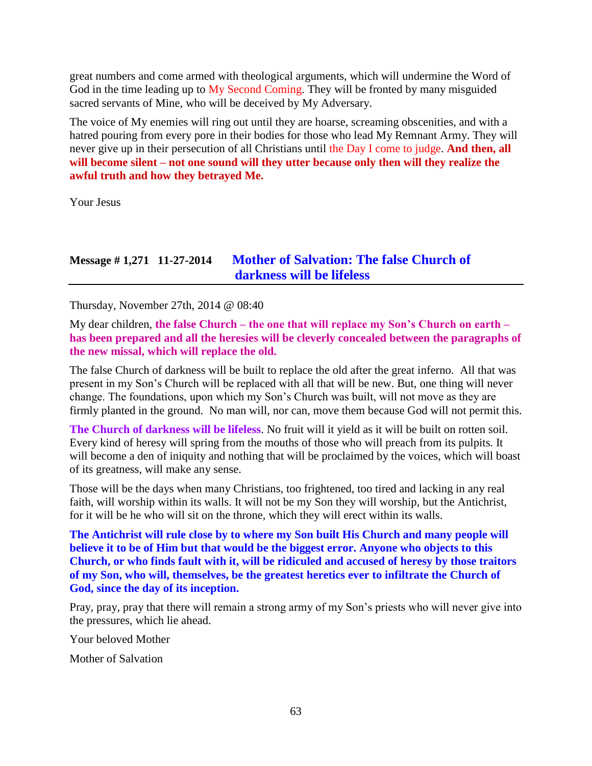great numbers and come armed with theological arguments, which will undermine the Word of God in the time leading up to My Second Coming. They will be fronted by many misguided sacred servants of Mine, who will be deceived by My Adversary.

The voice of My enemies will ring out until they are hoarse, screaming obscenities, and with a hatred pouring from every pore in their bodies for those who lead My Remnant Army. They will never give up in their persecution of all Christians until the Day I come to judge. **And then, all will become silent – not one sound will they utter because only then will they realize the awful truth and how they betrayed Me.**

Your Jesus

# **Message # 1,271 11-27-2014 [Mother of Salvation: The false Church of](http://www.thewarningsecondcoming.com/mother-of-salvation-the-false-church-of-darkness-will-be-lifeless-2/)  [darkness will be lifeless](http://www.thewarningsecondcoming.com/mother-of-salvation-the-false-church-of-darkness-will-be-lifeless-2/)**

Thursday, November 27th, 2014 @ 08:40

My dear children, **the false Church – the one that will replace my Son's Church on earth – has been prepared and all the heresies will be cleverly concealed between the paragraphs of the new missal, which will replace the old.**

The false Church of darkness will be built to replace the old after the great inferno. All that was present in my Son's Church will be replaced with all that will be new. But, one thing will never change. The foundations, upon which my Son's Church was built, will not move as they are firmly planted in the ground. No man will, nor can, move them because God will not permit this.

**The Church of darkness will be lifeless**. No fruit will it yield as it will be built on rotten soil. Every kind of heresy will spring from the mouths of those who will preach from its pulpits. It will become a den of iniquity and nothing that will be proclaimed by the voices, which will boast of its greatness, will make any sense.

Those will be the days when many Christians, too frightened, too tired and lacking in any real faith, will worship within its walls. It will not be my Son they will worship, but the Antichrist, for it will be he who will sit on the throne, which they will erect within its walls.

**The Antichrist will rule close by to where my Son built His Church and many people will believe it to be of Him but that would be the biggest error. Anyone who objects to this Church, or who finds fault with it, will be ridiculed and accused of heresy by those traitors of my Son, who will, themselves, be the greatest heretics ever to infiltrate the Church of God, since the day of its inception.**

Pray, pray, pray that there will remain a strong army of my Son's priests who will never give into the pressures, which lie ahead.

Your beloved Mother

Mother of Salvation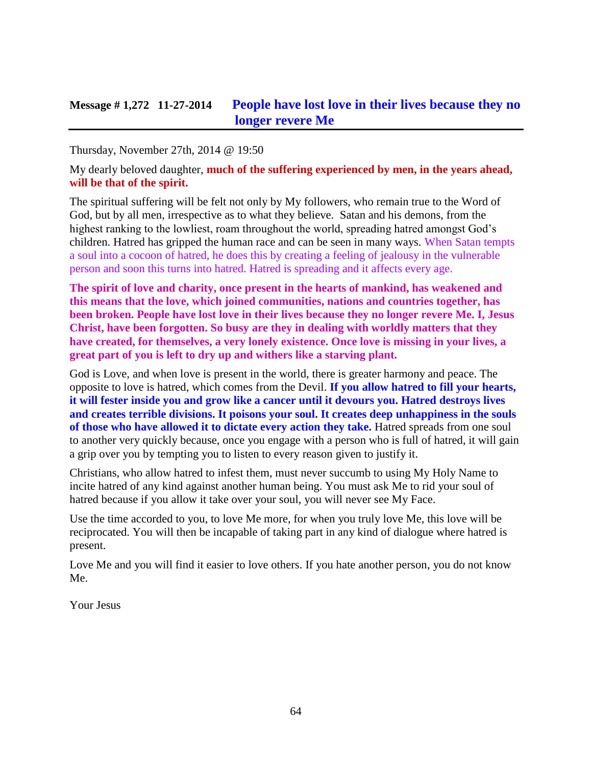Thursday, November 27th, 2014 @ 19:50

My dearly beloved daughter, **much of the suffering experienced by men, in the years ahead, will be that of the spirit.**

The spiritual suffering will be felt not only by My followers, who remain true to the Word of God, but by all men, irrespective as to what they believe. Satan and his demons, from the highest ranking to the lowliest, roam throughout the world, spreading hatred amongst God's children. Hatred has gripped the human race and can be seen in many ways. When Satan tempts a soul into a cocoon of hatred, he does this by creating a feeling of jealousy in the vulnerable person and soon this turns into hatred. Hatred is spreading and it affects every age.

**The spirit of love and charity, once present in the hearts of mankind, has weakened and this means that the love, which joined communities, nations and countries together, has been broken. People have lost love in their lives because they no longer revere Me. I, Jesus Christ, have been forgotten. So busy are they in dealing with worldly matters that they have created, for themselves, a very lonely existence. Once love is missing in your lives, a great part of you is left to dry up and withers like a starving plant.**

God is Love, and when love is present in the world, there is greater harmony and peace. The opposite to love is hatred, which comes from the Devil. **If you allow hatred to fill your hearts, it will fester inside you and grow like a cancer until it devours you. Hatred destroys lives and creates terrible divisions. It poisons your soul. It creates deep unhappiness in the souls of those who have allowed it to dictate every action they take.** Hatred spreads from one soul to another very quickly because, once you engage with a person who is full of hatred, it will gain a grip over you by tempting you to listen to every reason given to justify it.

Christians, who allow hatred to infest them, must never succumb to using My Holy Name to incite hatred of any kind against another human being. You must ask Me to rid your soul of hatred because if you allow it take over your soul, you will never see My Face.

Use the time accorded to you, to love Me more, for when you truly love Me, this love will be reciprocated. You will then be incapable of taking part in any kind of dialogue where hatred is present.

Love Me and you will find it easier to love others. If you hate another person, you do not know Me.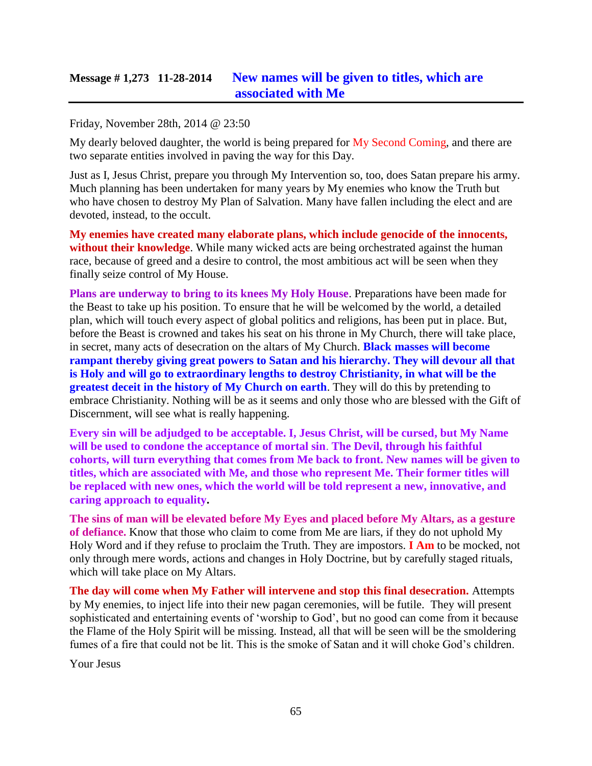# **Message # 1,273 11-28-2014 [New names will be given to titles, which are](http://www.thewarningsecondcoming.com/new-names-will-be-given-to-titles-which-are-associated-with-me/)  [associated with Me](http://www.thewarningsecondcoming.com/new-names-will-be-given-to-titles-which-are-associated-with-me/)**

#### Friday, November 28th, 2014 @ 23:50

My dearly beloved daughter, the world is being prepared for My Second Coming, and there are two separate entities involved in paving the way for this Day.

Just as I, Jesus Christ, prepare you through My Intervention so, too, does Satan prepare his army. Much planning has been undertaken for many years by My enemies who know the Truth but who have chosen to destroy My Plan of Salvation. Many have fallen including the elect and are devoted, instead, to the occult.

**My enemies have created many elaborate plans, which include genocide of the innocents, without their knowledge**. While many wicked acts are being orchestrated against the human race, because of greed and a desire to control, the most ambitious act will be seen when they finally seize control of My House.

**Plans are underway to bring to its knees My Holy House**. Preparations have been made for the Beast to take up his position. To ensure that he will be welcomed by the world, a detailed plan, which will touch every aspect of global politics and religions, has been put in place. But, before the Beast is crowned and takes his seat on his throne in My Church, there will take place, in secret, many acts of desecration on the altars of My Church. **Black masses will become rampant thereby giving great powers to Satan and his hierarchy. They will devour all that is Holy and will go to extraordinary lengths to destroy Christianity, in what will be the greatest deceit in the history of My Church on earth**. They will do this by pretending to embrace Christianity. Nothing will be as it seems and only those who are blessed with the Gift of Discernment, will see what is really happening.

**Every sin will be adjudged to be acceptable. I, Jesus Christ, will be cursed, but My Name will be used to condone the acceptance of mortal sin**. **The Devil, through his faithful cohorts, will turn everything that comes from Me back to front. New names will be given to titles, which are associated with Me, and those who represent Me. Their former titles will be replaced with new ones, which the world will be told represent a new, innovative, and caring approach to equality.**

**The sins of man will be elevated before My Eyes and placed before My Altars, as a gesture of defiance.** Know that those who claim to come from Me are liars, if they do not uphold My Holy Word and if they refuse to proclaim the Truth. They are impostors. **I Am** to be mocked, not only through mere words, actions and changes in Holy Doctrine, but by carefully staged rituals, which will take place on My Altars.

**The day will come when My Father will intervene and stop this final desecration.** Attempts by My enemies, to inject life into their new pagan ceremonies, will be futile. They will present sophisticated and entertaining events of 'worship to God', but no good can come from it because the Flame of the Holy Spirit will be missing. Instead, all that will be seen will be the smoldering fumes of a fire that could not be lit. This is the smoke of Satan and it will choke God's children.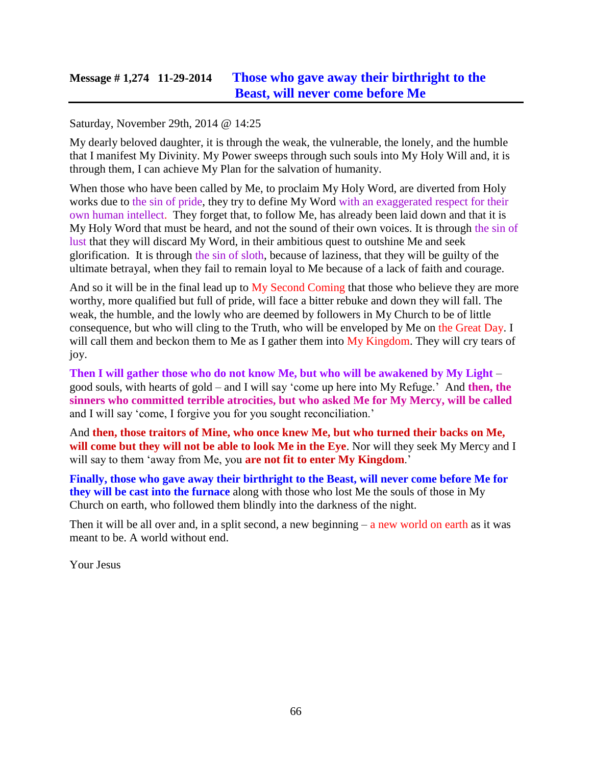## **Message # 1,274 11-29-2014 [Those who gave away their birthright to the](http://www.thewarningsecondcoming.com/those-who-gave-away-their-birthright-to-the-beast-will-never-come-before-me/)  [Beast, will never come before Me](http://www.thewarningsecondcoming.com/those-who-gave-away-their-birthright-to-the-beast-will-never-come-before-me/)**

#### Saturday, November 29th, 2014 @ 14:25

My dearly beloved daughter, it is through the weak, the vulnerable, the lonely, and the humble that I manifest My Divinity. My Power sweeps through such souls into My Holy Will and, it is through them, I can achieve My Plan for the salvation of humanity.

When those who have been called by Me, to proclaim My Holy Word, are diverted from Holy works due to the sin of pride, they try to define My Word with an exaggerated respect for their own human intellect. They forget that, to follow Me, has already been laid down and that it is My Holy Word that must be heard, and not the sound of their own voices. It is through the sin of lust that they will discard My Word, in their ambitious quest to outshine Me and seek glorification. It is through the sin of sloth, because of laziness, that they will be guilty of the ultimate betrayal, when they fail to remain loyal to Me because of a lack of faith and courage.

And so it will be in the final lead up to My Second Coming that those who believe they are more worthy, more qualified but full of pride, will face a bitter rebuke and down they will fall. The weak, the humble, and the lowly who are deemed by followers in My Church to be of little consequence, but who will cling to the Truth, who will be enveloped by Me on the Great Day. I will call them and beckon them to Me as I gather them into My Kingdom. They will cry tears of joy.

**Then I will gather those who do not know Me, but who will be awakened by My Light** – good souls, with hearts of gold – and I will say 'come up here into My Refuge.' And **then, the sinners who committed terrible atrocities, but who asked Me for My Mercy, will be called** and I will say 'come, I forgive you for you sought reconciliation.'

And **then, those traitors of Mine, who once knew Me, but who turned their backs on Me, will come but they will not be able to look Me in the Eye**. Nor will they seek My Mercy and I will say to them 'away from Me, you **are not fit to enter My Kingdom**.'

**Finally, those who gave away their birthright to the Beast, will never come before Me for they will be cast into the furnace** along with those who lost Me the souls of those in My Church on earth, who followed them blindly into the darkness of the night.

Then it will be all over and, in a split second, a new beginning  $-$  a new world on earth as it was meant to be. A world without end.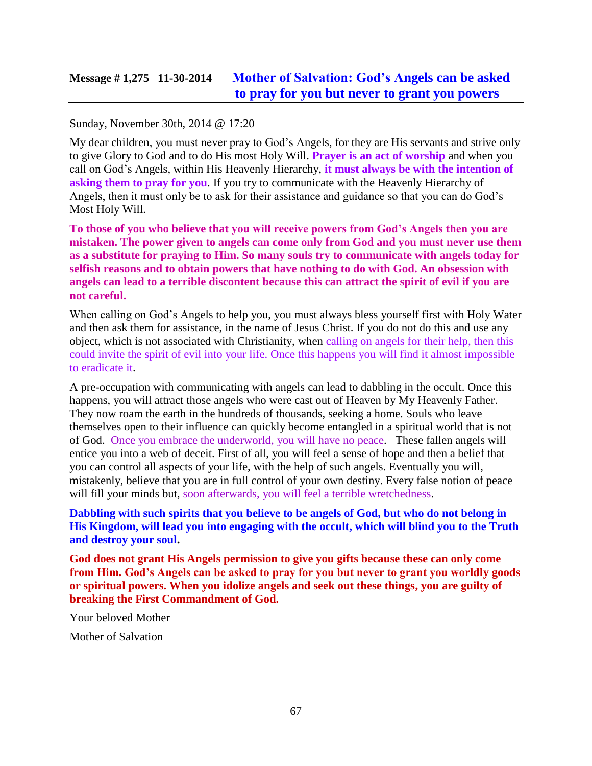# **Message # 1,275 11-30-2014 [Mother of Salvation: God's Angels can be asked](http://www.thewarningsecondcoming.com/mother-of-salvation-gods-angels-can-be-asked-to-pray-for-you-but-never-to-grant-you-powers/)  [to pray for you but never to grant you powers](http://www.thewarningsecondcoming.com/mother-of-salvation-gods-angels-can-be-asked-to-pray-for-you-but-never-to-grant-you-powers/)**

#### Sunday, November 30th, 2014 @ 17:20

My dear children, you must never pray to God's Angels, for they are His servants and strive only to give Glory to God and to do His most Holy Will. **Prayer is an act of worship** and when you call on God's Angels, within His Heavenly Hierarchy, **it must always be with the intention of asking them to pray for you**. If you try to communicate with the Heavenly Hierarchy of Angels, then it must only be to ask for their assistance and guidance so that you can do God's Most Holy Will.

**To those of you who believe that you will receive powers from God's Angels then you are mistaken. The power given to angels can come only from God and you must never use them as a substitute for praying to Him. So many souls try to communicate with angels today for selfish reasons and to obtain powers that have nothing to do with God. An obsession with angels can lead to a terrible discontent because this can attract the spirit of evil if you are not careful.**

When calling on God's Angels to help you, you must always bless yourself first with Holy Water and then ask them for assistance, in the name of Jesus Christ. If you do not do this and use any object, which is not associated with Christianity, when calling on angels for their help, then this could invite the spirit of evil into your life. Once this happens you will find it almost impossible to eradicate it.

A pre-occupation with communicating with angels can lead to dabbling in the occult. Once this happens, you will attract those angels who were cast out of Heaven by My Heavenly Father. They now roam the earth in the hundreds of thousands, seeking a home. Souls who leave themselves open to their influence can quickly become entangled in a spiritual world that is not of God. Once you embrace the underworld, you will have no peace. These fallen angels will entice you into a web of deceit. First of all, you will feel a sense of hope and then a belief that you can control all aspects of your life, with the help of such angels. Eventually you will, mistakenly, believe that you are in full control of your own destiny. Every false notion of peace will fill your minds but, soon afterwards, you will feel a terrible wretchedness.

### **Dabbling with such spirits that you believe to be angels of God, but who do not belong in His Kingdom, will lead you into engaging with the occult, which will blind you to the Truth and destroy your soul.**

**God does not grant His Angels permission to give you gifts because these can only come from Him. God's Angels can be asked to pray for you but never to grant you worldly goods or spiritual powers. When you idolize angels and seek out these things, you are guilty of breaking the First Commandment of God.**

Your beloved Mother

Mother of Salvation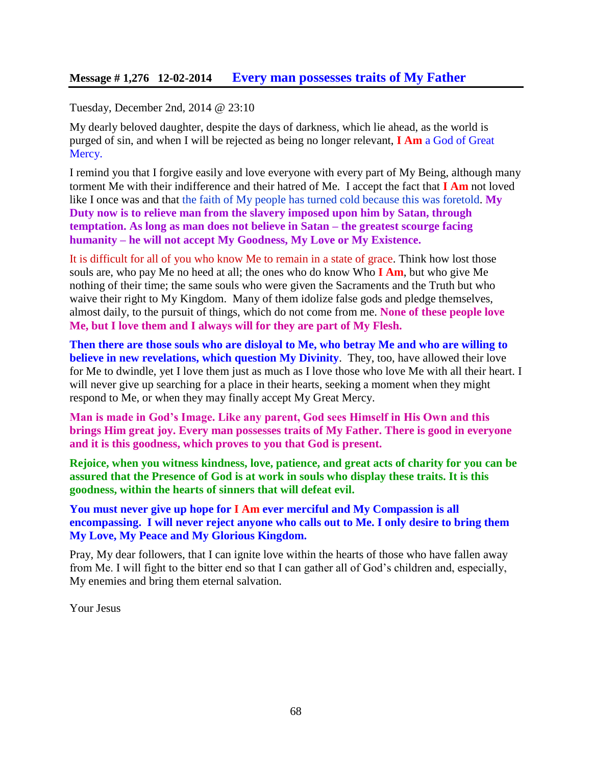Tuesday, December 2nd, 2014 @ 23:10

My dearly beloved daughter, despite the days of darkness, which lie ahead, as the world is purged of sin, and when I will be rejected as being no longer relevant, **I Am** a God of Great Mercy.

I remind you that I forgive easily and love everyone with every part of My Being, although many torment Me with their indifference and their hatred of Me. I accept the fact that **I Am** not loved like I once was and that the faith of My people has turned cold because this was foretold. My **Duty now is to relieve man from the slavery imposed upon him by Satan, through temptation. As long as man does not believe in Satan – the greatest scourge facing humanity – he will not accept My Goodness, My Love or My Existence.**

It is difficult for all of you who know Me to remain in a state of grace. Think how lost those souls are, who pay Me no heed at all; the ones who do know Who **I Am**, but who give Me nothing of their time; the same souls who were given the Sacraments and the Truth but who waive their right to My Kingdom. Many of them idolize false gods and pledge themselves, almost daily, to the pursuit of things, which do not come from me. **None of these people love Me, but I love them and I always will for they are part of My Flesh.**

**Then there are those souls who are disloyal to Me, who betray Me and who are willing to believe in new revelations, which question My Divinity**. They, too, have allowed their love for Me to dwindle, yet I love them just as much as I love those who love Me with all their heart. I will never give up searching for a place in their hearts, seeking a moment when they might respond to Me, or when they may finally accept My Great Mercy.

**Man is made in God's Image. Like any parent, God sees Himself in His Own and this brings Him great joy. Every man possesses traits of My Father. There is good in everyone and it is this goodness, which proves to you that God is present.**

**Rejoice, when you witness kindness, love, patience, and great acts of charity for you can be assured that the Presence of God is at work in souls who display these traits. It is this goodness, within the hearts of sinners that will defeat evil.**

**You must never give up hope for I Am ever merciful and My Compassion is all encompassing. I will never reject anyone who calls out to Me. I only desire to bring them My Love, My Peace and My Glorious Kingdom.**

Pray, My dear followers, that I can ignite love within the hearts of those who have fallen away from Me. I will fight to the bitter end so that I can gather all of God's children and, especially, My enemies and bring them eternal salvation.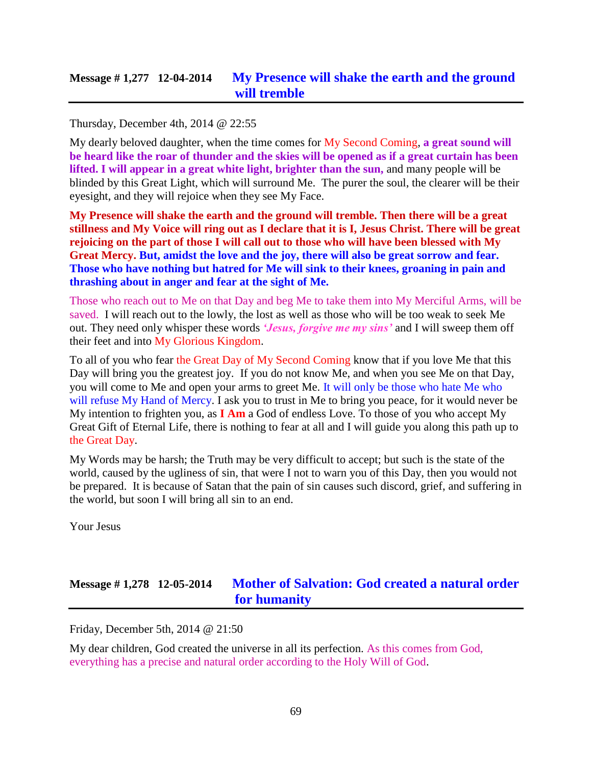## **Message # 1,277 12-04-2014 [My Presence will shake the earth and the ground](http://www.thewarningsecondcoming.com/my-presence-will-shake-the-earth-and-the-ground-will-tremble/)  [will tremble](http://www.thewarningsecondcoming.com/my-presence-will-shake-the-earth-and-the-ground-will-tremble/)**

Thursday, December 4th, 2014 @ 22:55

My dearly beloved daughter, when the time comes for My Second Coming, **a great sound will be heard like the roar of thunder and the skies will be opened as if a great curtain has been lifted. I will appear in a great white light, brighter than the sun,** and many people will be blinded by this Great Light, which will surround Me. The purer the soul, the clearer will be their eyesight, and they will rejoice when they see My Face.

**My Presence will shake the earth and the ground will tremble. Then there will be a great stillness and My Voice will ring out as I declare that it is I, Jesus Christ. There will be great rejoicing on the part of those I will call out to those who will have been blessed with My Great Mercy. But, amidst the love and the joy, there will also be great sorrow and fear. Those who have nothing but hatred for Me will sink to their knees, groaning in pain and thrashing about in anger and fear at the sight of Me.**

Those who reach out to Me on that Day and beg Me to take them into My Merciful Arms, will be saved. I will reach out to the lowly, the lost as well as those who will be too weak to seek Me out. They need only whisper these words *'Jesus, forgive me my sins'* and I will sweep them off their feet and into My Glorious Kingdom.

To all of you who fear the Great Day of My Second Coming know that if you love Me that this Day will bring you the greatest joy. If you do not know Me, and when you see Me on that Day, you will come to Me and open your arms to greet Me. It will only be those who hate Me who will refuse My Hand of Mercy. I ask you to trust in Me to bring you peace, for it would never be My intention to frighten you, as **I Am** a God of endless Love. To those of you who accept My Great Gift of Eternal Life, there is nothing to fear at all and I will guide you along this path up to the Great Day.

My Words may be harsh; the Truth may be very difficult to accept; but such is the state of the world, caused by the ugliness of sin, that were I not to warn you of this Day, then you would not be prepared. It is because of Satan that the pain of sin causes such discord, grief, and suffering in the world, but soon I will bring all sin to an end.

Your Jesus

# **Message # 1,278 12-05-2014 [Mother of Salvation: God created a natural order](http://www.thewarningsecondcoming.com/mother-of-salvation-god-created-a-natural-order-for-humanity/)  [for humanity](http://www.thewarningsecondcoming.com/mother-of-salvation-god-created-a-natural-order-for-humanity/)**

Friday, December 5th, 2014 @ 21:50

My dear children, God created the universe in all its perfection. As this comes from God, everything has a precise and natural order according to the Holy Will of God.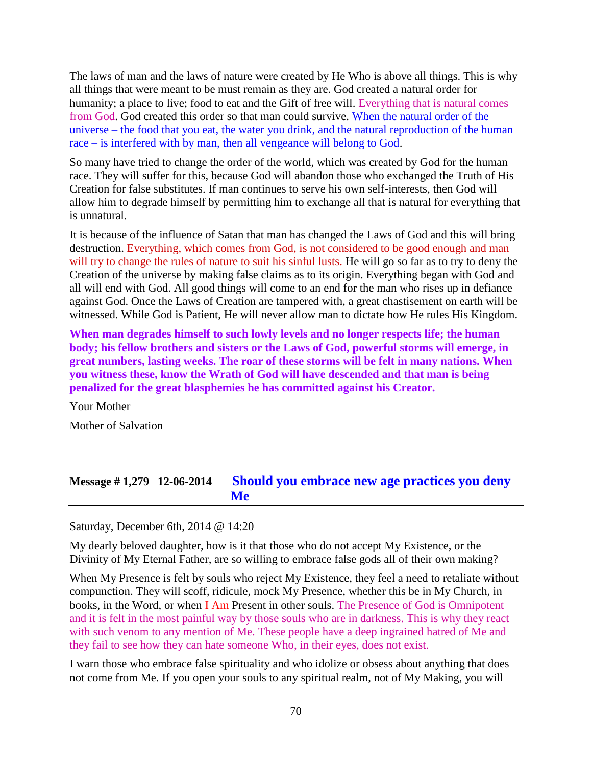The laws of man and the laws of nature were created by He Who is above all things. This is why all things that were meant to be must remain as they are. God created a natural order for humanity; a place to live; food to eat and the Gift of free will. Everything that is natural comes from God. God created this order so that man could survive. When the natural order of the universe – the food that you eat, the water you drink, and the natural reproduction of the human race – is interfered with by man, then all vengeance will belong to God.

So many have tried to change the order of the world, which was created by God for the human race. They will suffer for this, because God will abandon those who exchanged the Truth of His Creation for false substitutes. If man continues to serve his own self-interests, then God will allow him to degrade himself by permitting him to exchange all that is natural for everything that is unnatural.

It is because of the influence of Satan that man has changed the Laws of God and this will bring destruction. Everything, which comes from God, is not considered to be good enough and man will try to change the rules of nature to suit his sinful lusts. He will go so far as to try to deny the Creation of the universe by making false claims as to its origin. Everything began with God and all will end with God. All good things will come to an end for the man who rises up in defiance against God. Once the Laws of Creation are tampered with, a great chastisement on earth will be witnessed. While God is Patient, He will never allow man to dictate how He rules His Kingdom.

**When man degrades himself to such lowly levels and no longer respects life; the human body; his fellow brothers and sisters or the Laws of God, powerful storms will emerge, in great numbers, lasting weeks. The roar of these storms will be felt in many nations. When you witness these, know the Wrath of God will have descended and that man is being penalized for the great blasphemies he has committed against his Creator.**

Your Mother Mother of Salvation

## **Message # 1,279 12-06-2014 [Should you embrace new age practices you deny](http://www.thewarningsecondcoming.com/should-you-embrace-new-age-practices-then-you-deny-me/)  [Me](http://www.thewarningsecondcoming.com/should-you-embrace-new-age-practices-then-you-deny-me/)**

Saturday, December 6th, 2014 @ 14:20

My dearly beloved daughter, how is it that those who do not accept My Existence, or the Divinity of My Eternal Father, are so willing to embrace false gods all of their own making?

When My Presence is felt by souls who reject My Existence, they feel a need to retaliate without compunction. They will scoff, ridicule, mock My Presence, whether this be in My Church, in books, in the Word, or when I Am Present in other souls. The Presence of God is Omnipotent and it is felt in the most painful way by those souls who are in darkness. This is why they react with such venom to any mention of Me. These people have a deep ingrained hatred of Me and they fail to see how they can hate someone Who, in their eyes, does not exist.

I warn those who embrace false spirituality and who idolize or obsess about anything that does not come from Me. If you open your souls to any spiritual realm, not of My Making, you will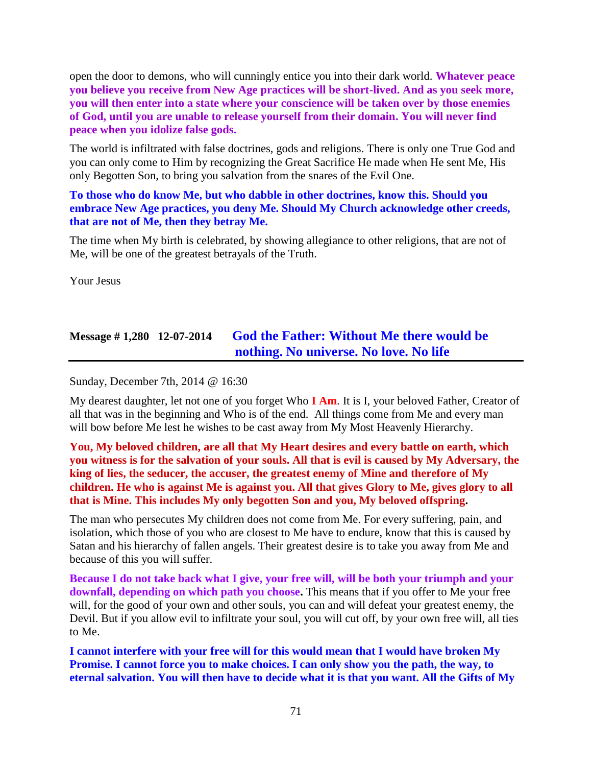open the door to demons, who will cunningly entice you into their dark world. **Whatever peace you believe you receive from New Age practices will be short-lived. And as you seek more, you will then enter into a state where your conscience will be taken over by those enemies of God, until you are unable to release yourself from their domain. You will never find peace when you idolize false gods.**

The world is infiltrated with false doctrines, gods and religions. There is only one True God and you can only come to Him by recognizing the Great Sacrifice He made when He sent Me, His only Begotten Son, to bring you salvation from the snares of the Evil One.

### **To those who do know Me, but who dabble in other doctrines, know this. Should you embrace New Age practices, you deny Me. Should My Church acknowledge other creeds, that are not of Me, then they betray Me.**

The time when My birth is celebrated, by showing allegiance to other religions, that are not of Me, will be one of the greatest betrayals of the Truth.

Your Jesus

# **Message # 1,280 12-07-2014 [God the Father: Without Me there would be](http://www.thewarningsecondcoming.com/god-the-father-without-me-there-would-be-nothing-no-universe-no-love-no-life/)  [nothing. No universe.](http://www.thewarningsecondcoming.com/god-the-father-without-me-there-would-be-nothing-no-universe-no-love-no-life/) No love. No life**

Sunday, December 7th, 2014 @ 16:30

My dearest daughter, let not one of you forget Who **I Am**. It is I, your beloved Father, Creator of all that was in the beginning and Who is of the end. All things come from Me and every man will bow before Me lest he wishes to be cast away from My Most Heavenly Hierarchy.

### **You, My beloved children, are all that My Heart desires and every battle on earth, which you witness is for the salvation of your souls. All that is evil is caused by My Adversary, the king of lies, the seducer, the accuser, the greatest enemy of Mine and therefore of My children. He who is against Me is against you. All that gives Glory to Me, gives glory to all that is Mine. This includes My only begotten Son and you, My beloved offspring.**

The man who persecutes My children does not come from Me. For every suffering, pain, and isolation, which those of you who are closest to Me have to endure, know that this is caused by Satan and his hierarchy of fallen angels. Their greatest desire is to take you away from Me and because of this you will suffer.

**Because I do not take back what I give, your free will, will be both your triumph and your downfall, depending on which path you choose.** This means that if you offer to Me your free will, for the good of your own and other souls, you can and will defeat your greatest enemy, the Devil. But if you allow evil to infiltrate your soul, you will cut off, by your own free will, all ties to Me.

**I cannot interfere with your free will for this would mean that I would have broken My Promise. I cannot force you to make choices. I can only show you the path, the way, to eternal salvation. You will then have to decide what it is that you want. All the Gifts of My**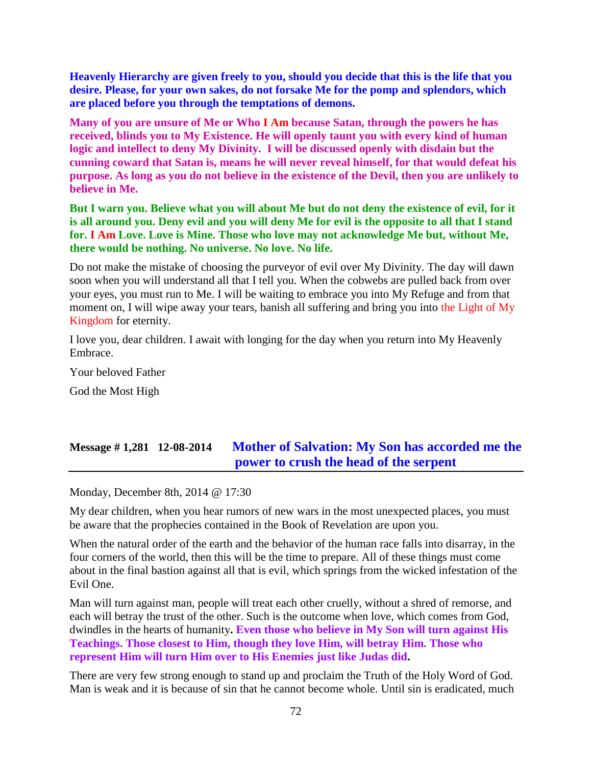**Heavenly Hierarchy are given freely to you, should you decide that this is the life that you desire. Please, for your own sakes, do not forsake Me for the pomp and splendors, which are placed before you through the temptations of demons.**

**Many of you are unsure of Me or Who I Am because Satan, through the powers he has received, blinds you to My Existence. He will openly taunt you with every kind of human logic and intellect to deny My Divinity. I will be discussed openly with disdain but the cunning coward that Satan is, means he will never reveal himself, for that would defeat his purpose. As long as you do not believe in the existence of the Devil, then you are unlikely to believe in Me.**

**But I warn you. Believe what you will about Me but do not deny the existence of evil, for it is all around you. Deny evil and you will deny Me for evil is the opposite to all that I stand for. I Am Love. Love is Mine. Those who love may not acknowledge Me but, without Me, there would be nothing. No universe. No love. No life.**

Do not make the mistake of choosing the purveyor of evil over My Divinity. The day will dawn soon when you will understand all that I tell you. When the cobwebs are pulled back from over your eyes, you must run to Me. I will be waiting to embrace you into My Refuge and from that moment on, I will wipe away your tears, banish all suffering and bring you into the Light of My Kingdom for eternity.

I love you, dear children. I await with longing for the day when you return into My Heavenly Embrace.

Your beloved Father

God the Most High

# **Message # 1,281 12-08-2014 [Mother of Salvation: My Son has accorded me the](http://www.thewarningsecondcoming.com/mother-of-salvation-my-son-has-accorded-me-the-power-to-crush-the-head-of-the-serpent/)  [power to crush the head of the serpent](http://www.thewarningsecondcoming.com/mother-of-salvation-my-son-has-accorded-me-the-power-to-crush-the-head-of-the-serpent/)**

Monday, December 8th, 2014 @ 17:30

My dear children, when you hear rumors of new wars in the most unexpected places, you must be aware that the prophecies contained in the Book of Revelation are upon you.

When the natural order of the earth and the behavior of the human race falls into disarray, in the four corners of the world, then this will be the time to prepare. All of these things must come about in the final bastion against all that is evil, which springs from the wicked infestation of the Evil One.

Man will turn against man, people will treat each other cruelly, without a shred of remorse, and each will betray the trust of the other. Such is the outcome when love, which comes from God, dwindles in the hearts of humanity**. Even those who believe in My Son will turn against His Teachings. Those closest to Him, though they love Him, will betray Him. Those who represent Him will turn Him over to His Enemies just like Judas did.**

There are very few strong enough to stand up and proclaim the Truth of the Holy Word of God. Man is weak and it is because of sin that he cannot become whole. Until sin is eradicated, much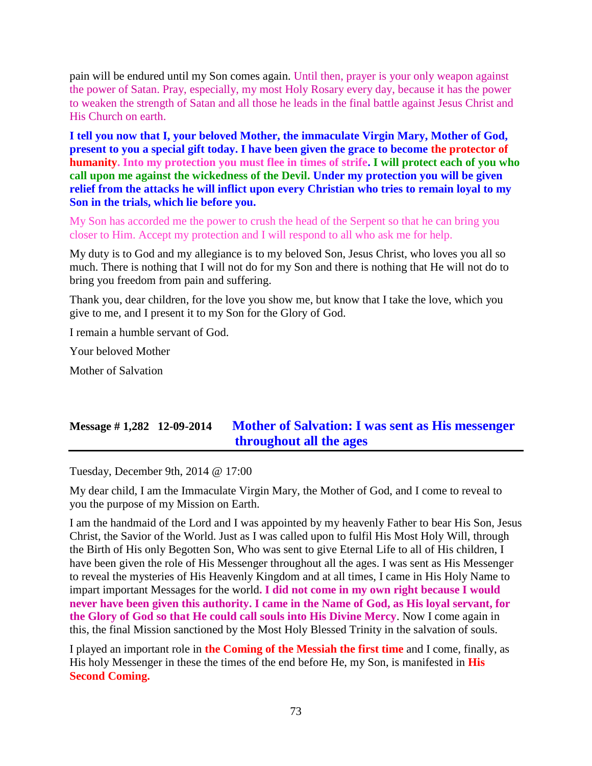pain will be endured until my Son comes again. Until then, prayer is your only weapon against the power of Satan. Pray, especially, my most Holy Rosary every day, because it has the power to weaken the strength of Satan and all those he leads in the final battle against Jesus Christ and His Church on earth.

**I tell you now that I, your beloved Mother, the immaculate Virgin Mary, Mother of God, present to you a special gift today. I have been given the grace to become the protector of humanity. Into my protection you must flee in times of strife. I will protect each of you who call upon me against the wickedness of the Devil. Under my protection you will be given relief from the attacks he will inflict upon every Christian who tries to remain loyal to my Son in the trials, which lie before you.**

My Son has accorded me the power to crush the head of the Serpent so that he can bring you closer to Him. Accept my protection and I will respond to all who ask me for help.

My duty is to God and my allegiance is to my beloved Son, Jesus Christ, who loves you all so much. There is nothing that I will not do for my Son and there is nothing that He will not do to bring you freedom from pain and suffering.

Thank you, dear children, for the love you show me, but know that I take the love, which you give to me, and I present it to my Son for the Glory of God.

I remain a humble servant of God.

Your beloved Mother

Mother of Salvation

# **Message # 1,282 12-09-2014 [Mother of Salvation: I was sent as His messenger](http://www.thewarningsecondcoming.com/mother-of-salvation-i-was-sent-as-his-messenger-throughout-all-the-ages/)  [throughout all the ages](http://www.thewarningsecondcoming.com/mother-of-salvation-i-was-sent-as-his-messenger-throughout-all-the-ages/)**

Tuesday, December 9th, 2014 @ 17:00

My dear child, I am the Immaculate Virgin Mary, the Mother of God, and I come to reveal to you the purpose of my Mission on Earth.

I am the handmaid of the Lord and I was appointed by my heavenly Father to bear His Son, Jesus Christ, the Savior of the World. Just as I was called upon to fulfil His Most Holy Will, through the Birth of His only Begotten Son, Who was sent to give Eternal Life to all of His children, I have been given the role of His Messenger throughout all the ages. I was sent as His Messenger to reveal the mysteries of His Heavenly Kingdom and at all times, I came in His Holy Name to impart important Messages for the world**. I did not come in my own right because I would never have been given this authority. I came in the Name of God, as His loyal servant, for the Glory of God so that He could call souls into His Divine Mercy**. Now I come again in this, the final Mission sanctioned by the Most Holy Blessed Trinity in the salvation of souls.

I played an important role in **the Coming of the Messiah the first time** and I come, finally, as His holy Messenger in these the times of the end before He, my Son, is manifested in **His Second Coming.**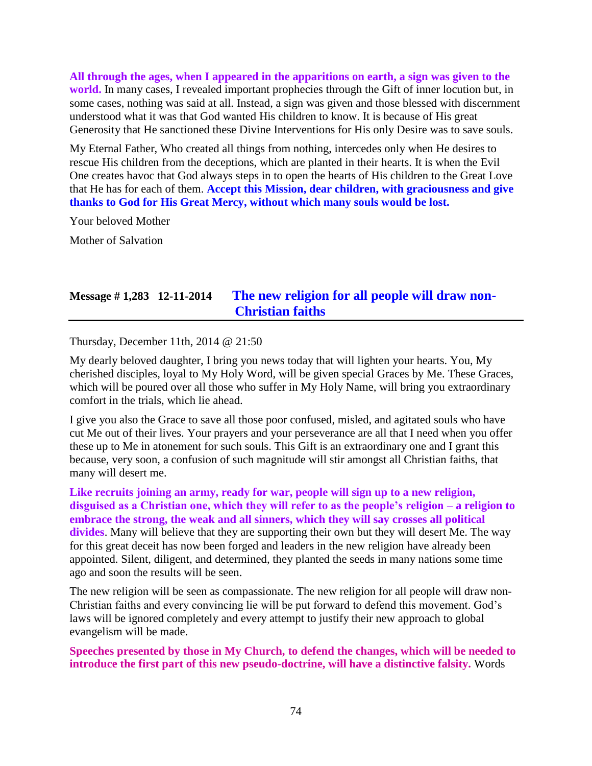**All through the ages, when I appeared in the apparitions on earth, a sign was given to the world.** In many cases, I revealed important prophecies through the Gift of inner locution but, in some cases, nothing was said at all. Instead, a sign was given and those blessed with discernment understood what it was that God wanted His children to know. It is because of His great Generosity that He sanctioned these Divine Interventions for His only Desire was to save souls.

My Eternal Father, Who created all things from nothing, intercedes only when He desires to rescue His children from the deceptions, which are planted in their hearts. It is when the Evil One creates havoc that God always steps in to open the hearts of His children to the Great Love that He has for each of them. **Accept this Mission, dear children, with graciousness and give thanks to God for His Great Mercy, without which many souls would be lost.**

Your beloved Mother

Mother of Salvation

# **Message # 1,283 12-11-2014 [The new religion for all people will draw non-](http://www.thewarningsecondcoming.com/the-new-religion-for-all-people-will-draw-non-christian-faiths/)[Christian faiths](http://www.thewarningsecondcoming.com/the-new-religion-for-all-people-will-draw-non-christian-faiths/)**

Thursday, December 11th, 2014 @ 21:50

My dearly beloved daughter, I bring you news today that will lighten your hearts. You, My cherished disciples, loyal to My Holy Word, will be given special Graces by Me. These Graces, which will be poured over all those who suffer in My Holy Name, will bring you extraordinary comfort in the trials, which lie ahead.

I give you also the Grace to save all those poor confused, misled, and agitated souls who have cut Me out of their lives. Your prayers and your perseverance are all that I need when you offer these up to Me in atonement for such souls. This Gift is an extraordinary one and I grant this because, very soon, a confusion of such magnitude will stir amongst all Christian faiths, that many will desert me.

**Like recruits joining an army, ready for war, people will sign up to a new religion, disguised as a Christian one, which they will refer to as the people's religion** – **a religion to embrace the strong, the weak and all sinners, which they will say crosses all political divides**. Many will believe that they are supporting their own but they will desert Me. The way for this great deceit has now been forged and leaders in the new religion have already been appointed. Silent, diligent, and determined, they planted the seeds in many nations some time ago and soon the results will be seen.

The new religion will be seen as compassionate. The new religion for all people will draw non-Christian faiths and every convincing lie will be put forward to defend this movement. God's laws will be ignored completely and every attempt to justify their new approach to global evangelism will be made.

**Speeches presented by those in My Church, to defend the changes, which will be needed to introduce the first part of this new pseudo-doctrine, will have a distinctive falsity.** Words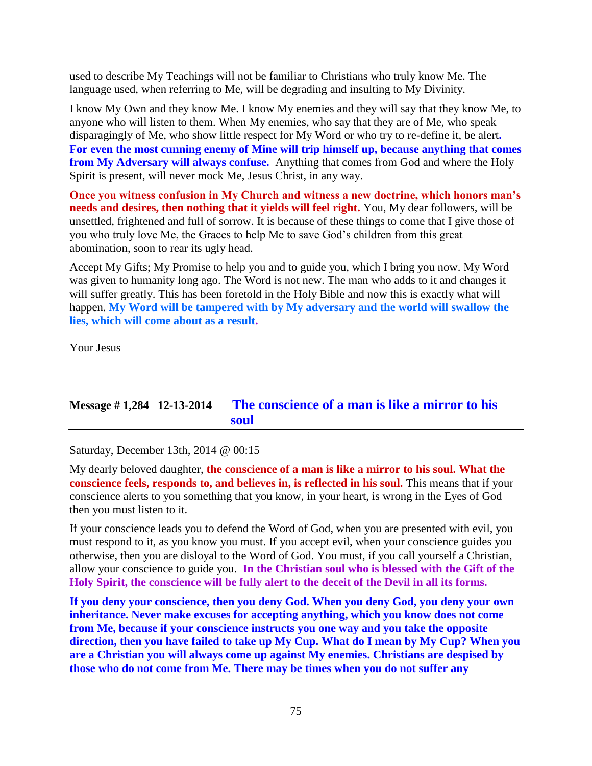used to describe My Teachings will not be familiar to Christians who truly know Me. The language used, when referring to Me, will be degrading and insulting to My Divinity.

I know My Own and they know Me. I know My enemies and they will say that they know Me, to anyone who will listen to them. When My enemies, who say that they are of Me, who speak disparagingly of Me, who show little respect for My Word or who try to re-define it, be alert**. For even the most cunning enemy of Mine will trip himself up, because anything that comes from My Adversary will always confuse.** Anything that comes from God and where the Holy Spirit is present, will never mock Me, Jesus Christ, in any way.

**Once you witness confusion in My Church and witness a new doctrine, which honors man's needs and desires, then nothing that it yields will feel right.** You, My dear followers, will be unsettled, frightened and full of sorrow. It is because of these things to come that I give those of you who truly love Me, the Graces to help Me to save God's children from this great abomination, soon to rear its ugly head.

Accept My Gifts; My Promise to help you and to guide you, which I bring you now. My Word was given to humanity long ago. The Word is not new. The man who adds to it and changes it will suffer greatly. This has been foretold in the Holy Bible and now this is exactly what will happen. **My Word will be tampered with by My adversary and the world will swallow the lies, which will come about as a result.**

Your Jesus

# **Message # 1,284 12-13-2014 [The conscience of a man is like a mirror to his](http://www.thewarningsecondcoming.com/the-conscience-of-a-man-is-like-a-mirror-to-his-soul/)  [soul](http://www.thewarningsecondcoming.com/the-conscience-of-a-man-is-like-a-mirror-to-his-soul/)**

Saturday, December 13th, 2014 @ 00:15

My dearly beloved daughter, **the conscience of a man is like a mirror to his soul. What the conscience feels, responds to, and believes in, is reflected in his soul.** This means that if your conscience alerts to you something that you know, in your heart, is wrong in the Eyes of God then you must listen to it.

If your conscience leads you to defend the Word of God, when you are presented with evil, you must respond to it, as you know you must. If you accept evil, when your conscience guides you otherwise, then you are disloyal to the Word of God. You must, if you call yourself a Christian, allow your conscience to guide you. **In the Christian soul who is blessed with the Gift of the Holy Spirit, the conscience will be fully alert to the deceit of the Devil in all its forms.**

**If you deny your conscience, then you deny God. When you deny God, you deny your own inheritance. Never make excuses for accepting anything, which you know does not come from Me, because if your conscience instructs you one way and you take the opposite direction, then you have failed to take up My Cup. What do I mean by My Cup? When you are a Christian you will always come up against My enemies. Christians are despised by those who do not come from Me. There may be times when you do not suffer any**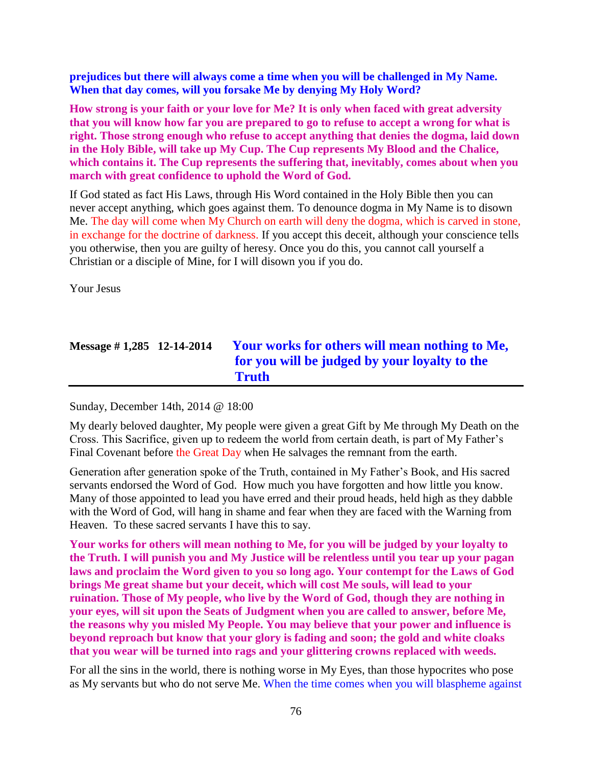**prejudices but there will always come a time when you will be challenged in My Name. When that day comes, will you forsake Me by denying My Holy Word?**

**How strong is your faith or your love for Me? It is only when faced with great adversity that you will know how far you are prepared to go to refuse to accept a wrong for what is right. Those strong enough who refuse to accept anything that denies the dogma, laid down in the Holy Bible, will take up My Cup. The Cup represents My Blood and the Chalice, which contains it. The Cup represents the suffering that, inevitably, comes about when you march with great confidence to uphold the Word of God.**

If God stated as fact His Laws, through His Word contained in the Holy Bible then you can never accept anything, which goes against them. To denounce dogma in My Name is to disown Me. The day will come when My Church on earth will deny the dogma, which is carved in stone, in exchange for the doctrine of darkness. If you accept this deceit, although your conscience tells you otherwise, then you are guilty of heresy. Once you do this, you cannot call yourself a Christian or a disciple of Mine, for I will disown you if you do.

Your Jesus

# **Message # 1,285 12-14-2014 [Your works for others will mean nothing to Me,](http://www.thewarningsecondcoming.com/your-works-for-others-will-mean-nothing-to-me-for-you-will-be-judged-by-your-loyalty-to-the-truth/)  [for you will be judged by your loyalty to the](http://www.thewarningsecondcoming.com/your-works-for-others-will-mean-nothing-to-me-for-you-will-be-judged-by-your-loyalty-to-the-truth/)  [Truth](http://www.thewarningsecondcoming.com/your-works-for-others-will-mean-nothing-to-me-for-you-will-be-judged-by-your-loyalty-to-the-truth/)**

Sunday, December 14th, 2014 @ 18:00

My dearly beloved daughter, My people were given a great Gift by Me through My Death on the Cross. This Sacrifice, given up to redeem the world from certain death, is part of My Father's Final Covenant before the Great Day when He salvages the remnant from the earth.

Generation after generation spoke of the Truth, contained in My Father's Book, and His sacred servants endorsed the Word of God. How much you have forgotten and how little you know. Many of those appointed to lead you have erred and their proud heads, held high as they dabble with the Word of God, will hang in shame and fear when they are faced with the Warning from Heaven. To these sacred servants I have this to say.

**Your works for others will mean nothing to Me, for you will be judged by your loyalty to the Truth. I will punish you and My Justice will be relentless until you tear up your pagan laws and proclaim the Word given to you so long ago. Your contempt for the Laws of God brings Me great shame but your deceit, which will cost Me souls, will lead to your ruination. Those of My people, who live by the Word of God, though they are nothing in your eyes, will sit upon the Seats of Judgment when you are called to answer, before Me, the reasons why you misled My People. You may believe that your power and influence is beyond reproach but know that your glory is fading and soon; the gold and white cloaks that you wear will be turned into rags and your glittering crowns replaced with weeds.**

For all the sins in the world, there is nothing worse in My Eyes, than those hypocrites who pose as My servants but who do not serve Me. When the time comes when you will blaspheme against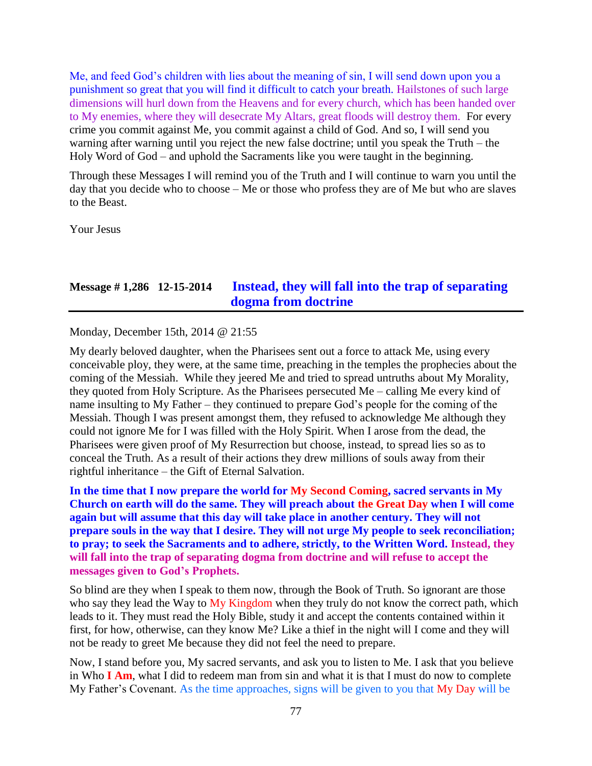Me, and feed God's children with lies about the meaning of sin, I will send down upon you a punishment so great that you will find it difficult to catch your breath. Hailstones of such large dimensions will hurl down from the Heavens and for every church, which has been handed over to My enemies, where they will desecrate My Altars, great floods will destroy them. For every crime you commit against Me, you commit against a child of God. And so, I will send you warning after warning until you reject the new false doctrine; until you speak the Truth – the Holy Word of God – and uphold the Sacraments like you were taught in the beginning.

Through these Messages I will remind you of the Truth and I will continue to warn you until the day that you decide who to choose – Me or those who profess they are of Me but who are slaves to the Beast.

Your Jesus

### **Message # 1,286 12-15-2014 [Instead, they will fall into the trap of separating](http://www.thewarningsecondcoming.com/instead-they-will-fall-into-the-trap-of-separating-dogma-from-doctrine/)  [dogma from doctrine](http://www.thewarningsecondcoming.com/instead-they-will-fall-into-the-trap-of-separating-dogma-from-doctrine/)**

Monday, December 15th, 2014 @ 21:55

My dearly beloved daughter, when the Pharisees sent out a force to attack Me, using every conceivable ploy, they were, at the same time, preaching in the temples the prophecies about the coming of the Messiah. While they jeered Me and tried to spread untruths about My Morality, they quoted from Holy Scripture. As the Pharisees persecuted Me – calling Me every kind of name insulting to My Father – they continued to prepare God's people for the coming of the Messiah. Though I was present amongst them, they refused to acknowledge Me although they could not ignore Me for I was filled with the Holy Spirit. When I arose from the dead, the Pharisees were given proof of My Resurrection but choose, instead, to spread lies so as to conceal the Truth. As a result of their actions they drew millions of souls away from their rightful inheritance – the Gift of Eternal Salvation.

**In the time that I now prepare the world for My Second Coming, sacred servants in My Church on earth will do the same. They will preach about the Great Day when I will come again but will assume that this day will take place in another century. They will not prepare souls in the way that I desire. They will not urge My people to seek reconciliation; to pray; to seek the Sacraments and to adhere, strictly, to the Written Word. Instead, they will fall into the trap of separating dogma from doctrine and will refuse to accept the messages given to God's Prophets.**

So blind are they when I speak to them now, through the Book of Truth. So ignorant are those who say they lead the Way to My Kingdom when they truly do not know the correct path, which leads to it. They must read the Holy Bible, study it and accept the contents contained within it first, for how, otherwise, can they know Me? Like a thief in the night will I come and they will not be ready to greet Me because they did not feel the need to prepare.

Now, I stand before you, My sacred servants, and ask you to listen to Me. I ask that you believe in Who **I Am**, what I did to redeem man from sin and what it is that I must do now to complete My Father's Covenant. As the time approaches, signs will be given to you that My Day will be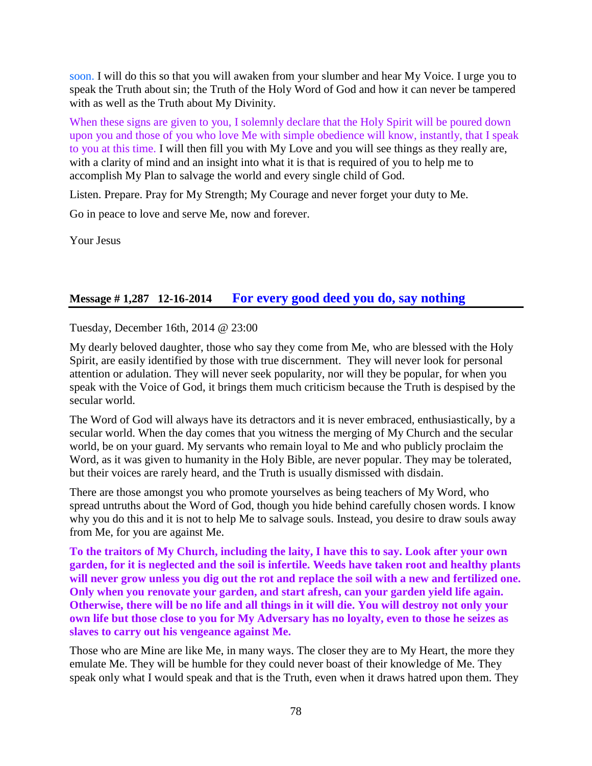soon. I will do this so that you will awaken from your slumber and hear My Voice. I urge you to speak the Truth about sin; the Truth of the Holy Word of God and how it can never be tampered with as well as the Truth about My Divinity.

When these signs are given to you, I solemnly declare that the Holy Spirit will be poured down upon you and those of you who love Me with simple obedience will know, instantly, that I speak to you at this time. I will then fill you with My Love and you will see things as they really are, with a clarity of mind and an insight into what it is that is required of you to help me to accomplish My Plan to salvage the world and every single child of God.

Listen. Prepare. Pray for My Strength; My Courage and never forget your duty to Me.

Go in peace to love and serve Me, now and forever.

Your Jesus

## **Message # 1,287 12-16-2014 [For every good deed you do, say nothing](http://www.thewarningsecondcoming.com/for-every-good-deed-you-do-say-nothing/)**

Tuesday, December 16th, 2014 @ 23:00

My dearly beloved daughter, those who say they come from Me, who are blessed with the Holy Spirit, are easily identified by those with true discernment. They will never look for personal attention or adulation. They will never seek popularity, nor will they be popular, for when you speak with the Voice of God, it brings them much criticism because the Truth is despised by the secular world.

The Word of God will always have its detractors and it is never embraced, enthusiastically, by a secular world. When the day comes that you witness the merging of My Church and the secular world, be on your guard. My servants who remain loyal to Me and who publicly proclaim the Word, as it was given to humanity in the Holy Bible, are never popular. They may be tolerated, but their voices are rarely heard, and the Truth is usually dismissed with disdain.

There are those amongst you who promote yourselves as being teachers of My Word, who spread untruths about the Word of God, though you hide behind carefully chosen words. I know why you do this and it is not to help Me to salvage souls. Instead, you desire to draw souls away from Me, for you are against Me.

**To the traitors of My Church, including the laity, I have this to say. Look after your own garden, for it is neglected and the soil is infertile. Weeds have taken root and healthy plants will never grow unless you dig out the rot and replace the soil with a new and fertilized one. Only when you renovate your garden, and start afresh, can your garden yield life again. Otherwise, there will be no life and all things in it will die. You will destroy not only your own life but those close to you for My Adversary has no loyalty, even to those he seizes as slaves to carry out his vengeance against Me.**

Those who are Mine are like Me, in many ways. The closer they are to My Heart, the more they emulate Me. They will be humble for they could never boast of their knowledge of Me. They speak only what I would speak and that is the Truth, even when it draws hatred upon them. They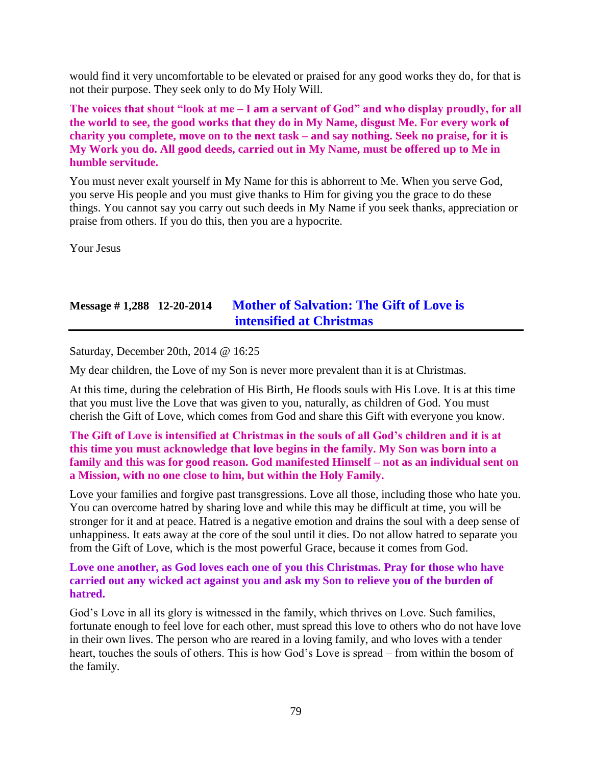would find it very uncomfortable to be elevated or praised for any good works they do, for that is not their purpose. They seek only to do My Holy Will.

**The voices that shout "look at me – I am a servant of God" and who display proudly, for all the world to see, the good works that they do in My Name, disgust Me. For every work of charity you complete, move on to the next task – and say nothing. Seek no praise, for it is My Work you do. All good deeds, carried out in My Name, must be offered up to Me in humble servitude.**

You must never exalt yourself in My Name for this is abhorrent to Me. When you serve God, you serve His people and you must give thanks to Him for giving you the grace to do these things. You cannot say you carry out such deeds in My Name if you seek thanks, appreciation or praise from others. If you do this, then you are a hypocrite.

Your Jesus

# **Message # 1,288 12-20-2014 [Mother of Salvation: The Gift of Love is](http://www.thewarningsecondcoming.com/mother-of-salvation-the-gift-of-love-is-intensified-at-christmas/)  [intensified at Christmas](http://www.thewarningsecondcoming.com/mother-of-salvation-the-gift-of-love-is-intensified-at-christmas/)**

Saturday, December 20th, 2014 @ 16:25

My dear children, the Love of my Son is never more prevalent than it is at Christmas.

At this time, during the celebration of His Birth, He floods souls with His Love. It is at this time that you must live the Love that was given to you, naturally, as children of God. You must cherish the Gift of Love, which comes from God and share this Gift with everyone you know.

#### **The Gift of Love is intensified at Christmas in the souls of all God's children and it is at this time you must acknowledge that love begins in the family. My Son was born into a family and this was for good reason. God manifested Himself – not as an individual sent on a Mission, with no one close to him, but within the Holy Family.**

Love your families and forgive past transgressions. Love all those, including those who hate you. You can overcome hatred by sharing love and while this may be difficult at time, you will be stronger for it and at peace. Hatred is a negative emotion and drains the soul with a deep sense of unhappiness. It eats away at the core of the soul until it dies. Do not allow hatred to separate you from the Gift of Love, which is the most powerful Grace, because it comes from God.

**Love one another, as God loves each one of you this Christmas. Pray for those who have carried out any wicked act against you and ask my Son to relieve you of the burden of hatred.**

God's Love in all its glory is witnessed in the family, which thrives on Love. Such families, fortunate enough to feel love for each other, must spread this love to others who do not have love in their own lives. The person who are reared in a loving family, and who loves with a tender heart, touches the souls of others. This is how God's Love is spread – from within the bosom of the family.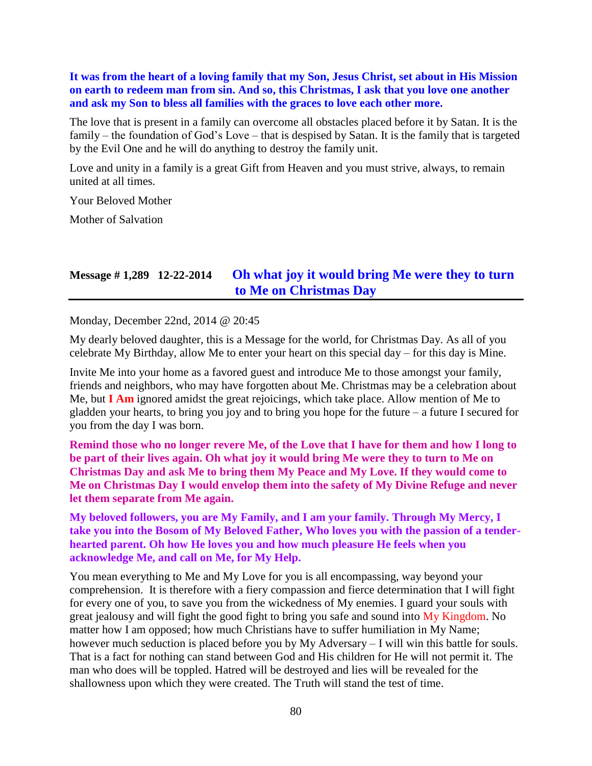**It was from the heart of a loving family that my Son, Jesus Christ, set about in His Mission on earth to redeem man from sin. And so, this Christmas, I ask that you love one another and ask my Son to bless all families with the graces to love each other more.**

The love that is present in a family can overcome all obstacles placed before it by Satan. It is the family – the foundation of God's Love – that is despised by Satan. It is the family that is targeted by the Evil One and he will do anything to destroy the family unit.

Love and unity in a family is a great Gift from Heaven and you must strive, always, to remain united at all times.

Your Beloved Mother

Mother of Salvation

### **Message # 1,289 12-22-2014 [Oh what joy it would bring Me were they to turn](http://www.thewarningsecondcoming.com/oh-what-joy-it-would-bring-me-were-they-to-turn-to-me-on-christmas-day/)  [to Me on Christmas Day](http://www.thewarningsecondcoming.com/oh-what-joy-it-would-bring-me-were-they-to-turn-to-me-on-christmas-day/)**

Monday, December 22nd, 2014 @ 20:45

My dearly beloved daughter, this is a Message for the world, for Christmas Day. As all of you celebrate My Birthday, allow Me to enter your heart on this special day – for this day is Mine.

Invite Me into your home as a favored guest and introduce Me to those amongst your family, friends and neighbors, who may have forgotten about Me. Christmas may be a celebration about Me, but **I Am** ignored amidst the great rejoicings, which take place. Allow mention of Me to gladden your hearts, to bring you joy and to bring you hope for the future – a future I secured for you from the day I was born.

**Remind those who no longer revere Me, of the Love that I have for them and how I long to be part of their lives again. Oh what joy it would bring Me were they to turn to Me on Christmas Day and ask Me to bring them My Peace and My Love. If they would come to Me on Christmas Day I would envelop them into the safety of My Divine Refuge and never let them separate from Me again.**

**My beloved followers, you are My Family, and I am your family. Through My Mercy, I take you into the Bosom of My Beloved Father, Who loves you with the passion of a tenderhearted parent. Oh how He loves you and how much pleasure He feels when you acknowledge Me, and call on Me, for My Help.**

You mean everything to Me and My Love for you is all encompassing, way beyond your comprehension. It is therefore with a fiery compassion and fierce determination that I will fight for every one of you, to save you from the wickedness of My enemies. I guard your souls with great jealousy and will fight the good fight to bring you safe and sound into My Kingdom. No matter how I am opposed; how much Christians have to suffer humiliation in My Name; however much seduction is placed before you by My Adversary – I will win this battle for souls. That is a fact for nothing can stand between God and His children for He will not permit it. The man who does will be toppled. Hatred will be destroyed and lies will be revealed for the shallowness upon which they were created. The Truth will stand the test of time.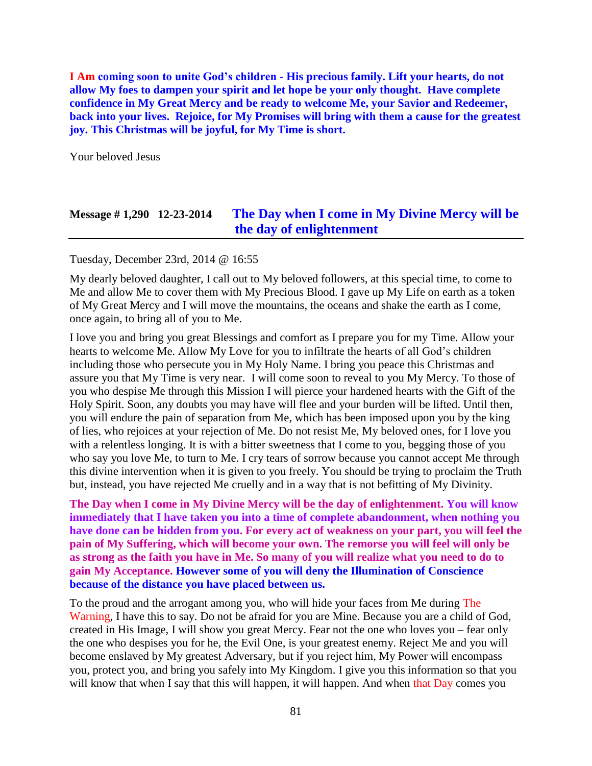**I Am coming soon to unite God's children - His precious family. Lift your hearts, do not allow My foes to dampen your spirit and let hope be your only thought. Have complete confidence in My Great Mercy and be ready to welcome Me, your Savior and Redeemer, back into your lives. Rejoice, for My Promises will bring with them a cause for the greatest joy. This Christmas will be joyful, for My Time is short.**

Your beloved Jesus

## **Message # 1,290 12-23-2014 [The Day when I come in My Divine Mercy will be](http://www.thewarningsecondcoming.com/the-day-when-i-come-in-my-divine-mercy-will-be-the-day-of-enlightenment/)  [the day of enlightenment](http://www.thewarningsecondcoming.com/the-day-when-i-come-in-my-divine-mercy-will-be-the-day-of-enlightenment/)**

Tuesday, December 23rd, 2014 @ 16:55

My dearly beloved daughter, I call out to My beloved followers, at this special time, to come to Me and allow Me to cover them with My Precious Blood. I gave up My Life on earth as a token of My Great Mercy and I will move the mountains, the oceans and shake the earth as I come, once again, to bring all of you to Me.

I love you and bring you great Blessings and comfort as I prepare you for my Time. Allow your hearts to welcome Me. Allow My Love for you to infiltrate the hearts of all God's children including those who persecute you in My Holy Name. I bring you peace this Christmas and assure you that My Time is very near. I will come soon to reveal to you My Mercy. To those of you who despise Me through this Mission I will pierce your hardened hearts with the Gift of the Holy Spirit. Soon, any doubts you may have will flee and your burden will be lifted. Until then, you will endure the pain of separation from Me, which has been imposed upon you by the king of lies, who rejoices at your rejection of Me. Do not resist Me, My beloved ones, for I love you with a relentless longing. It is with a bitter sweetness that I come to you, begging those of you who say you love Me, to turn to Me. I cry tears of sorrow because you cannot accept Me through this divine intervention when it is given to you freely. You should be trying to proclaim the Truth but, instead, you have rejected Me cruelly and in a way that is not befitting of My Divinity.

**The Day when I come in My Divine Mercy will be the day of enlightenment. You will know immediately that I have taken you into a time of complete abandonment, when nothing you have done can be hidden from you. For every act of weakness on your part, you will feel the pain of My Suffering, which will become your own. The remorse you will feel will only be as strong as the faith you have in Me. So many of you will realize what you need to do to gain My Acceptance. However some of you will deny the Illumination of Conscience because of the distance you have placed between us.**

To the proud and the arrogant among you, who will hide your faces from Me during The Warning, I have this to say. Do not be afraid for you are Mine. Because you are a child of God, created in His Image, I will show you great Mercy. Fear not the one who loves you – fear only the one who despises you for he, the Evil One, is your greatest enemy. Reject Me and you will become enslaved by My greatest Adversary, but if you reject him, My Power will encompass you, protect you, and bring you safely into My Kingdom. I give you this information so that you will know that when I say that this will happen, it will happen. And when that Day comes you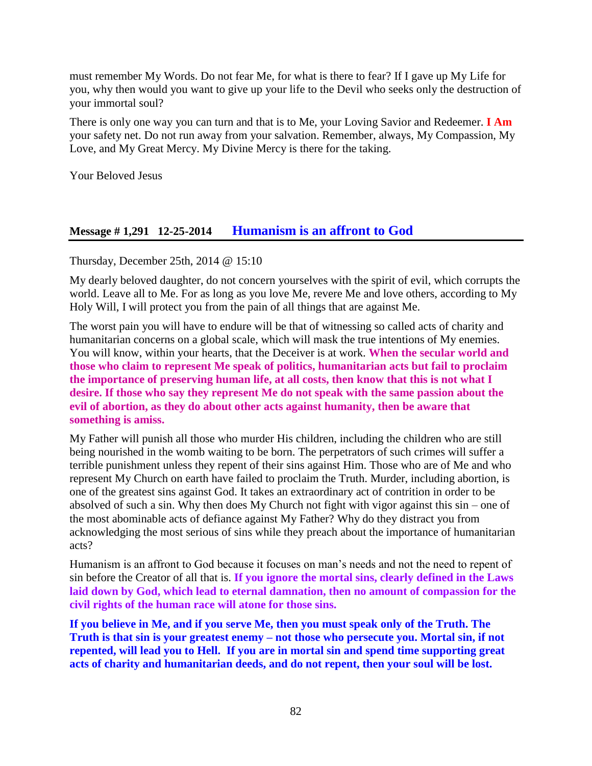must remember My Words. Do not fear Me, for what is there to fear? If I gave up My Life for you, why then would you want to give up your life to the Devil who seeks only the destruction of your immortal soul?

There is only one way you can turn and that is to Me, your Loving Savior and Redeemer. **I Am** your safety net. Do not run away from your salvation. Remember, always, My Compassion, My Love, and My Great Mercy. My Divine Mercy is there for the taking.

Your Beloved Jesus

## **Message # 1,291 12-25-2014 [Humanism is an affront to God](http://www.thewarningsecondcoming.com/humanism-is-an-affront-to-god/)**

Thursday, December 25th, 2014 @ 15:10

My dearly beloved daughter, do not concern yourselves with the spirit of evil, which corrupts the world. Leave all to Me. For as long as you love Me, revere Me and love others, according to My Holy Will, I will protect you from the pain of all things that are against Me.

The worst pain you will have to endure will be that of witnessing so called acts of charity and humanitarian concerns on a global scale, which will mask the true intentions of My enemies. You will know, within your hearts, that the Deceiver is at work. **When the secular world and those who claim to represent Me speak of politics, humanitarian acts but fail to proclaim the importance of preserving human life, at all costs, then know that this is not what I desire. If those who say they represent Me do not speak with the same passion about the evil of abortion, as they do about other acts against humanity, then be aware that something is amiss.**

My Father will punish all those who murder His children, including the children who are still being nourished in the womb waiting to be born. The perpetrators of such crimes will suffer a terrible punishment unless they repent of their sins against Him. Those who are of Me and who represent My Church on earth have failed to proclaim the Truth. Murder, including abortion, is one of the greatest sins against God. It takes an extraordinary act of contrition in order to be absolved of such a sin. Why then does My Church not fight with vigor against this sin – one of the most abominable acts of defiance against My Father? Why do they distract you from acknowledging the most serious of sins while they preach about the importance of humanitarian acts?

Humanism is an affront to God because it focuses on man's needs and not the need to repent of sin before the Creator of all that is. **If you ignore the mortal sins, clearly defined in the Laws laid down by God, which lead to eternal damnation, then no amount of compassion for the civil rights of the human race will atone for those sins.**

**If you believe in Me, and if you serve Me, then you must speak only of the Truth. The Truth is that sin is your greatest enemy – not those who persecute you. Mortal sin, if not repented, will lead you to Hell. If you are in mortal sin and spend time supporting great acts of charity and humanitarian deeds, and do not repent, then your soul will be lost.**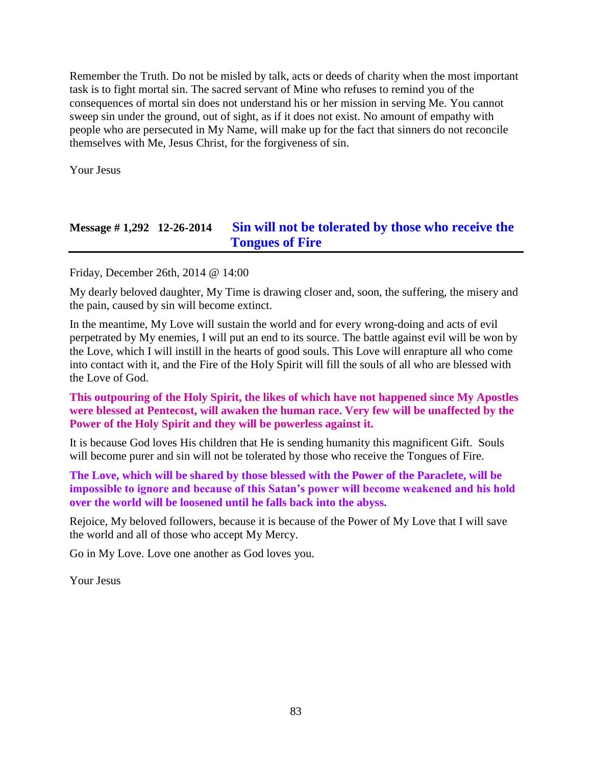Remember the Truth. Do not be misled by talk, acts or deeds of charity when the most important task is to fight mortal sin. The sacred servant of Mine who refuses to remind you of the consequences of mortal sin does not understand his or her mission in serving Me. You cannot sweep sin under the ground, out of sight, as if it does not exist. No amount of empathy with people who are persecuted in My Name, will make up for the fact that sinners do not reconcile themselves with Me, Jesus Christ, for the forgiveness of sin.

Your Jesus

# **Message # 1,292 12-26-2014 [Sin will not be tolerated by those who receive the](http://www.thewarningsecondcoming.com/sin-will-not-be-tolerated-by-those-who-receive-the-tongues-of-fire/)  [Tongues of Fire](http://www.thewarningsecondcoming.com/sin-will-not-be-tolerated-by-those-who-receive-the-tongues-of-fire/)**

Friday, December 26th, 2014 @ 14:00

My dearly beloved daughter, My Time is drawing closer and, soon, the suffering, the misery and the pain, caused by sin will become extinct.

In the meantime, My Love will sustain the world and for every wrong-doing and acts of evil perpetrated by My enemies, I will put an end to its source. The battle against evil will be won by the Love, which I will instill in the hearts of good souls. This Love will enrapture all who come into contact with it, and the Fire of the Holy Spirit will fill the souls of all who are blessed with the Love of God.

**This outpouring of the Holy Spirit, the likes of which have not happened since My Apostles were blessed at Pentecost, will awaken the human race. Very few will be unaffected by the Power of the Holy Spirit and they will be powerless against it.**

It is because God loves His children that He is sending humanity this magnificent Gift. Souls will become purer and sin will not be tolerated by those who receive the Tongues of Fire.

**The Love, which will be shared by those blessed with the Power of the Paraclete, will be impossible to ignore and because of this Satan's power will become weakened and his hold over the world will be loosened until he falls back into the abyss.**

Rejoice, My beloved followers, because it is because of the Power of My Love that I will save the world and all of those who accept My Mercy.

Go in My Love. Love one another as God loves you.

Your Jesus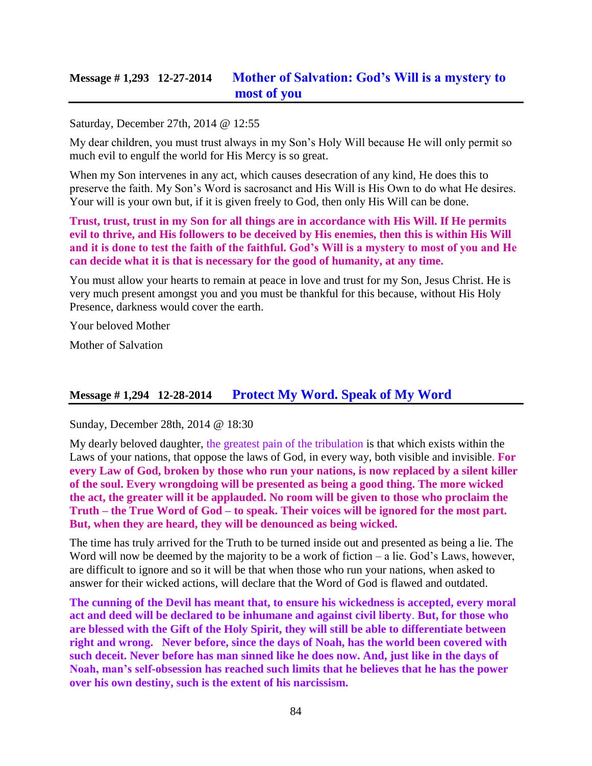# **Message # 1,293 12-27-2014 [Mother of Salvation: God's Will is a mystery to](http://www.thewarningsecondcoming.com/mother-of-salvation-gods-will-is-a-mystery-to-most-of-you/)  [most of you](http://www.thewarningsecondcoming.com/mother-of-salvation-gods-will-is-a-mystery-to-most-of-you/)**

#### Saturday, December 27th, 2014 @ 12:55

My dear children, you must trust always in my Son's Holy Will because He will only permit so much evil to engulf the world for His Mercy is so great.

When my Son intervenes in any act, which causes desecration of any kind, He does this to preserve the faith. My Son's Word is sacrosanct and His Will is His Own to do what He desires. Your will is your own but, if it is given freely to God, then only His Will can be done.

**Trust, trust, trust in my Son for all things are in accordance with His Will. If He permits evil to thrive, and His followers to be deceived by His enemies, then this is within His Will and it is done to test the faith of the faithful. God's Will is a mystery to most of you and He can decide what it is that is necessary for the good of humanity, at any time.**

You must allow your hearts to remain at peace in love and trust for my Son, Jesus Christ. He is very much present amongst you and you must be thankful for this because, without His Holy Presence, darkness would cover the earth.

Your beloved Mother

Mother of Salvation

### **Message # 1,294 12-28-2014 [Protect My Word. Speak of My Word](http://www.thewarningsecondcoming.com/protect-my-word-speak-of-my-word/)**

Sunday, December 28th, 2014 @ 18:30

My dearly beloved daughter, the greatest pain of the tribulation is that which exists within the Laws of your nations, that oppose the laws of God, in every way, both visible and invisible. **For every Law of God, broken by those who run your nations, is now replaced by a silent killer of the soul. Every wrongdoing will be presented as being a good thing. The more wicked the act, the greater will it be applauded. No room will be given to those who proclaim the Truth – the True Word of God – to speak. Their voices will be ignored for the most part. But, when they are heard, they will be denounced as being wicked.**

The time has truly arrived for the Truth to be turned inside out and presented as being a lie. The Word will now be deemed by the majority to be a work of fiction – a lie. God's Laws, however, are difficult to ignore and so it will be that when those who run your nations, when asked to answer for their wicked actions, will declare that the Word of God is flawed and outdated.

**The cunning of the Devil has meant that, to ensure his wickedness is accepted, every moral act and deed will be declared to be inhumane and against civil liberty**. **But, for those who are blessed with the Gift of the Holy Spirit, they will still be able to differentiate between right and wrong. Never before, since the days of Noah, has the world been covered with such deceit. Never before has man sinned like he does now. And, just like in the days of Noah, man's self-obsession has reached such limits that he believes that he has the power over his own destiny, such is the extent of his narcissism.**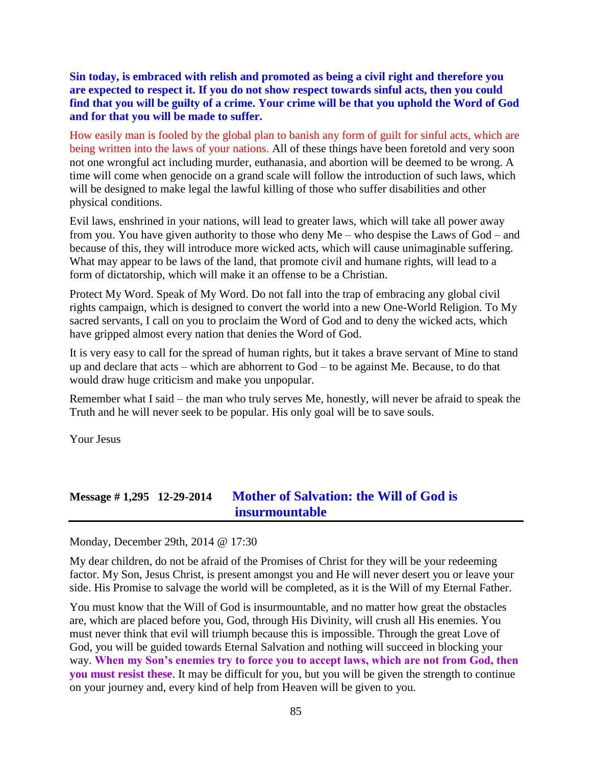**Sin today, is embraced with relish and promoted as being a civil right and therefore you are expected to respect it. If you do not show respect towards sinful acts, then you could find that you will be guilty of a crime. Your crime will be that you uphold the Word of God and for that you will be made to suffer.**

How easily man is fooled by the global plan to banish any form of guilt for sinful acts, which are being written into the laws of your nations. All of these things have been foretold and very soon not one wrongful act including murder, euthanasia, and abortion will be deemed to be wrong. A time will come when genocide on a grand scale will follow the introduction of such laws, which will be designed to make legal the lawful killing of those who suffer disabilities and other physical conditions.

Evil laws, enshrined in your nations, will lead to greater laws, which will take all power away from you. You have given authority to those who deny Me – who despise the Laws of God – and because of this, they will introduce more wicked acts, which will cause unimaginable suffering. What may appear to be laws of the land, that promote civil and humane rights, will lead to a form of dictatorship, which will make it an offense to be a Christian.

Protect My Word. Speak of My Word. Do not fall into the trap of embracing any global civil rights campaign, which is designed to convert the world into a new One-World Religion. To My sacred servants, I call on you to proclaim the Word of God and to deny the wicked acts, which have gripped almost every nation that denies the Word of God.

It is very easy to call for the spread of human rights, but it takes a brave servant of Mine to stand up and declare that acts – which are abhorrent to God – to be against Me. Because, to do that would draw huge criticism and make you unpopular.

Remember what I said – the man who truly serves Me, honestly, will never be afraid to speak the Truth and he will never seek to be popular. His only goal will be to save souls.

Your Jesus

# **Message # 1,295 12-29-2014 [Mother of Salvation: the Will of God is](http://www.thewarningsecondcoming.com/mother-of-salvation-the-will-of-god-is-insurmountable/)  [insurmountable](http://www.thewarningsecondcoming.com/mother-of-salvation-the-will-of-god-is-insurmountable/)**

Monday, December 29th, 2014 @ 17:30

My dear children, do not be afraid of the Promises of Christ for they will be your redeeming factor. My Son, Jesus Christ, is present amongst you and He will never desert you or leave your side. His Promise to salvage the world will be completed, as it is the Will of my Eternal Father.

You must know that the Will of God is insurmountable, and no matter how great the obstacles are, which are placed before you, God, through His Divinity, will crush all His enemies. You must never think that evil will triumph because this is impossible. Through the great Love of God, you will be guided towards Eternal Salvation and nothing will succeed in blocking your way. **When my Son's enemies try to force you to accept laws, which are not from God, then you must resist these**. It may be difficult for you, but you will be given the strength to continue on your journey and, every kind of help from Heaven will be given to you.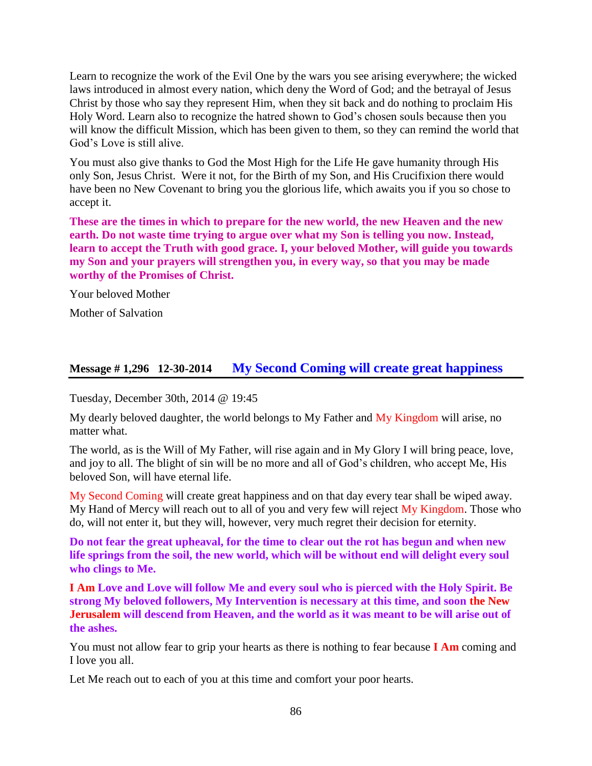Learn to recognize the work of the Evil One by the wars you see arising everywhere; the wicked laws introduced in almost every nation, which deny the Word of God; and the betrayal of Jesus Christ by those who say they represent Him, when they sit back and do nothing to proclaim His Holy Word. Learn also to recognize the hatred shown to God's chosen souls because then you will know the difficult Mission, which has been given to them, so they can remind the world that God's Love is still alive.

You must also give thanks to God the Most High for the Life He gave humanity through His only Son, Jesus Christ. Were it not, for the Birth of my Son, and His Crucifixion there would have been no New Covenant to bring you the glorious life, which awaits you if you so chose to accept it.

**These are the times in which to prepare for the new world, the new Heaven and the new earth. Do not waste time trying to argue over what my Son is telling you now. Instead, learn to accept the Truth with good grace. I, your beloved Mother, will guide you towards my Son and your prayers will strengthen you, in every way, so that you may be made worthy of the Promises of Christ.**

Your beloved Mother

Mother of Salvation

### **Message # 1,296 12-30-2014 [My Second Coming will create great happiness](http://www.thewarningsecondcoming.com/my-second-coming-will-create-great-happiness/)**

Tuesday, December 30th, 2014 @ 19:45

My dearly beloved daughter, the world belongs to My Father and My Kingdom will arise, no matter what.

The world, as is the Will of My Father, will rise again and in My Glory I will bring peace, love, and joy to all. The blight of sin will be no more and all of God's children, who accept Me, His beloved Son, will have eternal life.

My Second Coming will create great happiness and on that day every tear shall be wiped away. My Hand of Mercy will reach out to all of you and very few will reject My Kingdom. Those who do, will not enter it, but they will, however, very much regret their decision for eternity.

**Do not fear the great upheaval, for the time to clear out the rot has begun and when new life springs from the soil, the new world, which will be without end will delight every soul who clings to Me.** 

**I Am Love and Love will follow Me and every soul who is pierced with the Holy Spirit. Be strong My beloved followers, My Intervention is necessary at this time, and soon the New Jerusalem will descend from Heaven, and the world as it was meant to be will arise out of the ashes.**

You must not allow fear to grip your hearts as there is nothing to fear because **I Am** coming and I love you all.

Let Me reach out to each of you at this time and comfort your poor hearts.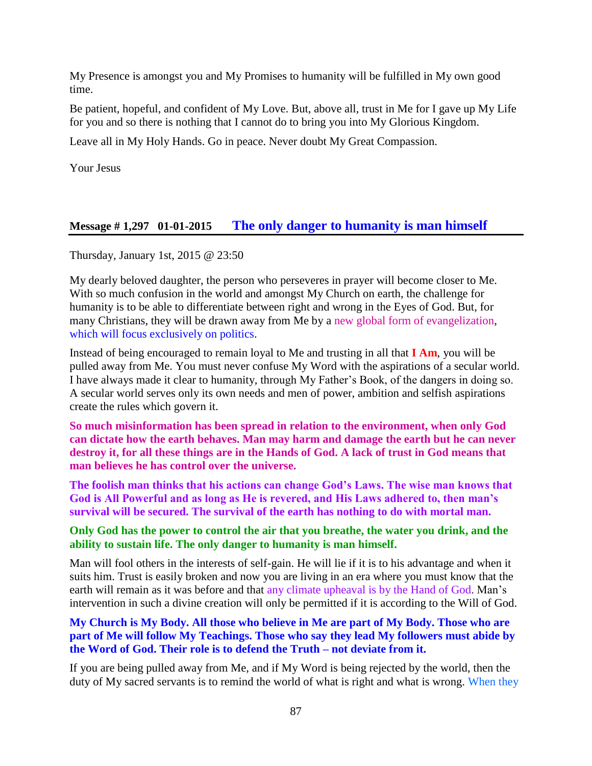My Presence is amongst you and My Promises to humanity will be fulfilled in My own good time.

Be patient, hopeful, and confident of My Love. But, above all, trust in Me for I gave up My Life for you and so there is nothing that I cannot do to bring you into My Glorious Kingdom.

Leave all in My Holy Hands. Go in peace. Never doubt My Great Compassion.

Your Jesus

### **Message # 1,297 01-01-2015 [The only danger to humanity is man himself](http://www.thewarningsecondcoming.com/the-only-danger-to-humanity-is-man-himself/)**

Thursday, January 1st, 2015 @ 23:50

My dearly beloved daughter, the person who perseveres in prayer will become closer to Me. With so much confusion in the world and amongst My Church on earth, the challenge for humanity is to be able to differentiate between right and wrong in the Eyes of God. But, for many Christians, they will be drawn away from Me by a new global form of evangelization, which will focus exclusively on politics.

Instead of being encouraged to remain loyal to Me and trusting in all that **I Am**, you will be pulled away from Me. You must never confuse My Word with the aspirations of a secular world. I have always made it clear to humanity, through My Father's Book, of the dangers in doing so. A secular world serves only its own needs and men of power, ambition and selfish aspirations create the rules which govern it.

**So much misinformation has been spread in relation to the environment, when only God can dictate how the earth behaves. Man may harm and damage the earth but he can never destroy it, for all these things are in the Hands of God. A lack of trust in God means that man believes he has control over the universe.** 

**The foolish man thinks that his actions can change God's Laws. The wise man knows that God is All Powerful and as long as He is revered, and His Laws adhered to, then man's survival will be secured. The survival of the earth has nothing to do with mortal man.** 

#### **Only God has the power to control the air that you breathe, the water you drink, and the ability to sustain life. The only danger to humanity is man himself.**

Man will fool others in the interests of self-gain. He will lie if it is to his advantage and when it suits him. Trust is easily broken and now you are living in an era where you must know that the earth will remain as it was before and that any climate upheaval is by the Hand of God. Man's intervention in such a divine creation will only be permitted if it is according to the Will of God.

#### **My Church is My Body. All those who believe in Me are part of My Body. Those who are part of Me will follow My Teachings. Those who say they lead My followers must abide by the Word of God. Their role is to defend the Truth – not deviate from it.**

If you are being pulled away from Me, and if My Word is being rejected by the world, then the duty of My sacred servants is to remind the world of what is right and what is wrong. When they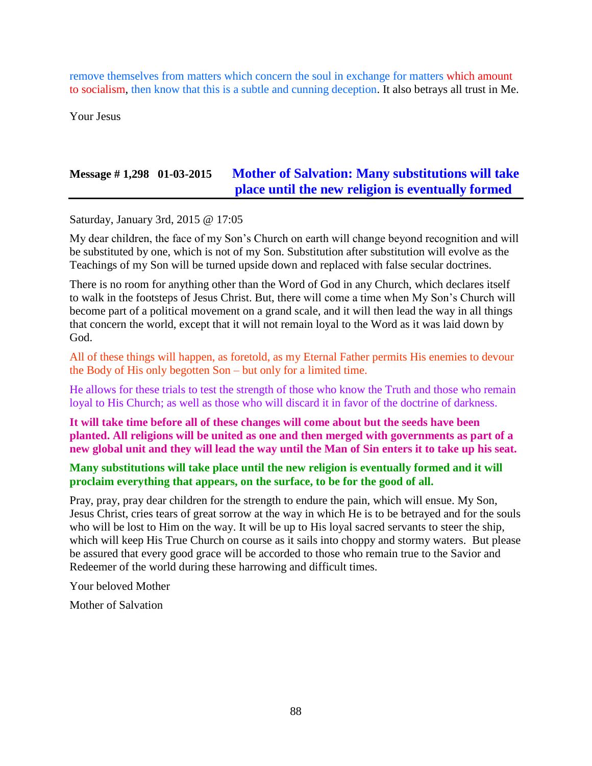remove themselves from matters which concern the soul in exchange for matters which amount to socialism, then know that this is a subtle and cunning deception. It also betrays all trust in Me.

Your Jesus

# **Message # 1,298 01-03-2015 [Mother of Salvation: Many substitutions will take](http://www.thewarningsecondcoming.com/mother-of-salvation-many-substitutions-will-take-place-until-the-new-religion-is-eventually-formed/)  [place until the new religion is eventually formed](http://www.thewarningsecondcoming.com/mother-of-salvation-many-substitutions-will-take-place-until-the-new-religion-is-eventually-formed/)**

Saturday, January 3rd, 2015 @ 17:05

My dear children, the face of my Son's Church on earth will change beyond recognition and will be substituted by one, which is not of my Son. Substitution after substitution will evolve as the Teachings of my Son will be turned upside down and replaced with false secular doctrines.

There is no room for anything other than the Word of God in any Church, which declares itself to walk in the footsteps of Jesus Christ. But, there will come a time when My Son's Church will become part of a political movement on a grand scale, and it will then lead the way in all things that concern the world, except that it will not remain loyal to the Word as it was laid down by God.

All of these things will happen, as foretold, as my Eternal Father permits His enemies to devour the Body of His only begotten Son – but only for a limited time.

He allows for these trials to test the strength of those who know the Truth and those who remain loyal to His Church; as well as those who will discard it in favor of the doctrine of darkness.

**It will take time before all of these changes will come about but the seeds have been planted. All religions will be united as one and then merged with governments as part of a new global unit and they will lead the way until the Man of Sin enters it to take up his seat.** 

#### **Many substitutions will take place until the new religion is eventually formed and it will proclaim everything that appears, on the surface, to be for the good of all.**

Pray, pray, pray dear children for the strength to endure the pain, which will ensue. My Son, Jesus Christ, cries tears of great sorrow at the way in which He is to be betrayed and for the souls who will be lost to Him on the way. It will be up to His loyal sacred servants to steer the ship, which will keep His True Church on course as it sails into choppy and stormy waters. But please be assured that every good grace will be accorded to those who remain true to the Savior and Redeemer of the world during these harrowing and difficult times.

Your beloved Mother

Mother of Salvation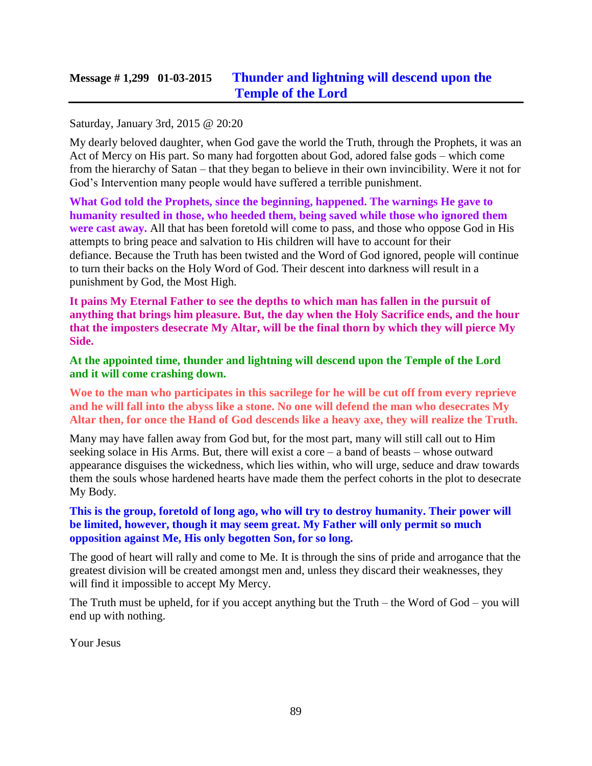# **Message # 1,299 01-03-2015 [Thunder and lightning will descend upon the](http://www.thewarningsecondcoming.com/thunder-and-lightning-will-descend-upon-the-temple-of-the-lord/)  [Temple of the Lord](http://www.thewarningsecondcoming.com/thunder-and-lightning-will-descend-upon-the-temple-of-the-lord/)**

#### Saturday, January 3rd, 2015 @ 20:20

My dearly beloved daughter, when God gave the world the Truth, through the Prophets, it was an Act of Mercy on His part. So many had forgotten about God, adored false gods – which come from the hierarchy of Satan – that they began to believe in their own invincibility. Were it not for God's Intervention many people would have suffered a terrible punishment.

**What God told the Prophets, since the beginning, happened. The warnings He gave to humanity resulted in those, who heeded them, being saved while those who ignored them were cast away.** All that has been foretold will come to pass, and those who oppose God in His attempts to bring peace and salvation to His children will have to account for their defiance. Because the Truth has been twisted and the Word of God ignored, people will continue to turn their backs on the Holy Word of God. Their descent into darkness will result in a punishment by God, the Most High.

**It pains My Eternal Father to see the depths to which man has fallen in the pursuit of anything that brings him pleasure. But, the day when the Holy Sacrifice ends, and the hour that the imposters desecrate My Altar, will be the final thorn by which they will pierce My Side.**

#### **At the appointed time, thunder and lightning will descend upon the Temple of the Lord and it will come crashing down.**

**Woe to the man who participates in this sacrilege for he will be cut off from every reprieve and he will fall into the abyss like a stone. No one will defend the man who desecrates My Altar then, for once the Hand of God descends like a heavy axe, they will realize the Truth.**

Many may have fallen away from God but, for the most part, many will still call out to Him seeking solace in His Arms. But, there will exist a core – a band of beasts – whose outward appearance disguises the wickedness, which lies within, who will urge, seduce and draw towards them the souls whose hardened hearts have made them the perfect cohorts in the plot to desecrate My Body.

#### **This is the group, foretold of long ago, who will try to destroy humanity. Their power will be limited, however, though it may seem great. My Father will only permit so much opposition against Me, His only begotten Son, for so long.**

The good of heart will rally and come to Me. It is through the sins of pride and arrogance that the greatest division will be created amongst men and, unless they discard their weaknesses, they will find it impossible to accept My Mercy.

The Truth must be upheld, for if you accept anything but the Truth – the Word of God – you will end up with nothing.

Your Jesus